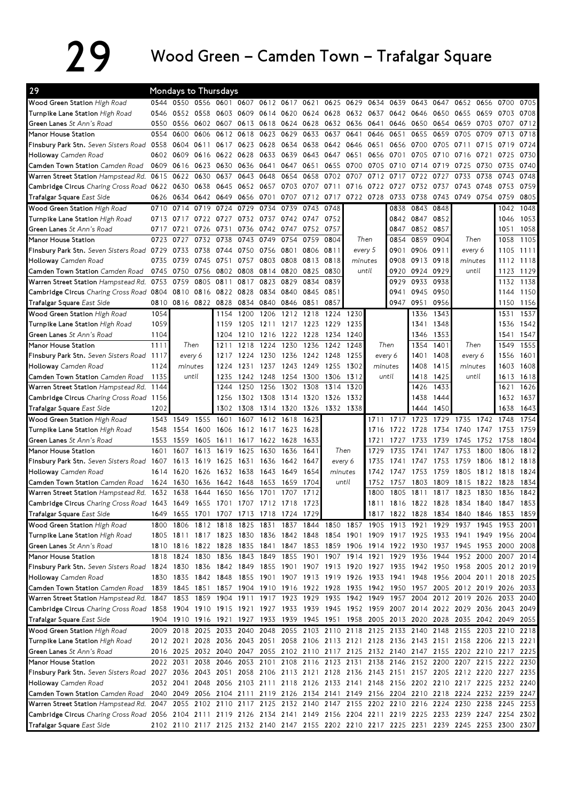## 29 Wood Green – Camden Town – Trafalgar Square

| 29                                                                                                                              |      | Mondays to Thursdays |                |                                    |           |           |                          |           |           |                                                                                      |         |                |                |                |      |                |                                                                                           |                              |
|---------------------------------------------------------------------------------------------------------------------------------|------|----------------------|----------------|------------------------------------|-----------|-----------|--------------------------|-----------|-----------|--------------------------------------------------------------------------------------|---------|----------------|----------------|----------------|------|----------------|-------------------------------------------------------------------------------------------|------------------------------|
| Wood Green Station High Road                                                                                                    | 0544 | 0550 0556            |                | 0601                               | 0607      |           | 0612 0617 0621           |           |           | 0625 0629                                                                            | 0634    | 0639           | 0643 0647      |                | 0652 | 0656           | 0700                                                                                      | 0705                         |
| Turnpike Lane Station High Road                                                                                                 | 0546 | 0552 0558            |                |                                    | 0603 0609 |           | 0614 0620                | 0624 0628 |           | 0632 0637                                                                            |         | 0642           | 0646 0650      |                | 0655 | 0659           | 0703                                                                                      | 0708                         |
| Green Lanes St Ann's Road                                                                                                       | 0550 | 0556                 | 0602           | 0607                               | 0613      | 0618      |                          | 0624 0628 | 0632      | 0636                                                                                 | 0641    | 0646           | 0650           | 0654           | 0659 | 0703 0707      |                                                                                           | 0712                         |
| Manor House Station                                                                                                             | 0554 | 0600                 | 0606           | 0612                               | 0618      | 0623      | 0629                     | 0633      | 0637      | 0641                                                                                 | 0646    | 0651           | 0655           | 0659           | 0705 | 0709           | 0713                                                                                      | 0718                         |
| Finsbury Park Stn. Seven Sisters Road                                                                                           | 0558 |                      | 0604 0611      | 0617                               | 0623 0628 |           |                          | 0634 0638 | 0642      | 0646                                                                                 | 0651    | 0656           |                | 0700 0705      | 0711 |                | 0715 0719                                                                                 | 0724                         |
| Holloway Camden Road                                                                                                            |      | 0602 0609            | 0616           | 0622 0628                          |           | 0633      | 0639                     | 0643      | 0647      | 0651                                                                                 | 0656    | 0701           |                | 0705 0710      | 0716 | 0721           | 0725                                                                                      | 0730                         |
| Camden Town Station Camden Road                                                                                                 | 0609 | 0616                 | 0623           | 0630                               |           | 0636 0641 | 0647                     | 0651      | 0655      | 0700                                                                                 | 0705    | 0710           | 0714 0719      |                | 0725 | 0730           | 0735                                                                                      | 0740                         |
| Warren Street Station Hampstead Rd.                                                                                             |      | 0615 0622 0630       |                | 0637                               | 0643      | 0648      | 0654                     | 0658      | 0702      | 0707                                                                                 | 0712    | 0717           | 0722           | 0727           | 0733 | 0738           | 0743                                                                                      | 0748                         |
| Cambridge Circus Charing Cross Road 0622 0630                                                                                   |      |                      | 0638           | 0645                               | 0652      | 0657      | 0703                     | 0707 0711 |           | 0716                                                                                 | 0722    | 0727           | 0732 0737      |                | 0743 | 0748           | 0753                                                                                      | 0759                         |
| Trafalgar Square East Side                                                                                                      | 0626 | 0634 0642 0649       |                |                                    | 0656 0701 |           | 0707                     | 0712 0717 |           | 0722 0728                                                                            |         | 0733           | 0738           | 0743           |      | 0749 0754      | 0759                                                                                      | 0805                         |
| Wood Green Station High Road                                                                                                    | 0710 | 0714                 | 0719           | 0724                               | 0729      | 0734      | 0739                     | 0743      | 0748      |                                                                                      |         | 0838           | 0843           | 0848           |      |                | 1042                                                                                      | 1048                         |
| Turnpike Lane Station High Road                                                                                                 |      | 0713 0717 0722 0727  |                |                                    |           |           | 0732 0737 0742 0747 0752 |           |           |                                                                                      |         |                | 0842 0847 0852 |                |      |                | 1046                                                                                      | 1053                         |
|                                                                                                                                 |      |                      |                |                                    |           |           |                          |           |           |                                                                                      |         |                |                |                |      |                |                                                                                           | 1058                         |
| Green Lanes St Ann's Road                                                                                                       | 0717 | 0721                 | 0726           | 0731                               | 0736      |           | 0742 0747                | 0752 0757 |           |                                                                                      |         | 0847           | 0852 0857      |                |      |                | 1051                                                                                      |                              |
| Manor House Station                                                                                                             | 0723 | 0727                 | 0732           | 0738                               | 0743      | 0749      | 0754                     | 0759      | 0804      |                                                                                      | Then    | 0854           | 0859           | 0904           |      | Then           | 1058                                                                                      | 1105                         |
| Finsbury Park Stn. Seven Sisters Road 0729                                                                                      |      | 0733                 | 0738           | 0744                               | 0750      | 0756      | 0801                     | 0806 0811 |           |                                                                                      | every 5 | 0901           | 0906 0911      |                |      | every 6        | 1105                                                                                      | 1111                         |
| Holloway Camden Road                                                                                                            | 0735 | 0739                 | 0745           | 0751                               | 0757      | 0803      | 0808                     |           | 0813 0818 |                                                                                      | minutes | 0908           | 0913 0918      |                |      | minutes        | 1112                                                                                      | 1118                         |
| Camden Town Station Camden Road                                                                                                 | 0745 | 0750                 | 0756           | 0802 0808                          |           |           | 0814 0820                | 0825      | 0830      |                                                                                      | until   | 0920           | 0924 0929      |                |      | until          | 1123                                                                                      | 1129                         |
| Warren Street Station Hampstead Rd.                                                                                             | 0753 | 0759                 | 0805           | 0811                               | 0817      | 0823      | 0829                     | 0834      | 0839      |                                                                                      |         | 0929           | 0933           | 0938           |      |                | 1132                                                                                      | 1138                         |
| Cambridge Circus Charing Cross Road 0804 0810 0816 0822 0828                                                                    |      |                      |                |                                    |           | 0834      | 0840                     | 0845      | 0851      |                                                                                      |         | 0941           | 0945 0950      |                |      |                | 1144                                                                                      | 1150                         |
| Trafalgar Square East Side                                                                                                      | 0810 |                      | 0816 0822 0828 |                                    | 0834 0840 |           | 0846                     | 0851      | 0857      |                                                                                      |         |                | 0947 0951 0956 |                |      |                |                                                                                           | 1150 1156                    |
| Wood Green Station High Road                                                                                                    | 1054 |                      |                | 1154                               | 1200      | 1206      | 1212                     | 1218      | 1224      | 1230                                                                                 |         |                | 1336           | 1343           |      |                | 1531                                                                                      | 1537                         |
| Turnpike Lane Station High Road                                                                                                 | 1059 |                      |                | 1159                               | 1205      | 1211      | 1217                     | 1223      | 1229      | 1235                                                                                 |         |                | 1341           | 1348           |      |                | 1536                                                                                      | 1542                         |
| Green Lanes St Ann's Road                                                                                                       | 1104 |                      |                | 1204                               | 1210      | 1216      | 1222                     | 1228      | 1234      | 1240                                                                                 |         |                | 1346           | 1353           |      |                | 1541                                                                                      | 1547                         |
| Manor House Station                                                                                                             | 1111 |                      | Then           | 1211                               | 1218      | 1224      | 1230                     | 1236      | 1242      | 1248                                                                                 |         | Then           | 1354           | 1401           |      | Then           | 1549                                                                                      | 1555                         |
| Finsbury Park Stn. Seven Sisters Road 1117                                                                                      |      |                      | every 6        | 1217                               | 1224      | 1230      | 1236                     | 1242 1248 |           | 1255                                                                                 |         | every 6        | 1401           | 1408           |      | every 6        | 1556                                                                                      | 1601                         |
| Holloway Camden Road                                                                                                            | 1124 | minutes              |                | 1224                               | 1231      | 1237      |                          | 1243 1249 | 1255      | 1302                                                                                 |         | minutes        | 1408           | 1415           |      | minutes        | 1603                                                                                      | 1608                         |
| Camden Town Station Camden Road                                                                                                 | 1135 | until                |                | 1235                               | 1242 1248 |           |                          | 1254 1300 | 1306      | 1312                                                                                 |         | until          | 1418           | 1425           |      | until          | 1613                                                                                      | 1618                         |
| Warren Street Station Hampstead Rd.                                                                                             | 1144 |                      |                | 1244                               | 1250      | 1256      | 1302                     | 1308      | 1314      | 1320                                                                                 |         |                | 1426           | 1433           |      |                | 1621                                                                                      | 1626                         |
| Cambridge Circus Charing Cross Road 1156                                                                                        |      |                      |                | 1256                               | 1302      | 1308      | 1314 1320                |           | 1326      | 1332                                                                                 |         |                | 1438           | 1444           |      |                | 1632                                                                                      | 1637                         |
| Trafalgar Square East Side                                                                                                      |      |                      |                |                                    |           |           |                          |           |           |                                                                                      |         |                |                |                |      |                |                                                                                           |                              |
|                                                                                                                                 | 1202 |                      |                | 1302                               | 1308      | 1314 1320 |                          | 1326      | 1332 1338 |                                                                                      |         |                | 1444           | 1450           |      |                | 1638                                                                                      | 1643                         |
|                                                                                                                                 | 1543 | 1549                 | 1555           | 1601                               | 1607      | 1612      | 1618                     | 1623      |           |                                                                                      | 1711    |                | 1717 1723      | 1729           | 1735 | 1742           | 1748                                                                                      | 1754                         |
| Wood Green Station High Road                                                                                                    | 1548 | 1554                 | 1600           | 1606                               | 1612      | 1617      | 1623                     | 1628      |           |                                                                                      | 1716    | 1722           | 1728           | 1734           | 1740 | 1747           | 1753                                                                                      | 1759                         |
| Turnpike Lane Station High Road                                                                                                 | 1553 | -1559                | 1605           |                                    |           |           |                          | 1633      |           |                                                                                      | 1721    | 1727           | 1733           | 1739           | 1745 | 1752           | 1758                                                                                      |                              |
| Green Lanes St Ann's Road                                                                                                       | 1601 |                      |                | 1611                               |           | 1617 1622 | 1628                     | 1641      |           | Then                                                                                 | 1729    | 1735           | 1741           | 1747           |      | 1800           |                                                                                           | 1804                         |
| Manor House Station                                                                                                             |      | 1607                 | 1613           | 1619                               | 1625      | 1630      | 1636                     |           |           |                                                                                      | 1735    | 1741           |                |                | 1753 |                | 1806                                                                                      |                              |
| Finsbury Park Stn. Seven Sisters Road 1607                                                                                      |      | 1613                 | 1619           | 1625                               | 1631      | 1636      | 1642                     | 1647      |           | every 6                                                                              |         |                | 1747           | 1753           | 1759 | 1806           | 1812                                                                                      | 1818                         |
| Holloway Camden Road                                                                                                            |      | 1614 1620            | 1626           | 1632 1638                          |           | 1643      | 1649                     | 1654      |           | minutes                                                                              | 1742    | 1747           | 1753           | 1759           | 1805 | 1812 1818      |                                                                                           | 1824                         |
| Camden Town Station Camden Road                                                                                                 | 1624 | 1630                 | 1636           | 1642                               | 1648      | 1653      | 1659                     | 1704      |           | until                                                                                | 1752    | 1757           | 1803           | 1809           | 1815 | 1822           | 1828                                                                                      | 1834                         |
| Warren Street Station Hampstead Rd.                                                                                             | 1632 | 1638                 | 1644           | 1650                               | 1656      | 1701      | 1707                     | 1712      |           |                                                                                      | 1800    | 1805           | 1811           | 1817           | 1823 | 1830           | 1836                                                                                      | 1842                         |
| Cambridge Circus Charing Cross Road 1643 1649 1655 1701 1707 1712 1718 1723                                                     |      |                      |                |                                    |           |           |                          |           |           |                                                                                      | 811     |                |                |                |      |                | 1816 1822 1828 1834 1840 1847                                                             | 1853                         |
| Trafalgar Square East Side                                                                                                      | 1649 |                      |                | 1655 1701 1707 1713 1718 1724 1729 |           |           |                          |           |           |                                                                                      |         | 1817 1822 1828 |                | 1834 1840 1846 |      |                | 1853                                                                                      |                              |
| Wood Green Station High Road                                                                                                    | 1800 | 1806                 |                |                                    |           |           |                          |           |           | 1812 1818 1825 1831 1837 1844 1850 1857 1905 1913 1921 1929 1937 1945 1953           |         |                |                |                |      |                |                                                                                           | 2001                         |
| Turnpike Lane Station High Road                                                                                                 |      |                      |                |                                    |           |           |                          |           |           |                                                                                      |         |                |                |                |      |                | 1805 1811 1817 1823 1830 1836 1842 1848 1854 1901 1909 1917 1925 1933 1941 1949 1956 2004 |                              |
| Green Lanes St Ann's Road                                                                                                       |      |                      |                |                                    |           |           |                          |           |           |                                                                                      |         |                |                |                |      |                | 1810 1816 1822 1828 1835 1841 1847 1853 1859 1906 1914 1922 1930 1937 1945 1953 2000 2008 |                              |
| Manor House Station                                                                                                             |      |                      |                |                                    |           |           |                          |           |           | 1818 1824 1830 1836 1843 1849 1855 1901 1907 1914 1921 1929 1936 1944                |         |                |                |                |      |                | 1952 2000 2007                                                                            |                              |
| Finsbury Park Stn. Seven Sisters Road 1824 1830                                                                                 |      |                      |                |                                    |           |           |                          |           |           |                                                                                      |         |                |                |                |      |                | 1836 1842 1849 1855 1901 1907 1913 1920 1927 1935 1942 1950 1958 2005 2012                | 1812<br>1859<br>2014<br>2019 |
| Holloway Camden Road                                                                                                            |      |                      |                |                                    |           |           |                          |           |           |                                                                                      |         |                |                |                |      |                | 1830 1835 1842 1848 1855 1901 1907 1913 1919 1926 1933 1941 1948 1956 2004 2011 2018 2025 |                              |
| Camden Town Station Camden Road                                                                                                 |      |                      |                |                                    |           |           |                          |           |           |                                                                                      |         |                |                |                |      |                | 1839 1845 1851 1857 1904 1910 1916 1922 1928 1935 1942 1950 1957 2005 2012 2019 2026 2033 |                              |
| Warren Street Station Hampstead Rd.                                                                                             |      |                      |                |                                    |           |           |                          |           |           |                                                                                      |         |                |                |                |      |                | 1847 1853 1859 1904 1911 1917 1923 1929 1935 1942 1949 1957 2004 2012 2019 2026 2033 2040 |                              |
| Cambridge Circus Charing Cross Road 1858 1904 1910 1915 1921 1927 1933 1939 1945 1952 1959 2007 2014 2022 2029 2036 2043 2049   |      |                      |                |                                    |           |           |                          |           |           |                                                                                      |         |                |                |                |      |                |                                                                                           |                              |
| Trafalgar Square East Side                                                                                                      |      |                      |                |                                    |           |           |                          |           |           | 1904 1910 1916 1921 1927 1933 1939 1945 1951 1958 2005 2013 2020 2028 2035 2042 2049 |         |                |                |                |      |                |                                                                                           | 2055                         |
| Wood Green Station High Road                                                                                                    |      |                      |                |                                    |           |           |                          |           |           | 2009 2018 2025 2033 2040 2048 2055 2103 2110 2118 2125 2133 2140 2148 2155 2203 2210 |         |                |                |                |      |                |                                                                                           | 2218                         |
| Turnpike Lane Station High Road                                                                                                 |      |                      |                |                                    |           |           |                          |           |           |                                                                                      |         |                |                |                |      |                | 2012 2021 2028 2036 2043 2051 2058 2106 2113 2121 2128 2136 2143 2151 2158 2206 2213 2221 |                              |
| Green Lanes St Ann's Road                                                                                                       |      |                      |                |                                    |           |           |                          |           |           |                                                                                      |         |                |                |                |      |                | 2016 2025 2032 2040 2047 2055 2102 2110 2117 2125 2132 2140 2147 2155 2202 2210 2217 2225 |                              |
| Manor House Station                                                                                                             |      |                      |                |                                    |           |           |                          |           |           |                                                                                      |         |                |                |                |      |                | 2022 2031 2038 2046 2053 2101 2108 2116 2123 2131 2138 2146 2152 2200 2207 2215 2222 2230 |                              |
| Finsbury Park Stn. Seven Sisters Road 2027 2036 2043 2051 2058 2106 2113 2121 2128 2136 2143 2151 2157 2205 2212 2220 2227 2235 |      |                      |                |                                    |           |           |                          |           |           |                                                                                      |         |                |                |                |      |                |                                                                                           |                              |
| Holloway Camden Road                                                                                                            |      |                      |                |                                    |           |           |                          |           |           |                                                                                      |         |                |                |                |      |                | 2032 2041 2048 2056 2103 2111 2118 2126 2133 2141 2148 2156 2202 2210 2217 2225 2232 2240 |                              |
| Camden Town Station Camden Road                                                                                                 |      |                      |                |                                    |           |           |                          |           |           | 2040 2049 2056 2104 2111 2119 2126 2134 2141 2149 2156 2204 2210 2218 2224 2232 2239 |         |                |                |                |      |                |                                                                                           |                              |
| Warren Street Station Hampstead Rd. 2047 2055 2102 2110 2117 2125 2132 2140 2147 2155 2202 2210 2216 2224                       |      |                      |                |                                    |           |           |                          |           |           |                                                                                      |         |                |                |                |      | 2230 2238 2245 |                                                                                           | 2247<br>2253                 |
| Cambridge Circus Charing Cross Road 2056 2104 2111 2119 2126 2134 2141 2149 2156 2204 2211 2219 2225 2233 2239 2247 2254 2302   |      |                      |                |                                    |           |           |                          |           |           |                                                                                      |         |                |                |                |      |                |                                                                                           |                              |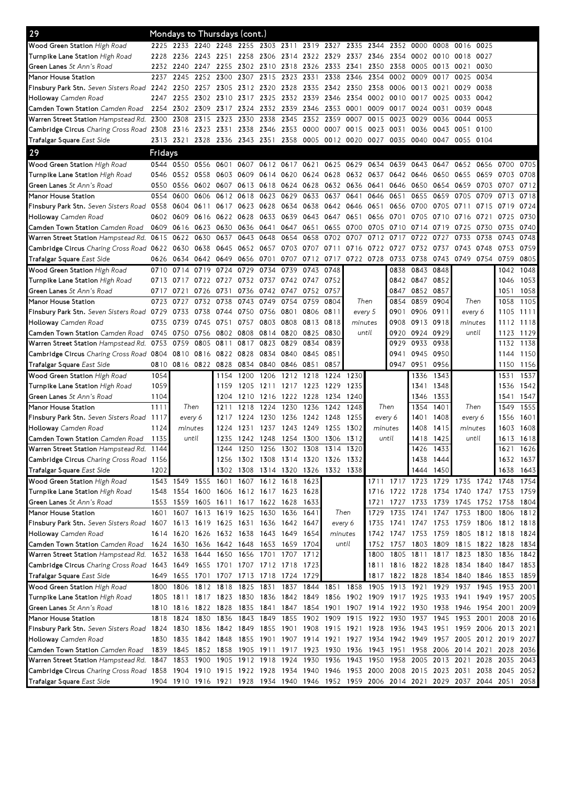| Wood Green Station High Road<br>2233 2240 2248 2255 2303 2311 2319 2327 2335 2344<br>2225<br>2352 0000<br>0008<br>0016 0025<br>Turnpike Lane Station High Road<br>2243 2251 2258 2306 2314 2322 2329 2337 2346<br>2354<br>0002<br>0010<br>0018 0027<br>2228<br>2236<br>Green Lanes St Ann's Road<br>2232<br>2240<br>2247<br>2255<br>2302 2310 2318<br>2326 2333 2341<br>2350 2358<br>0005<br>0013<br>0021 0030<br>Manor House Station<br>2315 2323<br>2338<br>2346<br>2245<br>2252 2300<br>2307<br>2331<br>2354<br>0002<br>0009<br>2237<br>0017<br>0025 0034<br>Finsbury Park Stn. Seven Sisters Road 2242<br>2257 2305<br>2312 2320 2328<br>2335 2342 2350<br>2358<br>2250<br>0006 0013<br>0021<br>0029 0038<br>Holloway Camden Road<br>2255 2302 2310 2317 2325 2332 2339 2346 2354<br>0002 0010 0017<br>0033 0042<br>2247<br>0025<br>Camden Town Station Camden Road<br>2324 2332 2339<br>2346 2353 0001<br>0009<br>0039 0048<br>2254<br>2302 2309 2317<br>0017<br>0024<br>0031<br>Warren Street Station Hampstead Rd. 2300 2308 2315 2323<br>2330 2338 2345<br>2352 2359<br>0007<br>0015<br>0023<br>0029<br>0036<br>0044<br>0053<br>Cambridge Circus Charing Cross Road 2308 2316 2323 2331 2338 2346 2353 0000 0007<br>0015<br>0023 0031<br>0036<br>0043<br>0051 0100<br>2313 2321 2328 2336 2343 2351 2358 0005 0012 0020 0027<br>Trafalgar Square East Side<br>0035 0040 0047<br>0055 0104<br>29<br>Fridays<br>Wood Green Station High Road<br>0544<br>0550<br>0556 0601<br>0607<br>0612 0617 0621<br>0625 0629 0634<br>0639<br>0643<br>0647<br>0652 0656<br>0700<br>Turnpike Lane Station High Road<br>0552 0558 0603<br>0624 0628 0632 0637<br>0546<br>0609<br>0614 0620<br>0642 0646<br>0650<br>0655 0659<br>0703<br>0556<br>0618 0624 0628 0632 0636<br>Green Lanes St Ann's Road<br>0550<br>0602 0607<br>0613<br>0641<br>0646 0650<br>0654<br>0659<br>0703<br>0707<br>Manor House Station<br>0554<br>0600<br>0612<br>0618<br>0623 0629<br>0633<br>0637<br>0641<br>0646<br>0651<br>0655<br>0659<br>0705<br>0709<br>0606<br>0713<br>Finsbury Park Stn. Seven Sisters Road 0558<br>0611 0617 0623 0628 0634 0638 0642 0646<br>0651<br>0656 0700<br>0604<br>0705<br>0711 0715<br>0719<br>Holloway Camden Road<br>0616 0622<br>0628 0633 0639<br>0643 0647 0651<br>0656 0701 0705<br>0602 0609<br>0710<br>0716 0721<br>0725<br>0616 0623 0630<br>0636 0641 0647 0651<br>0655 0700<br>0705 0710 0714<br>Camden Town Station Camden Road<br>0609<br>0719<br>0725 0730<br>0735<br>Warren Street Station Hampstead Rd. 0615<br>0622 0630 0637<br>0643 0648 0654<br>0658 0702 0707<br>0712<br>0717<br>0722<br>0727<br>0733<br>0738<br>0743<br>Cambridge Circus Charing Cross Road 0622 0630 0638 0645<br>0652 0657 0703 0707 0711 0716<br>0722 0727<br>0732 0737<br>0743 0748<br>0753<br>Trafalgar Square East Side<br>0642 0649<br>0707 0712 0717 0722 0728<br>0733 0738<br>0743<br>0749 0754<br>0626<br>0634<br>0656 0701<br>0759<br>Wood Green Station High Road<br>0719 0724<br>0729<br>0739<br>0714<br>0734<br>0743<br>0748<br>0843<br>0848<br>0710<br>0838<br>1042<br>Turnpike Lane Station High Road<br>0842 0847 0852<br>0713 0717 0722 0727<br>0732 0737 0742 0747 0752<br>1046<br>Green Lanes St Ann's Road<br>0847 0852 0857<br>0726 0731<br>0736 0742 0747 0752 0757<br>1051<br>0717<br>0721<br>Manor House Station<br>0723<br>0727<br>0732 0738<br>0743 0749 0754<br>0759<br>0804<br>Then<br>0854<br>0859<br>0904<br>Then<br>1058 | 0705<br>0708<br>0712<br>0718<br>0724<br>0730<br>0740<br>0748<br>0759<br>0805<br>1048 |
|--------------------------------------------------------------------------------------------------------------------------------------------------------------------------------------------------------------------------------------------------------------------------------------------------------------------------------------------------------------------------------------------------------------------------------------------------------------------------------------------------------------------------------------------------------------------------------------------------------------------------------------------------------------------------------------------------------------------------------------------------------------------------------------------------------------------------------------------------------------------------------------------------------------------------------------------------------------------------------------------------------------------------------------------------------------------------------------------------------------------------------------------------------------------------------------------------------------------------------------------------------------------------------------------------------------------------------------------------------------------------------------------------------------------------------------------------------------------------------------------------------------------------------------------------------------------------------------------------------------------------------------------------------------------------------------------------------------------------------------------------------------------------------------------------------------------------------------------------------------------------------------------------------------------------------------------------------------------------------------------------------------------------------------------------------------------------------------------------------------------------------------------------------------------------------------------------------------------------------------------------------------------------------------------------------------------------------------------------------------------------------------------------------------------------------------------------------------------------------------------------------------------------------------------------------------------------------------------------------------------------------------------------------------------------------------------------------------------------------------------------------------------------------------------------------------------------------------------------------------------------------------------------------------------------------------------------------------------------------------------------------------------------------------------------------------------------------------------------------------------------------------------------------------------------------------------------------------------------------------------------------------------------------------------------------------------------------------------------------------------------------------------------------------------------------------------------|--------------------------------------------------------------------------------------|
|                                                                                                                                                                                                                                                                                                                                                                                                                                                                                                                                                                                                                                                                                                                                                                                                                                                                                                                                                                                                                                                                                                                                                                                                                                                                                                                                                                                                                                                                                                                                                                                                                                                                                                                                                                                                                                                                                                                                                                                                                                                                                                                                                                                                                                                                                                                                                                                                                                                                                                                                                                                                                                                                                                                                                                                                                                                                                                                                                                                                                                                                                                                                                                                                                                                                                                                                                                                                                                                  |                                                                                      |
|                                                                                                                                                                                                                                                                                                                                                                                                                                                                                                                                                                                                                                                                                                                                                                                                                                                                                                                                                                                                                                                                                                                                                                                                                                                                                                                                                                                                                                                                                                                                                                                                                                                                                                                                                                                                                                                                                                                                                                                                                                                                                                                                                                                                                                                                                                                                                                                                                                                                                                                                                                                                                                                                                                                                                                                                                                                                                                                                                                                                                                                                                                                                                                                                                                                                                                                                                                                                                                                  |                                                                                      |
|                                                                                                                                                                                                                                                                                                                                                                                                                                                                                                                                                                                                                                                                                                                                                                                                                                                                                                                                                                                                                                                                                                                                                                                                                                                                                                                                                                                                                                                                                                                                                                                                                                                                                                                                                                                                                                                                                                                                                                                                                                                                                                                                                                                                                                                                                                                                                                                                                                                                                                                                                                                                                                                                                                                                                                                                                                                                                                                                                                                                                                                                                                                                                                                                                                                                                                                                                                                                                                                  |                                                                                      |
|                                                                                                                                                                                                                                                                                                                                                                                                                                                                                                                                                                                                                                                                                                                                                                                                                                                                                                                                                                                                                                                                                                                                                                                                                                                                                                                                                                                                                                                                                                                                                                                                                                                                                                                                                                                                                                                                                                                                                                                                                                                                                                                                                                                                                                                                                                                                                                                                                                                                                                                                                                                                                                                                                                                                                                                                                                                                                                                                                                                                                                                                                                                                                                                                                                                                                                                                                                                                                                                  |                                                                                      |
|                                                                                                                                                                                                                                                                                                                                                                                                                                                                                                                                                                                                                                                                                                                                                                                                                                                                                                                                                                                                                                                                                                                                                                                                                                                                                                                                                                                                                                                                                                                                                                                                                                                                                                                                                                                                                                                                                                                                                                                                                                                                                                                                                                                                                                                                                                                                                                                                                                                                                                                                                                                                                                                                                                                                                                                                                                                                                                                                                                                                                                                                                                                                                                                                                                                                                                                                                                                                                                                  |                                                                                      |
|                                                                                                                                                                                                                                                                                                                                                                                                                                                                                                                                                                                                                                                                                                                                                                                                                                                                                                                                                                                                                                                                                                                                                                                                                                                                                                                                                                                                                                                                                                                                                                                                                                                                                                                                                                                                                                                                                                                                                                                                                                                                                                                                                                                                                                                                                                                                                                                                                                                                                                                                                                                                                                                                                                                                                                                                                                                                                                                                                                                                                                                                                                                                                                                                                                                                                                                                                                                                                                                  |                                                                                      |
|                                                                                                                                                                                                                                                                                                                                                                                                                                                                                                                                                                                                                                                                                                                                                                                                                                                                                                                                                                                                                                                                                                                                                                                                                                                                                                                                                                                                                                                                                                                                                                                                                                                                                                                                                                                                                                                                                                                                                                                                                                                                                                                                                                                                                                                                                                                                                                                                                                                                                                                                                                                                                                                                                                                                                                                                                                                                                                                                                                                                                                                                                                                                                                                                                                                                                                                                                                                                                                                  |                                                                                      |
|                                                                                                                                                                                                                                                                                                                                                                                                                                                                                                                                                                                                                                                                                                                                                                                                                                                                                                                                                                                                                                                                                                                                                                                                                                                                                                                                                                                                                                                                                                                                                                                                                                                                                                                                                                                                                                                                                                                                                                                                                                                                                                                                                                                                                                                                                                                                                                                                                                                                                                                                                                                                                                                                                                                                                                                                                                                                                                                                                                                                                                                                                                                                                                                                                                                                                                                                                                                                                                                  |                                                                                      |
|                                                                                                                                                                                                                                                                                                                                                                                                                                                                                                                                                                                                                                                                                                                                                                                                                                                                                                                                                                                                                                                                                                                                                                                                                                                                                                                                                                                                                                                                                                                                                                                                                                                                                                                                                                                                                                                                                                                                                                                                                                                                                                                                                                                                                                                                                                                                                                                                                                                                                                                                                                                                                                                                                                                                                                                                                                                                                                                                                                                                                                                                                                                                                                                                                                                                                                                                                                                                                                                  |                                                                                      |
|                                                                                                                                                                                                                                                                                                                                                                                                                                                                                                                                                                                                                                                                                                                                                                                                                                                                                                                                                                                                                                                                                                                                                                                                                                                                                                                                                                                                                                                                                                                                                                                                                                                                                                                                                                                                                                                                                                                                                                                                                                                                                                                                                                                                                                                                                                                                                                                                                                                                                                                                                                                                                                                                                                                                                                                                                                                                                                                                                                                                                                                                                                                                                                                                                                                                                                                                                                                                                                                  |                                                                                      |
|                                                                                                                                                                                                                                                                                                                                                                                                                                                                                                                                                                                                                                                                                                                                                                                                                                                                                                                                                                                                                                                                                                                                                                                                                                                                                                                                                                                                                                                                                                                                                                                                                                                                                                                                                                                                                                                                                                                                                                                                                                                                                                                                                                                                                                                                                                                                                                                                                                                                                                                                                                                                                                                                                                                                                                                                                                                                                                                                                                                                                                                                                                                                                                                                                                                                                                                                                                                                                                                  |                                                                                      |
|                                                                                                                                                                                                                                                                                                                                                                                                                                                                                                                                                                                                                                                                                                                                                                                                                                                                                                                                                                                                                                                                                                                                                                                                                                                                                                                                                                                                                                                                                                                                                                                                                                                                                                                                                                                                                                                                                                                                                                                                                                                                                                                                                                                                                                                                                                                                                                                                                                                                                                                                                                                                                                                                                                                                                                                                                                                                                                                                                                                                                                                                                                                                                                                                                                                                                                                                                                                                                                                  |                                                                                      |
|                                                                                                                                                                                                                                                                                                                                                                                                                                                                                                                                                                                                                                                                                                                                                                                                                                                                                                                                                                                                                                                                                                                                                                                                                                                                                                                                                                                                                                                                                                                                                                                                                                                                                                                                                                                                                                                                                                                                                                                                                                                                                                                                                                                                                                                                                                                                                                                                                                                                                                                                                                                                                                                                                                                                                                                                                                                                                                                                                                                                                                                                                                                                                                                                                                                                                                                                                                                                                                                  |                                                                                      |
|                                                                                                                                                                                                                                                                                                                                                                                                                                                                                                                                                                                                                                                                                                                                                                                                                                                                                                                                                                                                                                                                                                                                                                                                                                                                                                                                                                                                                                                                                                                                                                                                                                                                                                                                                                                                                                                                                                                                                                                                                                                                                                                                                                                                                                                                                                                                                                                                                                                                                                                                                                                                                                                                                                                                                                                                                                                                                                                                                                                                                                                                                                                                                                                                                                                                                                                                                                                                                                                  |                                                                                      |
|                                                                                                                                                                                                                                                                                                                                                                                                                                                                                                                                                                                                                                                                                                                                                                                                                                                                                                                                                                                                                                                                                                                                                                                                                                                                                                                                                                                                                                                                                                                                                                                                                                                                                                                                                                                                                                                                                                                                                                                                                                                                                                                                                                                                                                                                                                                                                                                                                                                                                                                                                                                                                                                                                                                                                                                                                                                                                                                                                                                                                                                                                                                                                                                                                                                                                                                                                                                                                                                  |                                                                                      |
|                                                                                                                                                                                                                                                                                                                                                                                                                                                                                                                                                                                                                                                                                                                                                                                                                                                                                                                                                                                                                                                                                                                                                                                                                                                                                                                                                                                                                                                                                                                                                                                                                                                                                                                                                                                                                                                                                                                                                                                                                                                                                                                                                                                                                                                                                                                                                                                                                                                                                                                                                                                                                                                                                                                                                                                                                                                                                                                                                                                                                                                                                                                                                                                                                                                                                                                                                                                                                                                  |                                                                                      |
|                                                                                                                                                                                                                                                                                                                                                                                                                                                                                                                                                                                                                                                                                                                                                                                                                                                                                                                                                                                                                                                                                                                                                                                                                                                                                                                                                                                                                                                                                                                                                                                                                                                                                                                                                                                                                                                                                                                                                                                                                                                                                                                                                                                                                                                                                                                                                                                                                                                                                                                                                                                                                                                                                                                                                                                                                                                                                                                                                                                                                                                                                                                                                                                                                                                                                                                                                                                                                                                  |                                                                                      |
|                                                                                                                                                                                                                                                                                                                                                                                                                                                                                                                                                                                                                                                                                                                                                                                                                                                                                                                                                                                                                                                                                                                                                                                                                                                                                                                                                                                                                                                                                                                                                                                                                                                                                                                                                                                                                                                                                                                                                                                                                                                                                                                                                                                                                                                                                                                                                                                                                                                                                                                                                                                                                                                                                                                                                                                                                                                                                                                                                                                                                                                                                                                                                                                                                                                                                                                                                                                                                                                  |                                                                                      |
|                                                                                                                                                                                                                                                                                                                                                                                                                                                                                                                                                                                                                                                                                                                                                                                                                                                                                                                                                                                                                                                                                                                                                                                                                                                                                                                                                                                                                                                                                                                                                                                                                                                                                                                                                                                                                                                                                                                                                                                                                                                                                                                                                                                                                                                                                                                                                                                                                                                                                                                                                                                                                                                                                                                                                                                                                                                                                                                                                                                                                                                                                                                                                                                                                                                                                                                                                                                                                                                  |                                                                                      |
|                                                                                                                                                                                                                                                                                                                                                                                                                                                                                                                                                                                                                                                                                                                                                                                                                                                                                                                                                                                                                                                                                                                                                                                                                                                                                                                                                                                                                                                                                                                                                                                                                                                                                                                                                                                                                                                                                                                                                                                                                                                                                                                                                                                                                                                                                                                                                                                                                                                                                                                                                                                                                                                                                                                                                                                                                                                                                                                                                                                                                                                                                                                                                                                                                                                                                                                                                                                                                                                  |                                                                                      |
|                                                                                                                                                                                                                                                                                                                                                                                                                                                                                                                                                                                                                                                                                                                                                                                                                                                                                                                                                                                                                                                                                                                                                                                                                                                                                                                                                                                                                                                                                                                                                                                                                                                                                                                                                                                                                                                                                                                                                                                                                                                                                                                                                                                                                                                                                                                                                                                                                                                                                                                                                                                                                                                                                                                                                                                                                                                                                                                                                                                                                                                                                                                                                                                                                                                                                                                                                                                                                                                  |                                                                                      |
|                                                                                                                                                                                                                                                                                                                                                                                                                                                                                                                                                                                                                                                                                                                                                                                                                                                                                                                                                                                                                                                                                                                                                                                                                                                                                                                                                                                                                                                                                                                                                                                                                                                                                                                                                                                                                                                                                                                                                                                                                                                                                                                                                                                                                                                                                                                                                                                                                                                                                                                                                                                                                                                                                                                                                                                                                                                                                                                                                                                                                                                                                                                                                                                                                                                                                                                                                                                                                                                  |                                                                                      |
|                                                                                                                                                                                                                                                                                                                                                                                                                                                                                                                                                                                                                                                                                                                                                                                                                                                                                                                                                                                                                                                                                                                                                                                                                                                                                                                                                                                                                                                                                                                                                                                                                                                                                                                                                                                                                                                                                                                                                                                                                                                                                                                                                                                                                                                                                                                                                                                                                                                                                                                                                                                                                                                                                                                                                                                                                                                                                                                                                                                                                                                                                                                                                                                                                                                                                                                                                                                                                                                  | 1053                                                                                 |
|                                                                                                                                                                                                                                                                                                                                                                                                                                                                                                                                                                                                                                                                                                                                                                                                                                                                                                                                                                                                                                                                                                                                                                                                                                                                                                                                                                                                                                                                                                                                                                                                                                                                                                                                                                                                                                                                                                                                                                                                                                                                                                                                                                                                                                                                                                                                                                                                                                                                                                                                                                                                                                                                                                                                                                                                                                                                                                                                                                                                                                                                                                                                                                                                                                                                                                                                                                                                                                                  | 1058                                                                                 |
|                                                                                                                                                                                                                                                                                                                                                                                                                                                                                                                                                                                                                                                                                                                                                                                                                                                                                                                                                                                                                                                                                                                                                                                                                                                                                                                                                                                                                                                                                                                                                                                                                                                                                                                                                                                                                                                                                                                                                                                                                                                                                                                                                                                                                                                                                                                                                                                                                                                                                                                                                                                                                                                                                                                                                                                                                                                                                                                                                                                                                                                                                                                                                                                                                                                                                                                                                                                                                                                  | 1105                                                                                 |
| Finsbury Park Stn. Seven Sisters Road 0729<br>0738 0744<br>0750<br>0806<br>0811<br>0901 0906<br>0911<br>0733<br>0756 0801<br>every 5<br>every 6<br>1105                                                                                                                                                                                                                                                                                                                                                                                                                                                                                                                                                                                                                                                                                                                                                                                                                                                                                                                                                                                                                                                                                                                                                                                                                                                                                                                                                                                                                                                                                                                                                                                                                                                                                                                                                                                                                                                                                                                                                                                                                                                                                                                                                                                                                                                                                                                                                                                                                                                                                                                                                                                                                                                                                                                                                                                                                                                                                                                                                                                                                                                                                                                                                                                                                                                                                          | 1111                                                                                 |
| minutes<br>0908 0913<br>minutes<br>Holloway Camden Road<br>0735<br>0739<br>0745 0751<br>0757<br>0803 0808<br>0813 0818<br>0918<br>1112                                                                                                                                                                                                                                                                                                                                                                                                                                                                                                                                                                                                                                                                                                                                                                                                                                                                                                                                                                                                                                                                                                                                                                                                                                                                                                                                                                                                                                                                                                                                                                                                                                                                                                                                                                                                                                                                                                                                                                                                                                                                                                                                                                                                                                                                                                                                                                                                                                                                                                                                                                                                                                                                                                                                                                                                                                                                                                                                                                                                                                                                                                                                                                                                                                                                                                           | 1118                                                                                 |
| Camden Town Station Camden Road<br>0929<br>0745<br>0750<br>0756 0802<br>0808<br>0814 0820<br>0825<br>0830<br>until<br>0920 0924<br>until<br>1123                                                                                                                                                                                                                                                                                                                                                                                                                                                                                                                                                                                                                                                                                                                                                                                                                                                                                                                                                                                                                                                                                                                                                                                                                                                                                                                                                                                                                                                                                                                                                                                                                                                                                                                                                                                                                                                                                                                                                                                                                                                                                                                                                                                                                                                                                                                                                                                                                                                                                                                                                                                                                                                                                                                                                                                                                                                                                                                                                                                                                                                                                                                                                                                                                                                                                                 | 1129                                                                                 |
| Warren Street Station Hampstead Rd.<br>0933<br>0753<br>0759<br>0805 0811<br>0817<br>0823<br>0829<br>0834<br>0839<br>0929<br>0938<br>1132                                                                                                                                                                                                                                                                                                                                                                                                                                                                                                                                                                                                                                                                                                                                                                                                                                                                                                                                                                                                                                                                                                                                                                                                                                                                                                                                                                                                                                                                                                                                                                                                                                                                                                                                                                                                                                                                                                                                                                                                                                                                                                                                                                                                                                                                                                                                                                                                                                                                                                                                                                                                                                                                                                                                                                                                                                                                                                                                                                                                                                                                                                                                                                                                                                                                                                         | 1138                                                                                 |
| Cambridge Circus Charing Cross Road 0804<br>0941 0945<br>0810 0816 0822<br>0828<br>0834 0840<br>0845 0851<br>0950<br>1144                                                                                                                                                                                                                                                                                                                                                                                                                                                                                                                                                                                                                                                                                                                                                                                                                                                                                                                                                                                                                                                                                                                                                                                                                                                                                                                                                                                                                                                                                                                                                                                                                                                                                                                                                                                                                                                                                                                                                                                                                                                                                                                                                                                                                                                                                                                                                                                                                                                                                                                                                                                                                                                                                                                                                                                                                                                                                                                                                                                                                                                                                                                                                                                                                                                                                                                        | 1150                                                                                 |
| Trafalgar Square East Side<br>0810 0816 0822 0828<br>0947 0951 0956<br>0834 0840 0846<br>0851<br>0857                                                                                                                                                                                                                                                                                                                                                                                                                                                                                                                                                                                                                                                                                                                                                                                                                                                                                                                                                                                                                                                                                                                                                                                                                                                                                                                                                                                                                                                                                                                                                                                                                                                                                                                                                                                                                                                                                                                                                                                                                                                                                                                                                                                                                                                                                                                                                                                                                                                                                                                                                                                                                                                                                                                                                                                                                                                                                                                                                                                                                                                                                                                                                                                                                                                                                                                                            | 1150 1156                                                                            |
| Wood Green Station High Road<br>1054<br>1212 1218 1224<br>1230<br>1336<br>1343<br>1154<br>1200<br>1206<br>1531                                                                                                                                                                                                                                                                                                                                                                                                                                                                                                                                                                                                                                                                                                                                                                                                                                                                                                                                                                                                                                                                                                                                                                                                                                                                                                                                                                                                                                                                                                                                                                                                                                                                                                                                                                                                                                                                                                                                                                                                                                                                                                                                                                                                                                                                                                                                                                                                                                                                                                                                                                                                                                                                                                                                                                                                                                                                                                                                                                                                                                                                                                                                                                                                                                                                                                                                   | 1537                                                                                 |
| 1059<br>1217<br>1223 1229<br>1235<br>1348<br>Turnpike Lane Station High Road<br>1159<br>1205<br>1211<br>1341<br>1536                                                                                                                                                                                                                                                                                                                                                                                                                                                                                                                                                                                                                                                                                                                                                                                                                                                                                                                                                                                                                                                                                                                                                                                                                                                                                                                                                                                                                                                                                                                                                                                                                                                                                                                                                                                                                                                                                                                                                                                                                                                                                                                                                                                                                                                                                                                                                                                                                                                                                                                                                                                                                                                                                                                                                                                                                                                                                                                                                                                                                                                                                                                                                                                                                                                                                                                             | 1542                                                                                 |
| 1353<br>Green Lanes St Ann's Road<br>1104<br>1204<br>1216 1222<br>1228<br>1234<br>1240<br>1346<br>1541<br>1210                                                                                                                                                                                                                                                                                                                                                                                                                                                                                                                                                                                                                                                                                                                                                                                                                                                                                                                                                                                                                                                                                                                                                                                                                                                                                                                                                                                                                                                                                                                                                                                                                                                                                                                                                                                                                                                                                                                                                                                                                                                                                                                                                                                                                                                                                                                                                                                                                                                                                                                                                                                                                                                                                                                                                                                                                                                                                                                                                                                                                                                                                                                                                                                                                                                                                                                                   | 1547                                                                                 |
| Manor House Station<br>1111<br>1218<br>1236<br>1242<br>1248<br>1354<br>1401<br>Then<br>1211<br>1224<br>1230<br>Then<br>Then<br>1549                                                                                                                                                                                                                                                                                                                                                                                                                                                                                                                                                                                                                                                                                                                                                                                                                                                                                                                                                                                                                                                                                                                                                                                                                                                                                                                                                                                                                                                                                                                                                                                                                                                                                                                                                                                                                                                                                                                                                                                                                                                                                                                                                                                                                                                                                                                                                                                                                                                                                                                                                                                                                                                                                                                                                                                                                                                                                                                                                                                                                                                                                                                                                                                                                                                                                                              | 1555                                                                                 |
| Finsbury Park Stn. Seven Sisters Road 1117<br>1255<br>1408<br>every 6<br>1217<br>1224<br>1230<br>1236<br>1242 1248<br>every 6<br>1401<br>every 6<br>1556                                                                                                                                                                                                                                                                                                                                                                                                                                                                                                                                                                                                                                                                                                                                                                                                                                                                                                                                                                                                                                                                                                                                                                                                                                                                                                                                                                                                                                                                                                                                                                                                                                                                                                                                                                                                                                                                                                                                                                                                                                                                                                                                                                                                                                                                                                                                                                                                                                                                                                                                                                                                                                                                                                                                                                                                                                                                                                                                                                                                                                                                                                                                                                                                                                                                                         | 1601                                                                                 |
| Holloway Camden Road<br>1124<br>minutes<br>1231<br>1237<br>1243<br>1249 1255<br>1302<br>minutes<br>1408<br>1415<br>minutes<br>1603<br>1224                                                                                                                                                                                                                                                                                                                                                                                                                                                                                                                                                                                                                                                                                                                                                                                                                                                                                                                                                                                                                                                                                                                                                                                                                                                                                                                                                                                                                                                                                                                                                                                                                                                                                                                                                                                                                                                                                                                                                                                                                                                                                                                                                                                                                                                                                                                                                                                                                                                                                                                                                                                                                                                                                                                                                                                                                                                                                                                                                                                                                                                                                                                                                                                                                                                                                                       | 1608                                                                                 |
| Camden Town Station Camden Road<br>until<br>until<br>until<br>1135<br>1235<br>1242 1248<br>1254<br>1300<br>1306<br>1312<br>1418<br>1425<br>1613                                                                                                                                                                                                                                                                                                                                                                                                                                                                                                                                                                                                                                                                                                                                                                                                                                                                                                                                                                                                                                                                                                                                                                                                                                                                                                                                                                                                                                                                                                                                                                                                                                                                                                                                                                                                                                                                                                                                                                                                                                                                                                                                                                                                                                                                                                                                                                                                                                                                                                                                                                                                                                                                                                                                                                                                                                                                                                                                                                                                                                                                                                                                                                                                                                                                                                  | 1618                                                                                 |
| Warren Street Station Hampstead Rd.<br>1250<br>1256<br>1302<br>1314<br>1320<br>1433<br>1144<br>1244<br>1308<br>1426<br>1621                                                                                                                                                                                                                                                                                                                                                                                                                                                                                                                                                                                                                                                                                                                                                                                                                                                                                                                                                                                                                                                                                                                                                                                                                                                                                                                                                                                                                                                                                                                                                                                                                                                                                                                                                                                                                                                                                                                                                                                                                                                                                                                                                                                                                                                                                                                                                                                                                                                                                                                                                                                                                                                                                                                                                                                                                                                                                                                                                                                                                                                                                                                                                                                                                                                                                                                      | 1626                                                                                 |
| Cambridge Circus Charing Cross Road 1156<br>1256 1302 1308 1314 1320 1326 1332<br>1438 1444                                                                                                                                                                                                                                                                                                                                                                                                                                                                                                                                                                                                                                                                                                                                                                                                                                                                                                                                                                                                                                                                                                                                                                                                                                                                                                                                                                                                                                                                                                                                                                                                                                                                                                                                                                                                                                                                                                                                                                                                                                                                                                                                                                                                                                                                                                                                                                                                                                                                                                                                                                                                                                                                                                                                                                                                                                                                                                                                                                                                                                                                                                                                                                                                                                                                                                                                                      | 1632 1637                                                                            |
| 1202<br>1302 1308 1314 1320 1326 1332 1338<br>1444 1450<br>Trafalgar Square East Side                                                                                                                                                                                                                                                                                                                                                                                                                                                                                                                                                                                                                                                                                                                                                                                                                                                                                                                                                                                                                                                                                                                                                                                                                                                                                                                                                                                                                                                                                                                                                                                                                                                                                                                                                                                                                                                                                                                                                                                                                                                                                                                                                                                                                                                                                                                                                                                                                                                                                                                                                                                                                                                                                                                                                                                                                                                                                                                                                                                                                                                                                                                                                                                                                                                                                                                                                            | 1638 1643                                                                            |
| Wood Green Station High Road<br>1543 1549<br>1555 1601 1607 1612 1618 1623<br>1717 1723 1729 1735 1742 1748 1754<br>1711<br>Turnpike Lane Station High Road<br>1716 1722 1728 1734 1740 1747 1753 1759<br>1548<br>1554 1600 1606 1612 1617 1623 1628                                                                                                                                                                                                                                                                                                                                                                                                                                                                                                                                                                                                                                                                                                                                                                                                                                                                                                                                                                                                                                                                                                                                                                                                                                                                                                                                                                                                                                                                                                                                                                                                                                                                                                                                                                                                                                                                                                                                                                                                                                                                                                                                                                                                                                                                                                                                                                                                                                                                                                                                                                                                                                                                                                                                                                                                                                                                                                                                                                                                                                                                                                                                                                                             |                                                                                      |
| 1727 1733 1739 1745 1752 1758 1804<br>Green Lanes St Ann's Road<br>1559 1605 1611 1617 1622 1628 1633<br>1553<br>1721                                                                                                                                                                                                                                                                                                                                                                                                                                                                                                                                                                                                                                                                                                                                                                                                                                                                                                                                                                                                                                                                                                                                                                                                                                                                                                                                                                                                                                                                                                                                                                                                                                                                                                                                                                                                                                                                                                                                                                                                                                                                                                                                                                                                                                                                                                                                                                                                                                                                                                                                                                                                                                                                                                                                                                                                                                                                                                                                                                                                                                                                                                                                                                                                                                                                                                                            |                                                                                      |
| Manor House Station<br>1601 1607 1613 1619 1625 1630 1636 1641<br>Then<br>1735 1741 1747 1753 1800<br>1729                                                                                                                                                                                                                                                                                                                                                                                                                                                                                                                                                                                                                                                                                                                                                                                                                                                                                                                                                                                                                                                                                                                                                                                                                                                                                                                                                                                                                                                                                                                                                                                                                                                                                                                                                                                                                                                                                                                                                                                                                                                                                                                                                                                                                                                                                                                                                                                                                                                                                                                                                                                                                                                                                                                                                                                                                                                                                                                                                                                                                                                                                                                                                                                                                                                                                                                                       |                                                                                      |
|                                                                                                                                                                                                                                                                                                                                                                                                                                                                                                                                                                                                                                                                                                                                                                                                                                                                                                                                                                                                                                                                                                                                                                                                                                                                                                                                                                                                                                                                                                                                                                                                                                                                                                                                                                                                                                                                                                                                                                                                                                                                                                                                                                                                                                                                                                                                                                                                                                                                                                                                                                                                                                                                                                                                                                                                                                                                                                                                                                                                                                                                                                                                                                                                                                                                                                                                                                                                                                                  |                                                                                      |
|                                                                                                                                                                                                                                                                                                                                                                                                                                                                                                                                                                                                                                                                                                                                                                                                                                                                                                                                                                                                                                                                                                                                                                                                                                                                                                                                                                                                                                                                                                                                                                                                                                                                                                                                                                                                                                                                                                                                                                                                                                                                                                                                                                                                                                                                                                                                                                                                                                                                                                                                                                                                                                                                                                                                                                                                                                                                                                                                                                                                                                                                                                                                                                                                                                                                                                                                                                                                                                                  |                                                                                      |
| 1741 1747 1753 1759 1806 1812 1818<br>Finsbury Park Stn. Seven Sisters Road 1607 1613 1619 1625 1631 1636 1642 1647<br>every 6<br>1735                                                                                                                                                                                                                                                                                                                                                                                                                                                                                                                                                                                                                                                                                                                                                                                                                                                                                                                                                                                                                                                                                                                                                                                                                                                                                                                                                                                                                                                                                                                                                                                                                                                                                                                                                                                                                                                                                                                                                                                                                                                                                                                                                                                                                                                                                                                                                                                                                                                                                                                                                                                                                                                                                                                                                                                                                                                                                                                                                                                                                                                                                                                                                                                                                                                                                                           |                                                                                      |
| 1614 1620 1626 1632 1638 1643 1649 1654<br>1742 1747 1753 1759 1805 1812 1818 1824<br>minutes                                                                                                                                                                                                                                                                                                                                                                                                                                                                                                                                                                                                                                                                                                                                                                                                                                                                                                                                                                                                                                                                                                                                                                                                                                                                                                                                                                                                                                                                                                                                                                                                                                                                                                                                                                                                                                                                                                                                                                                                                                                                                                                                                                                                                                                                                                                                                                                                                                                                                                                                                                                                                                                                                                                                                                                                                                                                                                                                                                                                                                                                                                                                                                                                                                                                                                                                                    |                                                                                      |
| Camden Town Station Camden Road<br>until<br>1803 1809 1815 1822 1828 1834<br>1624 1630<br>1636 1642 1648 1653 1659 1704<br>1757<br>1752                                                                                                                                                                                                                                                                                                                                                                                                                                                                                                                                                                                                                                                                                                                                                                                                                                                                                                                                                                                                                                                                                                                                                                                                                                                                                                                                                                                                                                                                                                                                                                                                                                                                                                                                                                                                                                                                                                                                                                                                                                                                                                                                                                                                                                                                                                                                                                                                                                                                                                                                                                                                                                                                                                                                                                                                                                                                                                                                                                                                                                                                                                                                                                                                                                                                                                          |                                                                                      |
| 1632 1638<br>1644 1650<br>1656 1701 1707 1712<br>1805 1811 1817 1823 1830<br>1836<br>1800                                                                                                                                                                                                                                                                                                                                                                                                                                                                                                                                                                                                                                                                                                                                                                                                                                                                                                                                                                                                                                                                                                                                                                                                                                                                                                                                                                                                                                                                                                                                                                                                                                                                                                                                                                                                                                                                                                                                                                                                                                                                                                                                                                                                                                                                                                                                                                                                                                                                                                                                                                                                                                                                                                                                                                                                                                                                                                                                                                                                                                                                                                                                                                                                                                                                                                                                                        | 1842                                                                                 |
| 1816 1822 1828 1834 1840<br>1811                                                                                                                                                                                                                                                                                                                                                                                                                                                                                                                                                                                                                                                                                                                                                                                                                                                                                                                                                                                                                                                                                                                                                                                                                                                                                                                                                                                                                                                                                                                                                                                                                                                                                                                                                                                                                                                                                                                                                                                                                                                                                                                                                                                                                                                                                                                                                                                                                                                                                                                                                                                                                                                                                                                                                                                                                                                                                                                                                                                                                                                                                                                                                                                                                                                                                                                                                                                                                 |                                                                                      |
| 1649 1655 1701 1707 1713 1718 1724 1729<br>1817 1822 1828 1834 1840 1846 1853 1859<br>1825 1831 1837 1844 1851 1858 1905 1913 1921 1929 1937 1945 1953 2001<br>1800 1806 1812 1818                                                                                                                                                                                                                                                                                                                                                                                                                                                                                                                                                                                                                                                                                                                                                                                                                                                                                                                                                                                                                                                                                                                                                                                                                                                                                                                                                                                                                                                                                                                                                                                                                                                                                                                                                                                                                                                                                                                                                                                                                                                                                                                                                                                                                                                                                                                                                                                                                                                                                                                                                                                                                                                                                                                                                                                                                                                                                                                                                                                                                                                                                                                                                                                                                                                               |                                                                                      |
| 1805 1811 1817 1823 1830 1836 1842 1849 1856 1902 1909 1917 1925 1933 1941 1949 1957                                                                                                                                                                                                                                                                                                                                                                                                                                                                                                                                                                                                                                                                                                                                                                                                                                                                                                                                                                                                                                                                                                                                                                                                                                                                                                                                                                                                                                                                                                                                                                                                                                                                                                                                                                                                                                                                                                                                                                                                                                                                                                                                                                                                                                                                                                                                                                                                                                                                                                                                                                                                                                                                                                                                                                                                                                                                                                                                                                                                                                                                                                                                                                                                                                                                                                                                                             | 2005                                                                                 |
| Turnpike Lane Station High Road<br>Green Lanes St Ann's Road                                                                                                                                                                                                                                                                                                                                                                                                                                                                                                                                                                                                                                                                                                                                                                                                                                                                                                                                                                                                                                                                                                                                                                                                                                                                                                                                                                                                                                                                                                                                                                                                                                                                                                                                                                                                                                                                                                                                                                                                                                                                                                                                                                                                                                                                                                                                                                                                                                                                                                                                                                                                                                                                                                                                                                                                                                                                                                                                                                                                                                                                                                                                                                                                                                                                                                                                                                                     | 2009                                                                                 |
| 1810 1816 1822 1828 1835 1841 1847 1854 1901 1907 1914 1922 1930 1938 1946 1954 2001<br>1818 1824 1830 1836<br>1843 1849 1855 1902 1909 1915 1922 1930 1937 1945 1953 2001 2008                                                                                                                                                                                                                                                                                                                                                                                                                                                                                                                                                                                                                                                                                                                                                                                                                                                                                                                                                                                                                                                                                                                                                                                                                                                                                                                                                                                                                                                                                                                                                                                                                                                                                                                                                                                                                                                                                                                                                                                                                                                                                                                                                                                                                                                                                                                                                                                                                                                                                                                                                                                                                                                                                                                                                                                                                                                                                                                                                                                                                                                                                                                                                                                                                                                                  | 2016                                                                                 |
| 1959 2006 2013 2021<br>1849 1855 1901 1908 1915 1921 1928 1936 1943 1951                                                                                                                                                                                                                                                                                                                                                                                                                                                                                                                                                                                                                                                                                                                                                                                                                                                                                                                                                                                                                                                                                                                                                                                                                                                                                                                                                                                                                                                                                                                                                                                                                                                                                                                                                                                                                                                                                                                                                                                                                                                                                                                                                                                                                                                                                                                                                                                                                                                                                                                                                                                                                                                                                                                                                                                                                                                                                                                                                                                                                                                                                                                                                                                                                                                                                                                                                                         |                                                                                      |
| 1855 1901 1907 1914 1921 1927 1934 1942 1949 1957 2005 2012 2019 2027<br>1830 1835 1842 1848                                                                                                                                                                                                                                                                                                                                                                                                                                                                                                                                                                                                                                                                                                                                                                                                                                                                                                                                                                                                                                                                                                                                                                                                                                                                                                                                                                                                                                                                                                                                                                                                                                                                                                                                                                                                                                                                                                                                                                                                                                                                                                                                                                                                                                                                                                                                                                                                                                                                                                                                                                                                                                                                                                                                                                                                                                                                                                                                                                                                                                                                                                                                                                                                                                                                                                                                                     |                                                                                      |
| Camden Town Station Camden Road<br>1839 1845 1852 1858<br>1905 1911 1917 1923 1930 1936 1943 1951 1958 2006 2014 2021 2028 2036                                                                                                                                                                                                                                                                                                                                                                                                                                                                                                                                                                                                                                                                                                                                                                                                                                                                                                                                                                                                                                                                                                                                                                                                                                                                                                                                                                                                                                                                                                                                                                                                                                                                                                                                                                                                                                                                                                                                                                                                                                                                                                                                                                                                                                                                                                                                                                                                                                                                                                                                                                                                                                                                                                                                                                                                                                                                                                                                                                                                                                                                                                                                                                                                                                                                                                                  |                                                                                      |
| Holloway Camden Road<br>Warren Street Station Hampstead Rd.<br>Cambridge Circus Charing Cross Road 1643 1649 1655 1701 1707 1712 1718 1723<br>Trafalgar Square East Side<br>Wood Green Station High Road<br>Manor House Station<br>Finsbury Park Stn. Seven Sisters Road 1824 1830 1836 1842<br>Holloway Camden Road<br>Warren Street Station Hampstead Rd. 1847 1853 1900 1905<br>1912 1918 1924 1930 1936 1943 1950<br>1958 2005 2013 2021 2028<br>2035                                                                                                                                                                                                                                                                                                                                                                                                                                                                                                                                                                                                                                                                                                                                                                                                                                                                                                                                                                                                                                                                                                                                                                                                                                                                                                                                                                                                                                                                                                                                                                                                                                                                                                                                                                                                                                                                                                                                                                                                                                                                                                                                                                                                                                                                                                                                                                                                                                                                                                                                                                                                                                                                                                                                                                                                                                                                                                                                                                                        | 1806 1812<br>1847 1853<br>2043                                                       |
| Cambridge Circus Charing Cross Road 1858 1904 1910 1915 1922 1928 1934 1940 1946 1953 2000 2008 2015 2023 2031 2038 2045 2052                                                                                                                                                                                                                                                                                                                                                                                                                                                                                                                                                                                                                                                                                                                                                                                                                                                                                                                                                                                                                                                                                                                                                                                                                                                                                                                                                                                                                                                                                                                                                                                                                                                                                                                                                                                                                                                                                                                                                                                                                                                                                                                                                                                                                                                                                                                                                                                                                                                                                                                                                                                                                                                                                                                                                                                                                                                                                                                                                                                                                                                                                                                                                                                                                                                                                                                    |                                                                                      |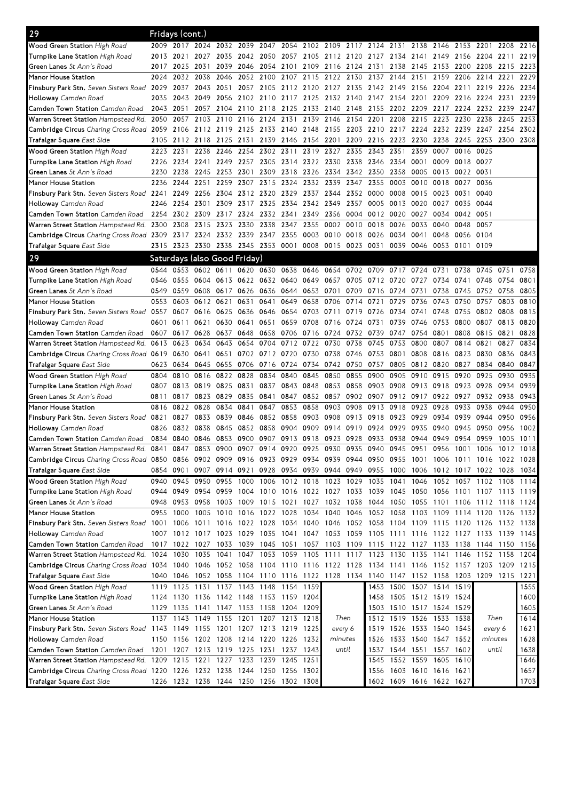| 29                                                                                                                              |           | Fridays (cont.) |                                                                                           |      |                |                |           |                     |                               |                                              |           |                |                                                             |           |           |                          |      |              |
|---------------------------------------------------------------------------------------------------------------------------------|-----------|-----------------|-------------------------------------------------------------------------------------------|------|----------------|----------------|-----------|---------------------|-------------------------------|----------------------------------------------|-----------|----------------|-------------------------------------------------------------|-----------|-----------|--------------------------|------|--------------|
| <b>Wood Green Station</b> High Road                                                                                             | 2009      | 2017            | 2024 2032                                                                                 |      | 2039           | 2047           | 2054      |                     | 2102 2109 2117                |                                              | 2124 2131 |                | 2138                                                        | 2146      | 2153      | 2201                     | 2208 | 2216         |
| <b>Turnpike Lane Station</b> High Road                                                                                          | 2013      | 2021            | 2027                                                                                      | 2035 |                |                |           |                     |                               | 2042 2050 2057 2105 2112 2120 2127 2134 2141 |           |                |                                                             | 2149      | 2156 2204 |                          | 2211 | 2219         |
| Green Lanes St Ann's Road                                                                                                       | 2017      | 2025            | 2031                                                                                      | 2039 |                |                |           |                     |                               | 2046 2054 2101 2109 2116 2124 2131 2138 2145 |           |                |                                                             | 2153      | 2200      | 2208                     | 2215 | 2223         |
| Manor House Station                                                                                                             | 2024      | 2032            | 2038                                                                                      | 2046 |                | 2052 2100 2107 |           | 2115                | 2122 2130                     |                                              | 2137      | 2144 2151      |                                                             | 2159      | 2206      | 2214                     | 2221 | 2229         |
| Finsbury Park Stn. Seven Sisters Road 2029                                                                                      |           | 2037            | 2043 2051                                                                                 |      |                |                |           |                     |                               | 2057 2105 2112 2120 2127 2135 2142 2149 2156 |           |                |                                                             |           |           | 2204 2211 2219 2226 2234 |      |              |
| <b>Holloway</b> Camden Road                                                                                                     | 2035      | 2043            | 2049 2056                                                                                 |      |                |                |           |                     |                               |                                              |           |                | 2102 2110 2117 2125 2132 2140 2147 2154 2201 2209 2216 2224 |           |           |                          | 2231 | 2239         |
| Camden Town Station Camden Road                                                                                                 | 2043      | 2051            | 2057 2104                                                                                 |      |                | 2110 2118 2125 |           |                     |                               | 2133 2140 2148 2155 2202 2209                |           |                |                                                             | 2217      |           | 2224 2232 2239           |      | 2247         |
| Warren Street Station Hampstead Rd. 2050                                                                                        |           | 2057            | 2103 2110                                                                                 |      | 2116 2124 2131 |                |           | 2139 2146           |                               | 2154                                         | 2201      | 2208           | 2215                                                        | 2223      | 2230 2238 |                          | 2245 | 2253         |
| Cambridge Circus Charing Cross Road 2059                                                                                        |           | 2106            | 2112 2119                                                                                 |      | 2125 2133 2140 |                |           |                     |                               | 2148 2155 2203 2210 2217 2224                |           |                |                                                             |           |           | 2232 2239 2247           | 2254 | 2302         |
| <b>Trafalgar Square</b> East Side                                                                                               | 2105      | 2112            | 2118 2125                                                                                 |      | 2131           |                | 2139 2146 | 2154 2201           |                               | 2209                                         | 2216 2223 |                | 2230                                                        | 2238      | 2245 2253 |                          | 2300 | 2308         |
| <b>Wood Green Station High Road</b>                                                                                             | 2223      | 2231            | 2238                                                                                      | 2246 | 2254           | 2302 2311      |           | 2319                | 2327                          | 2335                                         | 2343      | 2351           | 2359                                                        | 0007      | 0016      | 0025                     |      |              |
| <b>Turnpike Lane Station</b> High Road                                                                                          | 2226      | 2234            | 2241 2249                                                                                 |      |                |                |           |                     | 2257 2305 2314 2322 2330 2338 |                                              | 2346 2354 |                | 0001                                                        | 0009      | 0018 0027 |                          |      |              |
| <b>Green Lanes</b> St Ann's Road                                                                                                | 2230      | 2238            | 2245 2253                                                                                 |      |                | 2301 2309 2318 |           |                     |                               | 2326 2334 2342 2350 2358                     |           |                | 0005                                                        | 0013      | 0022      | 0031                     |      |              |
| Manor House Station                                                                                                             | 2236      | 2244            | 2251                                                                                      | 2259 | 2307           | 2315           | 2324      |                     | 2332 2339 2347                |                                              | 2355      | 0003           | 0010                                                        | 0018      | 0027      | 0036                     |      |              |
| <b>Finsbury Park Stn.</b> Seven Sisters Road 2241                                                                               |           | 2249            | 2256 2304                                                                                 |      | 2312 2320      |                | 2329      |                     | 2337 2344                     | 2352 0000                                    |           | 0008           | 0015                                                        | 0023      | 0031      | 0040                     |      |              |
| <b>Holloway</b> Camden Road                                                                                                     | 2246      | 2254            | 2301                                                                                      | 2309 | 2317           | 2325           | 2334      | 2342 2349           |                               | 2357                                         | 0005      | 0013           | 0020                                                        | 0027      | 0035      | 0044                     |      |              |
| Camden Town Station Camden Road                                                                                                 | 2254      | 2302            | 2309                                                                                      | 2317 |                | 2324 2332 2341 |           |                     | 2349 2356 0004                |                                              | 0012 0020 |                | 0027                                                        | 0034      | 0042      | 0051                     |      |              |
| Warren Street Station Hampstead Rd. 2300 2308                                                                                   |           |                 | 2315 2323                                                                                 |      |                | 2330 2338 2347 |           | 2355                | 0002 0010                     |                                              | 0018      | 0026           | 0033                                                        | 0040      | 0048      | 0057                     |      |              |
| Cambridge Circus Charing Cross Road 2309 2317 2324 2332 2339 2347 2355                                                          |           |                 |                                                                                           |      |                |                |           |                     | 0003 0010 0018                |                                              |           | 0026 0034 0041 |                                                             | 0048      | 0056 0104 |                          |      |              |
| Trafalgar Square East Side                                                                                                      |           |                 | 2315 2323 2330 2338 2345 2353 0001                                                        |      |                |                |           |                     |                               | 0008 0015 0023 0031                          |           |                | 0039 0046 0053 0101 0109                                    |           |           |                          |      |              |
| 29                                                                                                                              |           |                 | Saturdays (also Good Friday)                                                              |      |                |                |           |                     |                               |                                              |           |                |                                                             |           |           |                          |      |              |
| Wood Green Station High Road                                                                                                    | 0544      | 0553            | 0602 0611                                                                                 |      |                |                |           |                     |                               |                                              |           |                | 0620 0630 0638 0646 0654 0702 0709 0717 0724 0731           |           | 0738      | 0745                     | 0751 | 0758         |
| <b>Turnpike Lane Station</b> High Road                                                                                          | 0546      | 0555            | 0604 0613                                                                                 |      | 0622 0632 0640 |                |           |                     | 0649 0657                     | 0705                                         |           | 0712 0720 0727 |                                                             | 0734      | 0741      | 0748                     | 0754 | 0801         |
| <b>Green Lanes</b> St Ann's Road                                                                                                | 0549      | 0559            | 0608 0617                                                                                 |      |                | 0626 0636 0644 |           | 0653 0701           |                               | 0709                                         |           | 0716 0724 0731 |                                                             | 0738      | 0745 0752 |                          | 0758 | 0805         |
| Manor House Station                                                                                                             | 0553      | 0603            | 0612 0621                                                                                 |      | 0631           | 0641           | 0649      | 0658                | 0706                          | 0714                                         | 0721      | 0729           | 0736                                                        | 0743      | 0750      | 0757                     | 0803 | 0810         |
| Finsbury Park Stn. Seven Sisters Road 0557                                                                                      |           | 0607            | 0616 0625                                                                                 |      | 0636           | 0646           | 0654      |                     | 0703 0711                     | 0719                                         | 0726      | 0734 0741      |                                                             | 0748      | 0755 0802 |                          | 0808 | 0815         |
| <b>Holloway</b> Camden Road                                                                                                     | 0601      | 0611            | 0621                                                                                      | 0630 | 0641           | 0651           | 0659      | 0708                | 0716 0724                     |                                              | 0731      | 0739           | 0746                                                        | 0753      | 0800      | 0807                     | 0813 | 0820         |
| <b>Camden Town Station</b> Camden Road                                                                                          |           | 0607 0617       | 0628                                                                                      | 0637 | 0648           | 0658 0706      |           |                     |                               | 0716 0724 0732 0739                          |           | 0747           | 0754                                                        | 0801      | 0808      | 0815                     | 0821 | 0828         |
| Warren Street Station Hampstead Rd. 0613                                                                                        |           | 0623            | 0634                                                                                      | 0643 | 0654           |                |           | 0704 0712 0722 0730 |                               | 0738                                         | 0745      | 0753           | 0800                                                        | 0807      | 0814      | 0821                     | 0827 | 0834         |
| Cambridge Circus Charing Cross Road 0619                                                                                        |           | 0630            | 0641                                                                                      | 0651 | 0702           | 0712 0720      |           | 0730                | 0738                          | 0746                                         | 0753      | 0801           | 0808                                                        | 0816      | 0823      | 0830                     | 0836 | 0843         |
| Trafalgar Square East Side                                                                                                      | 0623      | 0634            | 0645 0655                                                                                 |      | 0706 0716 0724 |                |           |                     | 0734 0742 0750                |                                              | 0757      |                | 0805 0812                                                   | 0820      | 0827      | 0834                     | 0840 | 0847         |
|                                                                                                                                 |           |                 |                                                                                           |      |                |                |           |                     |                               |                                              |           |                |                                                             |           |           |                          |      |              |
|                                                                                                                                 |           |                 |                                                                                           |      |                |                |           |                     |                               |                                              |           |                |                                                             |           |           |                          |      |              |
| <b>Wood Green Station</b> High Road                                                                                             | 0804      | 0810            | 0816 0822                                                                                 |      | 0828           | 0834           | 0840      | 0845                | 0850                          | 0855                                         | 0900      | 0905           | 0910                                                        | 0915      | 0920      | 0925                     | 0930 | 0935         |
| <b>Turnpike Lane Station</b> High Road                                                                                          | 0807      | 0813            | 0819 0825                                                                                 |      | 0831           | 0837           | 0843      | 0848                | 0853 0858                     |                                              | 0903 0908 |                | 0913                                                        | 0918      | 0923 0928 |                          | 0934 | 0939         |
| <b>Green Lanes</b> St Ann's Road                                                                                                | 0811      | 0817            | 0823 0829                                                                                 |      | 0835           | 0841           | 0847      | 0852 0857           |                               |                                              | 0902 0907 | 0912 0917      |                                                             | 0922 0927 |           | 0932                     | 0938 | 0943         |
| Manor House Station                                                                                                             | 0816      | 0822            | 0828                                                                                      | 0834 | 0841           | 0847           | 0853      | 0858                | 0903                          | 0908                                         | 0913      | 0918           | 0923                                                        | 0928      | 0933      | 0938                     | 0944 | 0950         |
| Finsbury Park Stn. Seven Sisters Road 0821                                                                                      |           | 0827            | 0833                                                                                      | 0839 | 0846           | 0852           | 0858      |                     |                               | 0903 0908 0913 0918 0923                     |           |                | 0929                                                        | 0934      | 0939 0944 |                          | 0950 | 0956         |
| Holloway Camden Road                                                                                                            | 0826      | 0832            | 0838                                                                                      | 0845 | 0852           | 0858 0904      |           |                     | 0909 0914                     | 0919                                         | 0924      | 0929           | 0935                                                        | 0940      | 0945      | 0950                     | 0956 | 1002         |
| <b>Camden Town Station</b> Camden Road                                                                                          | 0834 0840 |                 | 0846                                                                                      | 0853 | 0900           | 0907           | 0913      | 0918                | 0923                          | 0928                                         | 0933      | 0938           | 0944                                                        | 0949      | 0954      | 0959                     | 1005 | 1011         |
| Warren Street Station Hampstead Rd. 0841                                                                                        |           | 0847            | 0853 0900                                                                                 |      | 0907           | 0914           | 0920      |                     | 0925 0930 0935                |                                              | 0940      | 0945 0951      |                                                             | 0956      | 1001 1006 |                          | 1012 | 1018         |
| Cambridge Circus Charing Cross Road 0850 0856 0902 0909 0916 0923 0929 0934 0939 0944 0950 0955 1001 1006 1011 1016 1022 1028   |           |                 |                                                                                           |      |                |                |           |                     |                               |                                              |           |                |                                                             |           |           |                          |      |              |
| <b>Trafalgar Square</b> East Side                                                                                               |           | 0854 0901       | 0907 0914 0921 0928 0934 0939 0944 0949 0955 1000 1006 1012 1017 1022 1028 1034           |      |                |                |           |                     |                               |                                              |           |                |                                                             |           |           |                          |      |              |
| Wood Green Station High Road                                                                                                    | 0940      |                 | 0945 0950 0955 1000 1006 1012 1018 1023 1029 1035 1041 1046 1052 1057 1102 1108 1114      |      |                |                |           |                     |                               |                                              |           |                |                                                             |           |           |                          |      |              |
| <b>Turnpike Lane Station</b> High Road                                                                                          | 0944      | 0949            | 0954 0959 1004 1010 1016 1022 1027 1033 1039 1045 1050 1056 1101 1107 1113 1119           |      |                |                |           |                     |                               |                                              |           |                |                                                             |           |           |                          |      |              |
| Green Lanes St Ann's Road                                                                                                       |           |                 | 0948 0953 0958 1003 1009 1015 1021 1027 1032 1038 1044 1050 1055 1101 1106 1112 1118 1124 |      |                |                |           |                     |                               |                                              |           |                |                                                             |           |           |                          |      |              |
| Manor House Station                                                                                                             |           |                 | 0955 1000 1005 1010 1016 1022 1028 1034 1040 1046 1052 1058 1103 1109 1114 1120 1126 1132 |      |                |                |           |                     |                               |                                              |           |                |                                                             |           |           |                          |      |              |
| Finsbury Park Stn. Seven Sisters Road 1001 1006 1011 1016 1022 1028 1034 1040 1046 1052 1058 1104 1109 1115 1120 1126 1132 1138 |           |                 |                                                                                           |      |                |                |           |                     |                               |                                              |           |                |                                                             |           |           |                          |      |              |
| Holloway Camden Road                                                                                                            |           |                 | 1007 1012 1017 1023 1029 1035 1041 1047 1053 1059 1105 1111 1116 1122 1127 1133 1139 1145 |      |                |                |           |                     |                               |                                              |           |                |                                                             |           |           |                          |      |              |
| Camden Town Station Camden Road                                                                                                 |           |                 | 1017 1022 1027 1033                                                                       |      | 1039 1045 1051 |                |           |                     |                               |                                              |           |                | 1057 1103 1109 1115 1122 1127 1133 1138 1144 1150           |           |           |                          |      | 1156         |
| Warren Street Station Hampstead Rd. 1024 1030 1035 1041 1047 1053 1059 1105 1111 1117 1123 1130 1135 1141 1146 1152 1158 1204   |           |                 |                                                                                           |      |                |                |           |                     |                               |                                              |           |                |                                                             |           |           |                          |      |              |
| Cambridge Circus Charing Cross Road 1034 1040 1046 1052 1058 1104 1110 1116 1122 1128 1134 1141 1146 1152 1157 1203 1209 1215   |           |                 |                                                                                           |      |                |                |           |                     |                               |                                              |           |                |                                                             |           |           |                          |      |              |
| Trafalgar Square East Side                                                                                                      | 1040      | 1046            | 1052 1058 1104 1110 1116 1122 1128 1134 1140 1147 1152 1158 1203 1209 1215 1221           |      |                |                |           |                     |                               |                                              |           |                |                                                             |           |           |                          |      |              |
| Wood Green Station High Road                                                                                                    |           |                 | 1119 1125 1131 1137 1143 1148 1154 1159                                                   |      |                |                |           |                     |                               |                                              |           |                | 1453 1500 1507 1514 1519                                    |           |           |                          |      | 1555         |
| <b>Turnpike Lane Station</b> High Road                                                                                          | 1124      |                 | 1130 1136 1142 1148 1153 1159 1204                                                        |      |                |                |           |                     |                               |                                              |           |                | 1458 1505 1512 1519 1524                                    |           |           |                          |      | 1600         |
| <b>Green Lanes</b> St Ann's Road                                                                                                | 1129      |                 | 1135 1141 1147 1153 1158 1204 1209                                                        |      |                |                |           |                     |                               |                                              |           |                | 1503 1510 1517 1524 1529                                    |           |           |                          |      | 1605         |
| Manor House Station                                                                                                             |           |                 | 1137 1143 1149 1155 1201 1207 1213 1218                                                   |      |                |                |           |                     | Then                          |                                              |           |                | 1512 1519 1526 1533 1538                                    |           |           | Then                     |      | 1614         |
| Finsbury Park Stn. Seven Sisters Road 1143 1149 1155 1201 1207 1213 1219 1225                                                   |           |                 |                                                                                           |      |                |                |           |                     | every 6                       |                                              |           |                | 1519 1526 1533 1540 1545                                    |           |           | every 6                  |      | 1621         |
| <b>Holloway</b> Camden Road                                                                                                     |           |                 | 1150 1156 1202 1208 1214 1220 1226 1232                                                   |      |                |                |           |                     | minutes                       |                                              |           |                | 1526 1533 1540 1547 1552                                    |           |           | minutes                  |      | 1628         |
| Camden Town Station <i>Camden Road</i>                                                                                          |           |                 | 1201 1207 1213 1219 1225 1231 1237 1243                                                   |      |                |                |           |                     | until                         |                                              |           |                | 1537 1544 1551 1557 1602                                    |           |           | until                    |      |              |
| Warren Street Station Hampstead Rd. 1209 1215 1221 1227 1233 1239 1245                                                          |           |                 |                                                                                           |      |                |                |           | 1251                |                               |                                              |           |                | 1545 1552 1559 1605 1610                                    |           |           |                          |      | 1638<br>1646 |
| Cambridge Circus Charing Cross Road 1220 1226 1232 1238 1244 1250 1256 1302<br>Trafalgar Square East Side                       |           |                 | 1226 1232 1238 1244 1250 1256 1302 1308                                                   |      |                |                |           |                     |                               |                                              |           |                | 1556 1603 1610 1616 1621<br>1602 1609 1616 1622 1627        |           |           |                          |      | 1657<br>1703 |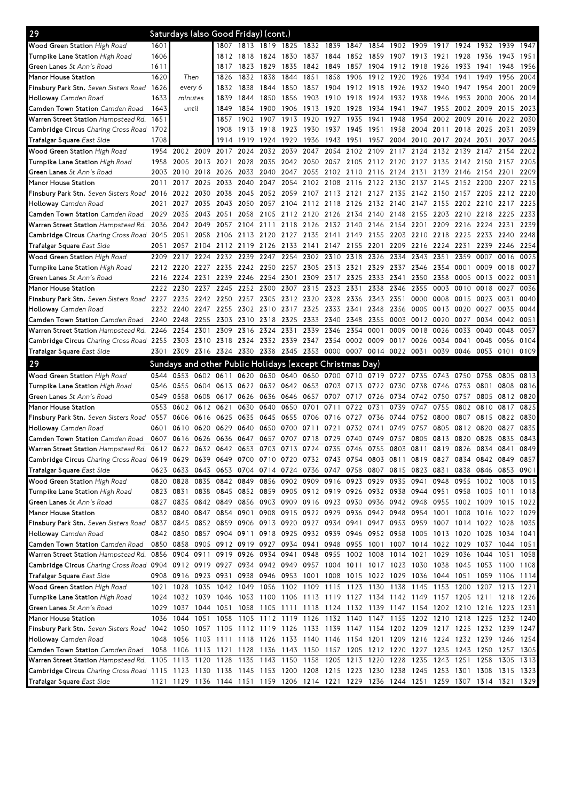| 29                                                                                                                                                          |      | Saturdays (also Good Friday) (cont.)                                                      |           |                                                                                 |                |                |      |                |                               |                |           |        |                                              |           |                |                                                                       |                |      |
|-------------------------------------------------------------------------------------------------------------------------------------------------------------|------|-------------------------------------------------------------------------------------------|-----------|---------------------------------------------------------------------------------|----------------|----------------|------|----------------|-------------------------------|----------------|-----------|--------|----------------------------------------------|-----------|----------------|-----------------------------------------------------------------------|----------------|------|
| Wood Green Station High Road                                                                                                                                | 1601 |                                                                                           |           | 1807                                                                            |                | 1813 1819 1825 |      | 1832 1839      |                               | 1847           | 1854      | 1902   | 1909                                         | 1917      | 1924           | 1932                                                                  | 1939           | 1947 |
| Turnpike Lane Station High Road                                                                                                                             | 1606 |                                                                                           |           | 1812                                                                            | 1818           | 1824           | 1830 | 1837           | 1844                          | 1852           | 1859      | 1907   | 1913                                         | 1921      | 1928           | 1936                                                                  | 1943           | 1951 |
| Green Lanes St Ann's Road                                                                                                                                   | 1611 |                                                                                           |           | 1817                                                                            | 1823           | 1829           | 1835 | 1842           | 1849                          | 1857           | 1904      | 1912   | 1918                                         | 1926      | 1933           | 1941                                                                  | 1948           | 1956 |
| Manor House Station                                                                                                                                         | 1620 | Then                                                                                      |           | 1826                                                                            | 1832           | 1838           | 1844 | 1851           | 1858                          | 1906           | 1912      | 1920   | 1926                                         | 1934      | 1941           | 1949                                                                  | 1956           | 2004 |
| Finsbury Park Stn. Seven Sisters Road                                                                                                                       | 1626 | every 6                                                                                   |           | 1832                                                                            | 1838           | 1844           | 1850 | 1857           | 1904                          | 1912 1918      |           | - 1926 | 1932 1940                                    |           | 1947           | 1954                                                                  | 2001           | 2009 |
| Holloway Camden Road                                                                                                                                        | 1633 | minutes                                                                                   |           | 1839                                                                            | 1844           | 1850           | 1856 | 1903           | 1910                          | 1918           | 1924      | 1932   | 1938                                         | 1946      | 1953           | 2000                                                                  | 2006           | 2014 |
| Camden Town Station Camden Road                                                                                                                             | 1643 | until                                                                                     |           | 1849                                                                            | 1854           | 1900           | 1906 | 1913           | 1920                          | 1928           | 1934      | 1941   | 1947                                         | 1955      | 2002           | 2009                                                                  | 2015           | 2023 |
| Warren Street Station Hampstead Rd. 1651                                                                                                                    |      |                                                                                           |           | 1857                                                                            | 1902           | 1907           | 1913 | 1920           | 1927                          | 1935           | 1941      | 1948   | 1954                                         | 2002      | 2009           | 2016                                                                  | 2022           | 2030 |
| Cambridge Circus Charing Cross Road 1702                                                                                                                    |      |                                                                                           |           | 1908                                                                            |                | 1913 1918      | 1923 | 1930           | 1937                          | 1945           | 1951      | 1958   | 2004                                         | 2011      | 2018           | 2025                                                                  | 2031           | 2039 |
| Trafalgar Square East Side                                                                                                                                  | 1708 |                                                                                           |           | 1914                                                                            | 1919           | 1924           | 1929 | 1936           | 1943                          | 1951           | 1957      | 2004   | 2010                                         | 2017      | 2024           | 2031                                                                  | 2037           | 2045 |
| Wood Green Station High Road                                                                                                                                |      | 1954 2002                                                                                 | 2009      | 2017                                                                            | 2024           | 2032           | 2039 | 2047           | 2054                          | 2102           | 2109      | 2117   | 2124                                         | 2132      | 2139           | 2147                                                                  | 2154           | 2202 |
| Turnpike Lane Station High Road                                                                                                                             | 1958 | 2005 2013                                                                                 |           | 2021                                                                            |                | 2028 2035      | 2042 |                | 2050 2057 2105 2112 2120      |                |           |        | 2127                                         |           |                | 2135 2142 2150 2157                                                   |                | 2205 |
| Green Lanes St Ann's Road                                                                                                                                   | 2003 | 2010                                                                                      | 2018      | 2026                                                                            | 2033           | 2040           | 2047 | 2055           | 2102                          | 2110           | 2116 2124 |        | 2131                                         | 2139      | 2146           | 2154 2201                                                             |                | 2209 |
| Manor House Station                                                                                                                                         | 2011 | 2017                                                                                      | 2025      | 2033                                                                            | 2040           | 2047           | 2054 | 2102           | 2108                          | 2116           | 2122      | 2130   | 2137                                         | 2145      | 2152           | 2200                                                                  | 2207           | 2215 |
| Finsbury Park Stn. Seven Sisters Road 2016                                                                                                                  |      | 2022                                                                                      | 2030      | 2038                                                                            | 2045           | 2052           | 2059 | 2107 2113      |                               | 2121           | 2127      | 2135   | 2142                                         | 2150      | 2157           | 2205                                                                  | 2212           | 2220 |
| Holloway Camden Road                                                                                                                                        | 2021 | 2027                                                                                      | 2035      | 2043                                                                            | 2050           | 2057           | 2104 | 2112           | 2118                          | 2126           | 2132      | 2140   | 2147                                         | 2155      | 2202           | 2210                                                                  | 2217           | 2225 |
| Camden Town Station Camden Road                                                                                                                             | 2029 | 2035                                                                                      | 2043      | 2051                                                                            | 2058           | 2105           | 2112 | 2120 2126      |                               | 2134 2140 2148 |           |        | 2155                                         | 2203      | 2210           | 2218                                                                  | 2225           | 2233 |
| Warren Street Station Hampstead Rd.                                                                                                                         | 2036 | 2042 2049                                                                                 |           | 2057                                                                            | 2104 2111      |                | 2118 |                | 2126 2132 2140                |                | 2146      | 2154   | 2201                                         | 2209      | 2216           | 2224                                                                  | 2231           | 2239 |
| Cambridge Circus Charing Cross Road 2045                                                                                                                    |      | 2051                                                                                      |           | 2058 2106 2113 2120 2127 2135 2141 2149 2155 2203 2210 2218 2225 2233 2240      |                |                |      |                |                               |                |           |        |                                              |           |                |                                                                       |                | 2248 |
| Trafalgar Square East Side                                                                                                                                  | 2051 | 2057                                                                                      |           | 2104 2112                                                                       | 2119 2126 2133 |                |      |                | 2141 2147 2155                |                | 2201      | 2209   | 2216                                         | 2224 2231 |                | 2239                                                                  | 2246           | 2254 |
| Wood Green Station High Road                                                                                                                                | 2209 | 2217                                                                                      | 2224      | 2232                                                                            | 2239           | 2247           | 2254 | 2302           | 2310                          | 2318           | 2326      | 2334   | 2343                                         | 2351      | 2359           | 0007                                                                  | 0016           | 0025 |
| Turnpike Lane Station High Road                                                                                                                             | 2212 | 2220                                                                                      | 2227 2235 |                                                                                 | 2242 2250      |                | 2257 | 2305 2313      |                               | 2321           | 2329      | 2337   | 2346                                         | 2354      | 0001           | 0009                                                                  | 0018           | 0027 |
| Green Lanes St Ann's Road                                                                                                                                   | 2216 | 2224                                                                                      | 2231      | 2239                                                                            | 2246           | 2254           | 2301 | 2309           | 2317                          | 2325           | 2333      | 2341   | 2350                                         | 2358      | 0005           | 0013                                                                  | 0022           | 0031 |
| Manor House Station                                                                                                                                         | 2222 | 2230                                                                                      | 2237      | 2245                                                                            | 2252           | 2300           | 2307 | 2315           | 2323                          | 2331           | 2338      | 2346   | 2355                                         | 0003      | 0010           | 0018                                                                  | 0027           | 0036 |
| Finsbury Park Stn. Seven Sisters Road 2227                                                                                                                  |      | 2235                                                                                      | 2242 2250 |                                                                                 |                | 2257 2305      |      | 2312 2320 2328 |                               | 2336           | 2343 2351 |        | 0000                                         | 0008      | 0015           | 0023                                                                  | 0031           | 0040 |
| Holloway Camden Road                                                                                                                                        | 2232 | 2240                                                                                      | 2247      | 2255                                                                            |                | 2302 2310      | 2317 | 2325 2333      |                               | 2341           | 2348      | 2356   | 0005                                         | 0013      | 0020           | 0027                                                                  | 0035           | 0044 |
| Camden Town Station Camden Road                                                                                                                             | 2240 | 2248                                                                                      | 2255      | 2303                                                                            |                | 2310 2318      | 2325 | 2333 2340      |                               | 2348           | 2355      | 0003   | 0012                                         | 0020      | 0027           | 0034                                                                  | 0042           | 0051 |
| Warren Street Station Hampstead Rd. 2246                                                                                                                    |      | 2254                                                                                      | 2301      | 2309                                                                            | 2316           | 2324           | 2331 | 2339           | 2346                          | 2354           | 0001      | 0009   | 0018                                         | 0026      | 0033           | 0040                                                                  | 0048           | 0057 |
| Cambridge Circus Charing Cross Road 2255                                                                                                                    |      | 2303 2310 2318                                                                            |           |                                                                                 | 2324           | 2332 2339      |      | 2347 2354      |                               | 0002           | 0009      | 0017   | 0026                                         | 0034      | 0041           | 0048                                                                  | 0056           | 0104 |
| Trafalgar Square East Side                                                                                                                                  | 2301 | 2309                                                                                      |           | 2316 2324 2330 2338 2345                                                        |                |                |      |                | 2353 0000 0007 0014 0022 0031 |                |           |        |                                              |           | 0039 0046 0053 |                                                                       | 0101           | 0109 |
|                                                                                                                                                             |      |                                                                                           |           |                                                                                 |                |                |      |                |                               |                |           |        |                                              |           |                |                                                                       |                |      |
|                                                                                                                                                             |      |                                                                                           |           |                                                                                 |                |                |      |                |                               |                |           |        |                                              |           |                |                                                                       |                |      |
| 29                                                                                                                                                          |      | Sundays and other Public Holidays (except Christmas Day)                                  |           |                                                                                 |                |                |      |                |                               |                |           |        |                                              |           |                |                                                                       |                |      |
| Wood Green Station High Road                                                                                                                                | 0544 | 0553                                                                                      | 0602 0611 |                                                                                 | 0620           | 0630 0640      |      | 0650           | 0700                          | 0710 0719      |           | 0727   | 0735                                         | 0743      | 0750           | 0758                                                                  | 0805           | 0813 |
| Turnpike Lane Station High Road                                                                                                                             | 0546 | 0555                                                                                      | 0604      | 0613                                                                            |                | 0622 0632 0642 |      | 0653           | 0703                          | 0713           | 0722      | 0730   | 0738                                         | 0746      | 0753           | 0801                                                                  | 0808           | 0816 |
| Green Lanes St Ann's Road                                                                                                                                   | 0549 | 0558                                                                                      | 0608      | 0617                                                                            | 0626           | 0636 0646      |      | 0657           | 0707                          | 0717           | 0726      | 0734   | 0742                                         | 0750      | 0757           | 0805                                                                  | 0812           | 0820 |
| Manor House Station                                                                                                                                         | 0553 | 0602                                                                                      | 0612 0621 |                                                                                 | 0630           | 0640           | 0650 | 0701           | 0711                          | 0722           | 0731      | 0739   | 0747                                         | 0755      | 0802           | 0810                                                                  | 0817           | 0825 |
| Finsbury Park Stn. Seven Sisters Road 0557                                                                                                                  |      | 0606                                                                                      | 0616 0625 |                                                                                 | 0635           | 0645           | 0655 | 0706 0716      |                               | 0727           | 0736      | 0744   | 0752                                         | 0800      | 0807           | 0815                                                                  | 0822           | 0830 |
| Holloway Camden Road                                                                                                                                        | 0601 | 0610                                                                                      | 0620      | 0629                                                                            | 0640           | 0650           | 0700 | 0711           | 0721                          | 0732           | 0741      | 0749   | 0757                                         | 0805      | 0812           | 0820                                                                  | 0827           | 0835 |
| Camden Town Station Camden Road                                                                                                                             | 0607 | 0616                                                                                      | 0626      | 0636                                                                            | 0647           | 0657           | 0707 | 0718           | 0729                          | 0740           | 0749      | 0757   | 0805                                         | 0813      | 0820           | 0828                                                                  | 0835           | 0843 |
| Warren Street Station Hampstead Rd. 0612 0622 0632 0642 0653 0703 0713                                                                                      |      |                                                                                           |           |                                                                                 |                |                |      |                | 0724 0735 0746                |                | 0755      | 0803   | 0811 0819                                    |           | 0826           | 0834 0841                                                             |                | 0849 |
| Cambridge Circus Charing Cross Road 0619 0629 0639 0649 0700 0710 0720 0732 0743 0754 0803 0811 0819 0827 0834 0842 0849 0857                               |      |                                                                                           |           |                                                                                 |                |                |      |                |                               |                |           |        |                                              |           |                |                                                                       |                |      |
| Trafalgar Square East Side                                                                                                                                  |      | 0623 0633 0643 0653 0704 0714 0724 0736 0747 0758 0807 0815 0823 0831                     |           |                                                                                 |                |                |      |                |                               |                |           |        |                                              |           |                | 0838 0846 0853 0901                                                   |                |      |
| Wood Green Station High Road                                                                                                                                |      | 0820 0828                                                                                 |           | 0835 0842 0849 0856 0902 0909 0916 0923 0929 0935                               |                |                |      |                |                               |                |           |        | 0941                                         | 0948      | 0955           |                                                                       | 1002 1008 1015 |      |
| Turnpike Lane Station High Road                                                                                                                             |      | 0823 0831 0838 0845 0852 0859 0905 0912 0919 0926 0932 0938 0944 0951 0958 1005 1011 1018 |           |                                                                                 |                |                |      |                |                               |                |           |        |                                              |           |                |                                                                       |                |      |
| <b>Green Lanes</b> St Ann's Road                                                                                                                            |      | 0827 0835 0842 0849 0856 0903 0909 0916 0923 0930 0936 0942 0948 0955 1002 1009 1015 1022 |           |                                                                                 |                |                |      |                |                               |                |           |        |                                              |           |                |                                                                       |                |      |
| Manor House Station                                                                                                                                         |      | 0832 0840                                                                                 | 0847 0854 |                                                                                 | 0901           |                |      |                |                               |                |           |        | 0908 0915 0922 0929 0936 0942 0948 0954 1001 |           |                | 1008 1016 1022 1029                                                   |                |      |
| Finsbury Park Stn. Seven Sisters Road 0837 0845 0852 0859 0906 0913 0920 0927 0934 0941 0947 0953 0959 1007 1014 1022 1028 1035                             |      |                                                                                           |           |                                                                                 |                |                |      |                |                               |                |           |        |                                              |           |                |                                                                       |                |      |
| Holloway Camden Road                                                                                                                                        |      | 0842 0850 0857 0904 0911 0918 0925 0932 0939 0946 0952 0958 1005 1013 1020 1028 1034 1041 |           |                                                                                 |                |                |      |                |                               |                |           |        |                                              |           |                |                                                                       |                |      |
| Camden Town Station Camden Road                                                                                                                             |      | 0850 0858 0905 0912 0919 0927 0934 0941 0948 0955 1001 1007 1014 1022 1029 1037 1044 1051 |           |                                                                                 |                |                |      |                |                               |                |           |        |                                              |           |                |                                                                       |                |      |
| Warren Street Station Hampstead Rd. 0856 0904 0911 0919 0926 0934 0941 0948 0955 1002 1008 1014 1021 1029 1036                                              |      |                                                                                           |           |                                                                                 |                |                |      |                |                               |                |           |        |                                              |           |                | 1044 1051 1058                                                        |                |      |
| Cambridge Circus Charing Cross Road 0904 0912 0919 0927 0934 0942 0949 0957 1004 1011 1017 1023 1030 1038 1045 1053 1100 1108                               |      |                                                                                           |           |                                                                                 |                |                |      |                |                               |                |           |        |                                              |           |                |                                                                       |                |      |
| Trafalgar Square East Side                                                                                                                                  |      | 0908 0916 0923 0931 0938 0946 0953 1001 1008 1015 1022 1029 1036 1044 1051 1059 1106 1114 |           |                                                                                 |                |                |      |                |                               |                |           |        |                                              |           |                |                                                                       |                |      |
| Wood Green Station High Road                                                                                                                                |      | 1021 1028                                                                                 |           | 1035 1042 1049 1056 1102 1109 1115 1123 1130 1138 1145 1153 1200 1207 1213 1221 |                |                |      |                |                               |                |           |        |                                              |           |                |                                                                       |                |      |
| Turnpike Lane Station High Road                                                                                                                             |      | 1024 1032 1039 1046 1053 1100 1106 1113 1119 1127 1134 1142 1149 1157 1205 1211 1218 1226 |           |                                                                                 |                |                |      |                |                               |                |           |        |                                              |           |                |                                                                       |                |      |
| Green Lanes St Ann's Road                                                                                                                                   | 1029 | 1037                                                                                      |           | 1044 1051 1058 1105 1111 1118 1124 1132 1139 1147 1154 1202 1210 1216 1223 1231 |                |                |      |                |                               |                |           |        |                                              |           |                |                                                                       |                |      |
| Manor House Station                                                                                                                                         | 1036 | 1044                                                                                      | 1051      | 1058                                                                            |                |                |      |                |                               |                |           |        |                                              |           |                | 1105 1112 1119 1126 1132 1140 1147 1155 1202 1210 1218 1225 1232 1240 |                |      |
| Finsbury Park Stn. Seven Sisters Road 1042 1050 1057 1105 1112 1119 1126 1133 1139 1147 1154 1202 1209 1217 1225 1232 1239 1247                             |      |                                                                                           |           |                                                                                 |                |                |      |                |                               |                |           |        |                                              |           |                |                                                                       |                |      |
| Holloway Camden Road                                                                                                                                        |      | 1048 1056 1103 1111 1118 1126 1133 1140 1146 1154 1201 1209 1216 1224 1232 1239 1246 1254 |           |                                                                                 |                |                |      |                |                               |                |           |        |                                              |           |                |                                                                       |                |      |
| Camden Town Station Camden Road 1058 1106 1113 1121 1128 1136 1143 1150 1157 1205 1212 1220 1227 1235 1243 1250 1257 1305                                   |      |                                                                                           |           |                                                                                 |                |                |      |                |                               |                |           |        |                                              |           |                |                                                                       |                |      |
| Warren Street Station Hampstead Rd. 1105 1113 1120 1128 1135 1143 1150 1158 1205 1213 1220 1228 1235 1243 1251 1258 1305 1313                               |      |                                                                                           |           |                                                                                 |                |                |      |                |                               |                |           |        |                                              |           |                |                                                                       |                |      |
| Cambridge Circus Charing Cross Road 1115 1123 1130 1138 1145 1153 1200 1208 1215 1223 1230 1238 1245 1253 1301 1308 1315 1323<br>Trafalgar Square East Side |      | 1121 1129 1136 1144 1151 1159 1206 1214 1221 1229 1236 1244 1251 1259 1307 1314 1321 1329 |           |                                                                                 |                |                |      |                |                               |                |           |        |                                              |           |                |                                                                       |                |      |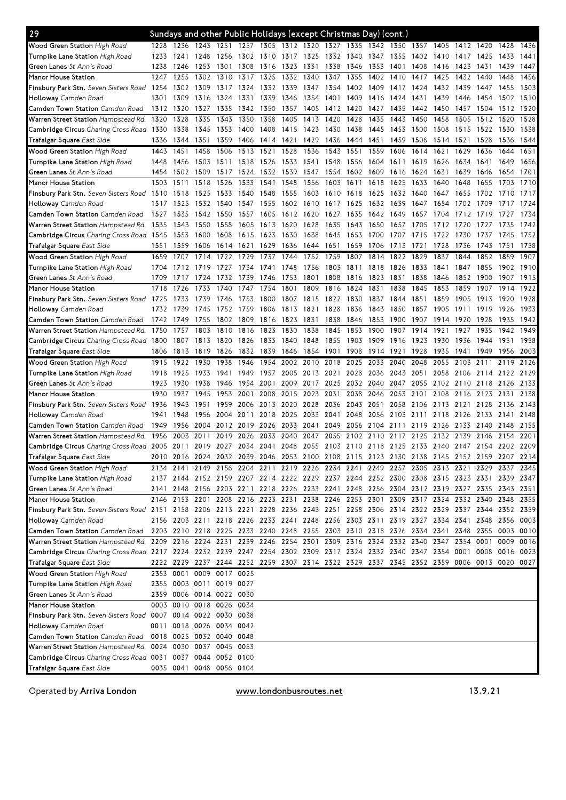| 29                                                                                                                              |      |           | Sundays and other Public Holidays (except Christmas Day) (cont.) |                |           |      |      |      |                |      |      |           |                                                                                           |      |           |          |           |      |
|---------------------------------------------------------------------------------------------------------------------------------|------|-----------|------------------------------------------------------------------|----------------|-----------|------|------|------|----------------|------|------|-----------|-------------------------------------------------------------------------------------------|------|-----------|----------|-----------|------|
| Wood Green Station High Road                                                                                                    | 1228 | 1236      | 1243 1251 1257 1305 1312 1320 1327                               |                |           |      |      |      |                | 1335 | 1342 |           | 1350 1357 1405                                                                            |      | 1412 1420 |          | 1428 1436 |      |
| <b>Turnpike Lane Station</b> High Road                                                                                          | 1233 | 1241      | 1248                                                             | 1256           | 1302 1310 |      | 1317 | 1325 | 1332           | 1340 | 1347 | 1355      | 1402                                                                                      | 1410 | 1417      | 1425     | 1433      | 1441 |
| <b>Green Lanes</b> St Ann's Road                                                                                                | 1238 | 1246      | 1253                                                             | 1301           | 1308      | 1316 | 1323 | 1331 | 1338           | 1346 | 1353 | 1401      | 1408                                                                                      | 1416 | 1423      | 1431     | 1439      | 1447 |
| Manor House Station                                                                                                             | 1247 | 1255      | 1302                                                             | 1310           | 1317      | 1325 | 1332 | 1340 | 1347           | 1355 | 1402 | 1410      | 1417                                                                                      | 1425 | 1432      | 1440     | 1448      | 1456 |
| Finsbury Park Stn. Seven Sisters Road 1254                                                                                      |      | 1302      | 1309                                                             | 1317           | 1324      | 1332 | 1339 | 1347 | 1354           | 1402 | 1409 | 1417      | 1424                                                                                      | 1432 | 1439      | 1447     | 1455      | 1503 |
| <b>Holloway</b> Camden Road                                                                                                     | 1301 | 1309      | 1316                                                             | 1324           | 1331      | 1339 | 1346 | 1354 | 1401           | 1409 | 1416 | 1424      | 1431                                                                                      | 1439 | 1446      | 1454     | 1502      | 1510 |
| <b>Camden Town Station</b> Camden Road                                                                                          | 1312 | 1320      | 1327                                                             | 1335           | 1342      | 1350 | 1357 | 1405 | 1412           | 1420 | 1427 | 1435      | 1442                                                                                      | 1450 | 1457      | 1504     | 1512      | 1520 |
| Warren Street Station Hampstead Rd. 1320                                                                                        |      | 1328      | 1335                                                             | 1343           | 1350      | 1358 | 1405 | 1413 | 1420           | 1428 | 1435 | 1443      | 1450                                                                                      | 1458 | 1505      | 1512     | 1520      | 1528 |
| Cambridge Circus Charing Cross Road 1330                                                                                        |      | 1338      | 1345                                                             | 1353           | 1400      | 1408 | 1415 | 1423 | 1430           | 1438 | 1445 | 1453      | 1500                                                                                      | 1508 | 1515      | 1522     | 1530      | 1538 |
| <b>Trafalgar Square</b> East Side                                                                                               | 1336 | 1344      | 1351                                                             | 1359           | 1406      | 1414 | 1421 | 1429 | 1436           | 1444 | 1451 | 1459      | 1506                                                                                      | 1514 | 1521      | 1528     | 1536      | 1544 |
| Wood Green Station High Road                                                                                                    | 1443 | 1451      | 1458                                                             | 1506           | 1513      | 1521 | 1528 | 1536 | 1543           | 1551 | 1559 | 1606      | 1614                                                                                      | 1621 | 1629      | 1636     | 1644      | 1651 |
| <b>Turnpike Lane Station</b> High Road                                                                                          | 1448 | 1456      | 1503                                                             | 1511           | 1518      | 1526 | 1533 | 1541 | 1548           | 1556 | 1604 | 1611      | 1619                                                                                      | 1626 | 1634      | 1641     | 1649      | 1656 |
| <b>Green Lanes</b> St Ann's Road                                                                                                | 1454 | 1502      | 1509                                                             | 1517           | 1524      | 1532 | 1539 | 1547 | 1554           | 1602 | 1609 | 1616      | 1624                                                                                      | 1631 | 1639      | 1646     | 1654      | 1701 |
| Manor House Station                                                                                                             | 1503 | 1511      | 1518                                                             | 1526           | 1533      | 1541 | 1548 | 1556 | 1603           | 1611 | 1618 | 1625      | 1633                                                                                      | 1640 | 1648      | 1655     | 1703      | 1710 |
| Finsbury Park Stn. Seven Sisters Road 1510                                                                                      |      | 1518      | 1525                                                             | 1533           | 1540      | 1548 | 1555 |      | 1603 1610 1618 |      | 1625 | 1632 1640 |                                                                                           | 1647 | 1655      | 1702     | 1710      | 1717 |
| <b>Holloway</b> Camden Road                                                                                                     | 1517 | 1525      | 1532                                                             | 1540           | 1547      | 1555 | 1602 | 1610 | 1617           | 1625 | 1632 | 1639      | 1647                                                                                      | 1654 | 1702      |          |           | 1724 |
| Camden Town Station Camden Road                                                                                                 | 1527 | 1535      | 1542                                                             | 1550           | 1557      | 1605 | 1612 | 1620 | 1627           | 1635 | 1642 | 1649      | 1657                                                                                      | 1704 | 1712      | 1719     | 1727      | 1734 |
| Warren Street Station Hampstead Rd.                                                                                             | 1535 | 1543      | 1550                                                             | 1558           | 1605      | 1613 | 1620 | 1628 | 1635           | 1643 | 1650 | 1657      | 1705                                                                                      | 1712 | 1720      | 1727     | 1735      | 1742 |
| Cambridge Circus Charing Cross Road 1545                                                                                        |      | 1553      | 1600                                                             | 1608           | 1615      | 1623 | 1630 | 1638 | 1645           | 1653 | 1700 | 1707      | 1715                                                                                      | 1722 | 1730      | 1737     | 1745      | 1752 |
| Trafalgar Square East Side                                                                                                      | 1551 | 1559      | 1606                                                             | 1614           | 1621      | 1629 | 1636 | 1644 | 1651           | 1659 | 1706 | 1713      | 1721                                                                                      | 1728 | 1736      | 1743     | 1751      | 1758 |
| Wood Green Station High Road                                                                                                    | 1659 | 1707      | 1714                                                             | 1722           | 1729      | 1737 | 1744 | 1752 | 1759           | 1807 | 1814 | 1822      | 1829                                                                                      | 1837 | 1844      | 1852     | 1859      | 1907 |
| <b>Turnpike Lane Station</b> High Road                                                                                          | 1704 | 1712      | 1719                                                             | 1727           | 1734      | 1741 | 1748 | 1756 | 1803           | 1811 | 1818 | 1826      | 1833                                                                                      | 1841 | 1847      | 1855     | 1902      | 1910 |
| <b>Green Lanes</b> St Ann's Road                                                                                                | 1709 |           | 1724                                                             | 1732           | 1739      | 1746 | 1753 | 1801 | 1808           | 1816 | 1823 | 1831      | 1838                                                                                      | 1846 | 1852      | 1900     | 1907      | 1915 |
| Manor House Station                                                                                                             | 1718 | 1726      | 1733                                                             | 1740           | 1747      | 1754 | 1801 | 1809 | 1816           | 1824 | 1831 | 1838      | 1845                                                                                      | 1853 | 1859      | 1907     | 1914      | 1922 |
| <b>Finsbury Park Stn.</b> Seven Sisters Road 1725                                                                               |      | 1733      | 1739                                                             | 1746           | 1753      | 1800 | 1807 | 1815 | 1822           | 1830 | 1837 | 1844      | 1851                                                                                      | 1859 | 1905      | 1913     | 1920      | 1928 |
| <b>Holloway</b> Camden Road                                                                                                     | 1732 | 1739      | 1745                                                             | 1752           | 1759      | 1806 | 1813 | 1821 | 1828           | 1836 | 1843 | 1850      | 1857                                                                                      | 1905 | 1911      | 1919     | 1926      | 1933 |
| <b>Camden Town Station</b> Camden Road                                                                                          | 1742 | 1749      | 1755                                                             | 1802           | 1809      | 1816 | 1823 | 1831 | 1838           | 1846 | 1853 | 1900      | 1907                                                                                      | 1914 | 1920      | 1928     | 1935      | 1942 |
| Warren Street Station Hampstead Rd.                                                                                             | 1750 | 1757      | 1803                                                             | 1810           | 1816      | 1823 | 1830 | 1838 | 1845           | 1853 | 1900 | 1907      | 1914                                                                                      | 1921 | 1927      | 1935     | 1942      | 1949 |
| <b>Cambridge Circus</b> Charing Cross Road 1800                                                                                 |      | 1807      | 1813                                                             | 1820           | 1826      | 1833 | 1840 | 1848 | 1855           | 1903 | 1909 | 1916      | 1923                                                                                      | 1930 | 1936      | 1944     | 1951      | 1958 |
| <b>Trafalgar Square</b> East Side                                                                                               | 1806 | 1813      | 1819                                                             | 1826           | 1832      | 1839 | 1846 | 1854 | 1901           | 1908 | 1914 | 1921      | 1928                                                                                      | 1935 | 1941      | 1949     | 1956      | 2003 |
| <b>Wood Green Station High Road</b>                                                                                             | 1915 | 1922      | 1930                                                             | 1938           | 1946      | 1954 | 2002 | 2010 | 2018           | 2025 | 2033 | 2040      | 2048                                                                                      | 2055 | 2103      | 2111     | 2119      | 2126 |
|                                                                                                                                 |      |           |                                                                  |                |           |      |      |      |                |      |      |           |                                                                                           |      |           |          |           |      |
| <b>Turnpike Lane Station</b> High Road                                                                                          | 1918 | 1925      | 1933                                                             | 1941           | 1949      | 1957 | 2005 | 2013 | 2021           | 2028 | 2036 | 2043      | 2051                                                                                      | 2058 | 2106      | 21<br>14 | 2122      | 2129 |
| <b>Green Lanes</b> St Ann's Road                                                                                                | 1923 | 1930      | 1938                                                             | 1946           | 1954      | 2001 | 2009 | 2017 | 2025           | 2032 | 2040 | 2047      | 2055                                                                                      | 2102 | 2110      | 2118     | 2126      | 2133 |
| Manor House Station                                                                                                             | 1930 | 1937      | 1945                                                             | 1953           | 2001      | 2008 | 2015 | 2023 | 2031           | 2038 | 2046 | 2053      | 2101                                                                                      | 2108 | 2116      | 2123     | 2131      | 2138 |
| <b>Finsbury Park Stn.</b> Seven Sisters Road 1936                                                                               |      | 1943      | 1951                                                             | 1959           | 2006      | 2013 | 2020 | 2028 | 2036           | 2043 | 2051 | 2058      | 2106                                                                                      | 2113 | 2121 2128 |          | 2136      | 2143 |
| <b>Holloway</b> Camden Road                                                                                                     | 1941 | 1948      | 1956                                                             | 2004           | 2011      | 2018 | 2025 | 2033 | 2041           | 2048 | 2056 | 2103      | 2111                                                                                      | 2118 | 2126      | 2133     | 2141      | 2148 |
| <b>Camden Town Station</b> Camden Road                                                                                          | 1949 | 1956      | 2004                                                             | 2012           | 2019      | 2026 | 2033 | 2041 | 2049           | 2056 | 2104 | 2111      | 2119                                                                                      | 2126 | 2133      | 2140     | 2148      | 2155 |
| Warren Street Station Hampstead Rd. 1956                                                                                        |      | 2003      | 2011                                                             | 2019           | 2026      | 2033 | 2040 | 2047 | 2055           | 2102 | 2110 | 2117      | 2125                                                                                      | 2132 | 2139      | 2146     | 2154      | 2201 |
| Cambridge Circus Charing Cross Road 2005 2011 2019 2027 2034 2041                                                               |      |           |                                                                  |                |           |      | 2048 | 2055 |                |      |      |           | 2103 2110 2118 2125 2133 2140 2147 2154 2202 2209                                         |      |           |          |           |      |
| <b>Trafalgar Square</b> East Side                                                                                               |      |           |                                                                  |                |           |      |      |      |                |      |      |           | 2010 2016 2024 2032 2039 2046 2053 2100 2108 2115 2123 2130 2138 2145 2152 2159 2207 2214 |      |           |          |           |      |
| Wood Green Station High Road                                                                                                    |      |           |                                                                  |                |           |      |      |      |                |      |      |           | 2134 2141 2149 2156 2204 2211 2219 2226 2234 2241 2249 2257 2305 2313 2321 2329 2337 2345 |      |           |          |           |      |
| <b>Turnpike Lane Station</b> High Road                                                                                          |      |           |                                                                  |                |           |      |      |      |                |      |      |           | 2137 2144 2152 2159 2207 2214 2222 2229 2237 2244 2252 2300 2308 2315 2323 2331 2339 2347 |      |           |          |           |      |
| <b>Green Lanes</b> St Ann's Road                                                                                                |      |           |                                                                  |                |           |      |      |      |                |      |      |           | 2141 2148 2156 2203 2211 2218 2226 2233 2241 2248 2256 2304 2312 2319 2327 2335 2343 2351 |      |           |          |           |      |
| Manor House Station                                                                                                             |      |           |                                                                  |                |           |      |      |      |                |      |      |           | 2146 2153 2201 2208 2216 2223 2231 2238 2246 2253 2301 2309 2317 2324 2332 2340 2348 2355 |      |           |          |           |      |
| Finsbury Park Stn. Seven Sisters Road 2151 2158 2206 2213 2221 2228 2236 2243 2251 2258 2306 2314 2322 2329 2337 2344 2352 2359 |      |           |                                                                  |                |           |      |      |      |                |      |      |           |                                                                                           |      |           |          |           |      |
| <b>Holloway</b> Camden Road                                                                                                     |      |           |                                                                  |                |           |      |      |      |                |      |      |           | 2156 2203 2211 2218 2226 2233 2241 2248 2256 2303 2311 2319 2327 2334 2341 2348 2356 0003 |      |           |          |           |      |
| Camden Town Station <i>Camden Road</i>                                                                                          |      |           |                                                                  |                |           |      |      |      |                |      |      |           | 2203 2210 2218 2225 2233 2240 2248 2255 2303 2310 2318 2326 2334 2341 2348 2355 0003 0010 |      |           |          |           |      |
| Warren Street Station Hampstead Rd. 2209 2216 2224 2231 2239 2246 2254 2301 2309 2316 2324 2332 2340 2347                       |      |           |                                                                  |                |           |      |      |      |                |      |      |           |                                                                                           |      | 2354 0001 |          | 0009 0016 |      |
| Cambridge Circus Charing Cross Road 2217 2224 2232 2239 2247 2254 2302 2309 2317 2324 2332 2340 2347 2354 0001 0008 0016 0023   |      |           |                                                                  |                |           |      |      |      |                |      |      |           |                                                                                           |      |           |          |           |      |
| Trafalgar Square East Side                                                                                                      |      |           |                                                                  |                |           |      |      |      |                |      |      |           | 2222 2229 2237 2244 2252 2259 2307 2314 2322 2329 2337 2345 2352 2359 0006 0013 0020 0027 |      |           |          |           |      |
| Wood Green Station High Road                                                                                                    |      |           | 2353 0001 0009 0017 0025                                         |                |           |      |      |      |                |      |      |           |                                                                                           |      |           |          |           |      |
| <b>Turnpike Lane Station</b> High Road                                                                                          |      |           | 2355 0003 0011 0019 0027                                         |                |           |      |      |      |                |      |      |           |                                                                                           |      |           |          |           |      |
| <b>Green Lanes</b> St Ann's Road                                                                                                |      |           | 2359 0006 0014 0022 0030                                         |                |           |      |      |      |                |      |      |           |                                                                                           |      |           |          |           |      |
| Manor House Station                                                                                                             |      |           | 0003 0010 0018 0026 0034                                         |                |           |      |      |      |                |      |      |           |                                                                                           |      |           |          |           |      |
| Finsbury Park Stn. Seven Sisters Road 0007 0014 0022 0030 0038                                                                  |      |           |                                                                  |                |           |      |      |      |                |      |      |           |                                                                                           |      |           |          |           |      |
| <b>Holloway</b> Camden Road                                                                                                     |      |           | 0011 0018 0026 0034 0042                                         |                |           |      |      |      |                |      |      |           |                                                                                           |      |           |          |           |      |
| Camden Town Station <i>Camden Road</i>                                                                                          |      |           | 0018 0025 0032 0040 0048                                         |                |           |      |      |      |                |      |      |           |                                                                                           |      |           |          |           |      |
| Warren Street Station Hampstead Rd. 0024 0030 0037 0045 0053                                                                    |      |           |                                                                  |                |           |      |      |      |                |      |      |           |                                                                                           |      |           |          |           |      |
| Cambridge Circus Charing Cross Road 0031 0037 0044 0052 0100<br>Trafalgar Square East Side                                      |      | 0035 0041 |                                                                  | 0048 0056 0104 |           |      |      |      |                |      |      |           |                                                                                           |      |           |          |           |      |

Operated by Arriva London

www.londonbusroutes.net 13.9.21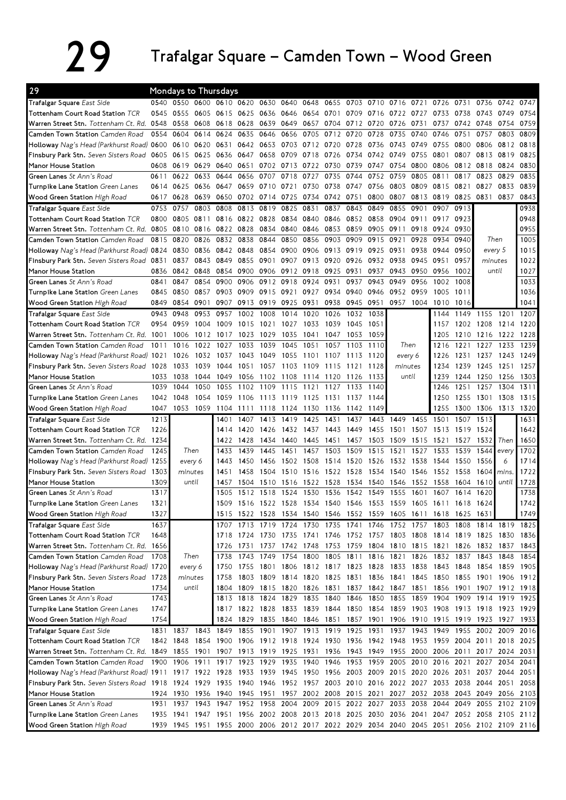## 29 Trafalgar Square – Camden Town – Wood Green

| 29                                                                                                                                                                                                                                                           |           | <b>Mondays to Thursdays</b>                  |      |                                         |           |                                  |                          |           |           |      |                                                                     |      |           |                                                                                                                                                     |      |                |                                       |                              |
|--------------------------------------------------------------------------------------------------------------------------------------------------------------------------------------------------------------------------------------------------------------|-----------|----------------------------------------------|------|-----------------------------------------|-----------|----------------------------------|--------------------------|-----------|-----------|------|---------------------------------------------------------------------|------|-----------|-----------------------------------------------------------------------------------------------------------------------------------------------------|------|----------------|---------------------------------------|------------------------------|
| Trafalgar Square East Side                                                                                                                                                                                                                                   |           | 0540 0550 0600 0610 0620 0630 0640           |      |                                         |           |                                  |                          | 0648 0655 |           |      |                                                                     |      |           | 0703 0710 0716 0721 0726                                                                                                                            | 0731 |                | 0736 0742 0747                        |                              |
| Tottenham Court Road Station TCR                                                                                                                                                                                                                             | 0545      | 0555                                         | 0605 | 0615                                    | 0625      | 0636                             | 0646                     | 0654      | 0701      | 0709 | 0716                                                                | 0722 | 0727      | 0733                                                                                                                                                | 0738 | 0743           | 0749                                  | 0754                         |
| Warren Street Stn. Tottenham Ct. Rd. 0548                                                                                                                                                                                                                    |           | 0558                                         | 0608 | 0618                                    | 0628      | 0639                             | 0649                     | 0657      | 0704      | 0712 | 0720                                                                | 0726 | 0731      | 0737                                                                                                                                                | 0742 | 0748           | 0754                                  | 0759                         |
| Camden Town Station Camden Road                                                                                                                                                                                                                              | 0554      | 0604                                         | 0614 | 0624                                    | 0635      | 0646                             | 0656                     | 0705      | 0712      | 0720 | 0728                                                                | 0735 | 0740      | 0746                                                                                                                                                | 0751 | 0757           | 0803                                  | 0809                         |
| Holloway Nag's Head (Parkhurst Road)                                                                                                                                                                                                                         | 0600 0610 |                                              | 0620 | 0631                                    | 0642      | 0653                             | 0703                     | 0712 0720 |           | 0728 | 0736                                                                | 0743 | 0749      | 0755                                                                                                                                                | 0800 | 0806           | 0812                                  | 0818                         |
| Finsbury Park Stn. Seven Sisters Road                                                                                                                                                                                                                        | 0605      | 0615                                         | 0625 | 0636                                    | 0647      | 0658                             | 0709                     | 0718 0726 |           | 0734 | 0742                                                                | 0749 | 0755      | 0801                                                                                                                                                | 0807 | 0813           | 0819                                  | 0825                         |
| Manor House Station                                                                                                                                                                                                                                          | 0608      | 0619                                         | 0629 | 0640                                    | 0651      | 0702                             | 0713                     | 0722 0730 |           | 0739 | 0747                                                                | 0754 | 0800      | 0806                                                                                                                                                |      | 0812 0818 0824 |                                       | 0830                         |
| Green Lanes St Ann's Road                                                                                                                                                                                                                                    | 0611      | 0622                                         | 0633 | 0644                                    | 0656      | 0707                             | 0718                     | 0727      | 0735      | 0744 | 0752                                                                | 0759 | 0805      | 0811                                                                                                                                                | 0817 | 0823           | 0829                                  | 0835                         |
| Turnpike Lane Station Green Lanes                                                                                                                                                                                                                            | 0614      | 0625                                         | 0636 | 0647                                    | 0659      | 0710                             | 0721                     | 0730      | 0738      | 0747 | 0756                                                                | 0803 | 0809      | 0815                                                                                                                                                | 0821 | 0827           | 0833                                  | 0839                         |
| Wood Green Station High Road                                                                                                                                                                                                                                 | 0617      | 0628                                         | 0639 | 0650                                    |           | 0702 0714                        | 0725                     | 0734 0742 |           | 0751 | 0800                                                                | 0807 | 0813      | 0819                                                                                                                                                | 0825 | 0831           | 0837                                  | 0843                         |
| Trafalgar Square East Side                                                                                                                                                                                                                                   | 0753      | 0757                                         | 0803 | 0808                                    | 0813      | 0819                             | 0825                     | 0831      | 0837      | 0843 | 0849                                                                | 0855 | 0901      | 0907                                                                                                                                                | 0913 |                |                                       | 0938                         |
| Tottenham Court Road Station TCR                                                                                                                                                                                                                             | 0800      | 0805                                         | 0811 | 0816                                    | 0822      | 0828                             | 0834                     | 0840      | 0846      | 0852 | 0858                                                                | 0904 | 0911      | 0917                                                                                                                                                | 0923 |                |                                       | 0948                         |
| Warren Street Stn. Tottenham Ct. Rd.                                                                                                                                                                                                                         | 0805      | 0810                                         | 0816 | 0822                                    | 0828      | 0834                             | 0840                     | 0846      | 0853      | 0859 | 0905                                                                | 0911 | 0918      | 0924                                                                                                                                                | 0930 |                |                                       | 0955                         |
| Camden Town Station Camden Road                                                                                                                                                                                                                              | 0815      | 0820                                         | 0826 | 0832                                    | 0838      | 0844                             | 0850                     | 0856      | 0903      | 0909 | 0915                                                                | 0921 | 0928      | 0934                                                                                                                                                | 0940 |                | Then                                  | 1005                         |
| Holloway Nag's Head (Parkhurst Road) 0824                                                                                                                                                                                                                    |           | 0830                                         | 0836 | 0842 0848                               |           | 0854                             | 0900                     | 0906 0913 |           | 0919 | 0925                                                                | 0931 | 0938      | 0944                                                                                                                                                | 0950 |                | every 5                               | 1015                         |
| Finsbury Park Stn. Seven Sisters Road 0831                                                                                                                                                                                                                   |           | 0837                                         | 0843 | 0849                                    | 0855      | 0901                             | 0907                     | 0913 0920 |           | 0926 | 0932                                                                | 0938 | 0945      | 0951                                                                                                                                                | 0957 |                | minutes                               | 1022                         |
| Manor House Station                                                                                                                                                                                                                                          |           | 0836 0842                                    | 0848 | 0854                                    |           | 0900 0906                        | 0912 0918 0925           |           |           | 0931 | 0937                                                                | 0943 | 0950      | 0956                                                                                                                                                | 1002 |                | until                                 | 1027                         |
| Green Lanes St Ann's Road                                                                                                                                                                                                                                    | 0841      | 0847                                         | 0854 | 0900                                    | 0906      | 0912                             | 0918                     | 0924      | 0931      | 0937 | 0943                                                                | 0949 | 0956      | 1002                                                                                                                                                | 1008 |                |                                       | 1033                         |
| Turnpike Lane Station Green Lanes                                                                                                                                                                                                                            | 0845      | 0850                                         | 0857 | 0903                                    | 0909      | 0915                             | 0921                     | 0927      | 0934      | 0940 | 0946                                                                | 0952 | 0959      | 1005                                                                                                                                                | 1011 |                |                                       | 1036                         |
| Wood Green Station High Road                                                                                                                                                                                                                                 | 0849      | 0854                                         | 0901 | 0907                                    | 0913      | 0919                             | 0925                     | 0931      | 0938      |      | 0945 0951                                                           | 0957 | 1004      | 1010                                                                                                                                                | 1016 |                |                                       | 1041                         |
| Trafalgar Square East Side                                                                                                                                                                                                                                   | 0943      | 0948                                         | 0953 | 0957                                    | 1002      | 1008                             | 1014                     | 1020      | 1026      | 1032 | 1038                                                                |      |           | 1144                                                                                                                                                | 1149 | 1155           | 1201                                  | 1207                         |
| Tottenham Court Road Station TCR                                                                                                                                                                                                                             | 0954      | 0959                                         | 1004 | 1009                                    | 1015      | 1021                             | 1027                     | 1033      | 1039      | 1045 | 1051                                                                |      |           | 1157                                                                                                                                                |      | 1202 1208 1214 |                                       | 1220                         |
| Warren Street Stn. Tottenham Ct. Rd. 1001                                                                                                                                                                                                                    |           | 1006                                         | 1012 | 1017                                    | 1023      | 1029                             | 1035                     | 1041      | 1047      | 1053 | 1059                                                                |      |           | 1205                                                                                                                                                | 1210 | 1216           | 1222                                  | 1228                         |
| Camden Town Station Camden Road                                                                                                                                                                                                                              | 1011      | 1016                                         | 1022 | 1027                                    | 1033      | 1039                             | 1045                     | 1051      | 1057      | 1103 | 1110                                                                |      | Then      | 1216                                                                                                                                                | 1221 | 1227           | 1233                                  | 1239                         |
| Holloway Nag's Head (Parkhurst Road)                                                                                                                                                                                                                         | 1021      | 1026                                         | 1032 | 1037                                    | 1043      | 1049                             | 1055                     | 1101      | 1107      | 1113 | 1120                                                                |      | every 6   | 1226                                                                                                                                                | 1231 | 1237           | 1243                                  | 1249                         |
| Finsbury Park Stn. Seven Sisters Road                                                                                                                                                                                                                        | 1028      | 1033                                         | 1039 | 1044                                    | 1051      | 1057                             | 1103                     | 1109      | 1115      | 1121 | 1128                                                                |      | minutes   | 1234                                                                                                                                                | 1239 | 1245           | 1251                                  | 1257                         |
| Manor House Station                                                                                                                                                                                                                                          | 1033      | 1038                                         | 1044 | 1049                                    | 1056      | 1102                             | 1108                     | 1114      | 1120      | 1126 | 1133                                                                |      | until     | 1239                                                                                                                                                | 1244 | 1250           | 1256                                  | 1303                         |
| Green Lanes St Ann's Road                                                                                                                                                                                                                                    | 1039      | 1044                                         | 1050 | 1055                                    | 1102      | 1109                             | 1115                     | 1121      | 1127      | 1133 | 1140                                                                |      |           | 1246                                                                                                                                                | 1251 | 1257           | 1304                                  | 1311                         |
| Turnpike Lane Station Green Lanes                                                                                                                                                                                                                            | 1042      | 1048                                         | 1054 | 1059                                    | 1106      | 1113                             | 1119                     | 1125      | 1131      | 1137 | 1144                                                                |      |           | 1250                                                                                                                                                | 1255 | 1301 1308      |                                       | 1315                         |
|                                                                                                                                                                                                                                                              |           |                                              |      |                                         |           |                                  |                          |           |           |      |                                                                     |      |           |                                                                                                                                                     |      |                |                                       |                              |
| Wood Green Station High Road                                                                                                                                                                                                                                 | 1047      | 1053 1059                                    |      | 1104                                    | 1111      | 1118                             | 1124                     | 1130      | 1136      | 1142 | 1149                                                                |      |           | 1255                                                                                                                                                | 1300 | 1306 1313      |                                       | 1320                         |
| Trafalgar Square East Side                                                                                                                                                                                                                                   | 1213      |                                              |      | 1401                                    | 1407      | 1413                             | 1419                     | 1425      | 1431      | 1437 | 1443                                                                | 1449 | 1455      | 1501                                                                                                                                                | 1507 | 1513           |                                       | 1631                         |
| Tottenham Court Road Station TCR                                                                                                                                                                                                                             | 1226      |                                              |      | 1414                                    | 1420      | 1426                             | 1432                     | 1437      | 1443      | 1449 | 1455                                                                | 1501 | 1507      | 1513                                                                                                                                                | 1519 | 1524           |                                       |                              |
| Warren Street Stn. Tottenham Ct. Rd.                                                                                                                                                                                                                         | 1234      |                                              |      | 1422                                    | 1428      | 1434                             | 1440                     | 1445      | 1451      | 1457 | 1503                                                                | 1509 | 1515      | 1521                                                                                                                                                | 1527 | 1532           | Then                                  | 1650                         |
| Camden Town Station Camden Road                                                                                                                                                                                                                              | 1245      | Then                                         |      | 1433                                    | 1439      | 1445                             | 1451                     | 1457      | 1503      | 1509 | 1515                                                                | 1521 | 1527      | 1533                                                                                                                                                | 1539 | 1544           | every                                 | 1702                         |
|                                                                                                                                                                                                                                                              |           | every 6                                      |      | 1443                                    | 1450      | 1456                             | 1502                     | 1508      | 1514      | 1520 | 1526                                                                | 1532 | 1538      | 1544                                                                                                                                                | 1550 | 1556           | 6                                     | 1714                         |
| Holloway Nag's Head (Parkhurst Road) 1255<br>Finsbury Park Stn. Seven Sisters Road                                                                                                                                                                           | 1303      | minutes                                      |      | 1451                                    | 1458      | 1504                             | 1510                     | 1516      | 1522      | 1528 | 1534                                                                | 1540 | 1546      | 1552                                                                                                                                                | 1558 | 1604           | mins                                  | 1722                         |
| Manor House Station                                                                                                                                                                                                                                          | 1309      | until                                        |      | 1457                                    | 1504      | 1510                             | 1516                     | 1522 1528 |           | 1534 | 1540                                                                | 1546 | 1552      | 1558                                                                                                                                                | 1604 | 1610           | until                                 | 1728                         |
| Green Lanes St Ann's Road                                                                                                                                                                                                                                    | 1317      |                                              |      | 1505                                    | 1512      | 1518                             | 1524                     | 1530      | 1536      | 1542 | 1549                                                                | 1555 | 1601      | 1607                                                                                                                                                | 1614 | 1620           |                                       | 1738                         |
| Turnpike Lane Station Green Lanes                                                                                                                                                                                                                            | 1321      |                                              |      | 1509                                    |           |                                  |                          |           |           |      | 1516 1522 1528 1534 1540 1546 1553 1559                             |      | 1605 1611 |                                                                                                                                                     | 1618 | 1624           |                                       |                              |
| Wood Green Station High Road                                                                                                                                                                                                                                 | 1327      |                                              |      |                                         |           |                                  |                          |           |           |      |                                                                     |      |           | 1515 1522 1528 1534 1540 1546 1552 1559 1605 1611 1618 1625 1631                                                                                    |      |                |                                       |                              |
| Trafalgar Square East Side                                                                                                                                                                                                                                   | 1637      |                                              |      |                                         |           |                                  |                          |           |           |      |                                                                     |      |           |                                                                                                                                                     |      |                |                                       |                              |
|                                                                                                                                                                                                                                                              |           |                                              |      |                                         |           |                                  |                          |           |           |      |                                                                     |      |           | 1707 1713 1719 1724 1730 1735 1741 1746 1752 1757 1803 1808 1814 1819 1825                                                                          |      |                |                                       |                              |
| Tottenham Court Road Station TCR<br>Warren Street Stn. Tottenham Ct. Rd. 1656                                                                                                                                                                                | 1648      |                                              |      | 1726                                    |           |                                  |                          |           |           |      |                                                                     |      |           | 1718 1724 1730 1735 1741 1746 1752 1757 1803 1808 1814 1819 1825 1830 1836<br>1731 1737 1742 1748 1753 1759 1804 1810 1815 1821 1826 1832 1837 1843 |      |                |                                       |                              |
| Camden Town Station Camden Road                                                                                                                                                                                                                              | 1708      | Then                                         |      | 1738                                    | 1743      | 1749                             | 1754                     | 1800 1805 |           |      |                                                                     |      |           | 1811 1816 1821 1826 1832                                                                                                                            | 1837 | 1843 1848      |                                       | 1854                         |
|                                                                                                                                                                                                                                                              |           | every 6                                      |      | 1750                                    |           |                                  |                          |           |           |      |                                                                     |      |           | 1838 1843 1848                                                                                                                                      |      | 1854 1859      |                                       | 1905                         |
| Holloway Nag's Head (Parkhurst Road) 1720<br>Finsbury Park Stn. Seven Sisters Road 1728                                                                                                                                                                      |           | minutes                                      |      | 1758                                    |           |                                  | 1803 1809 1814 1820 1825 |           |           |      | 1755 1801 1806 1812 1817 1823 1828 1833<br>1831 1836 1841 1845 1850 |      |           |                                                                                                                                                     |      |                | 1855 1901 1906                        |                              |
|                                                                                                                                                                                                                                                              | 1734      | until                                        |      | 1804                                    |           |                                  |                          |           |           |      |                                                                     |      |           |                                                                                                                                                     |      |                |                                       |                              |
| Manor House Station<br>Green Lanes St Ann's Road                                                                                                                                                                                                             | 1743      |                                              |      |                                         |           | 1809 1815<br>1813 1818 1824 1829 | 1820                     | 1826 1831 | 1835 1840 |      | 1837 1842 1847<br>1846 1850 1855 1859 1904                          |      | 1851      | 1856                                                                                                                                                | 1901 |                | 1907 1912 1918<br>1909 1914 1919 1925 |                              |
| Turnpike Lane Station Green Lanes                                                                                                                                                                                                                            | 1747      |                                              |      |                                         |           |                                  |                          |           |           |      |                                                                     |      |           |                                                                                                                                                     |      |                |                                       |                              |
|                                                                                                                                                                                                                                                              | 1754      |                                              |      | 1824                                    |           |                                  |                          |           |           |      |                                                                     |      |           | 1817 1822 1828 1833 1839 1844 1850 1854 1859 1903 1908 1913 1918 1923 1929                                                                          |      |                |                                       | 1642<br>1742<br>1749<br>1912 |
| Wood Green Station High Road                                                                                                                                                                                                                                 |           |                                              |      |                                         |           | 1829 1835 1840                   |                          |           |           |      |                                                                     |      |           | 1846 1851 1857 1901 1906 1910 1915 1919 1923 1927 1933                                                                                              |      |                |                                       |                              |
| Trafalgar Square East Side                                                                                                                                                                                                                                   |           | 1831 1837<br>1842 1848                       | 1843 | 1849 1855 1901 1907 1913 1919 1925 1931 |           |                                  |                          |           |           |      |                                                                     | 1937 |           | 1943 1949<br>1953 1959 2004 2011 2018                                                                                                               |      | 1955 2002 2009 |                                       | 2016<br>2025                 |
| Tottenham Court Road Station TCR<br>Warren Street Stn. Tottenham Ct. Rd. 1849 1855 1901 1907 1913 1919 1925 1931 1936 1943 1949 1955 2000 2006 2011 2017 2024 2031                                                                                           |           |                                              |      | 1854 1900 1906 1912 1918 1924 1930      |           |                                  |                          |           |           |      | 1936 1942 1948                                                      |      |           |                                                                                                                                                     |      |                |                                       |                              |
| Camden Town Station Camden Road                                                                                                                                                                                                                              |           |                                              |      |                                         |           |                                  |                          |           |           |      |                                                                     |      |           |                                                                                                                                                     |      |                |                                       | 2041                         |
|                                                                                                                                                                                                                                                              |           | 1900 1906 1911 1917 1923 1929 1935 1940 1946 |      |                                         |           |                                  |                          |           |           |      |                                                                     |      |           | 1953 1959 2005 2010 2016 2021 2027 2034                                                                                                             |      |                |                                       |                              |
| Holloway Nag's Head (Parkhurst Road) 1911 1917 1922 1928 1933 1939 1945 1950 1956 2003 2009 2015 2020 2026 2031 2037 2044 2051<br>Finsbury Park Stn. Seven Sisters Road 1918 1924 1929 1935 1940 1946 1952 1957 2003 2010 2016 2022 2027 2033 2038 2044 2051 |           |                                              |      |                                         |           |                                  |                          |           |           |      |                                                                     |      |           |                                                                                                                                                     |      |                |                                       | 2058                         |
| Manor House Station                                                                                                                                                                                                                                          |           | 1924 1930 1936                               |      |                                         |           |                                  |                          |           |           |      |                                                                     |      |           | 2032 2038 2043 2049 2056 2103                                                                                                                       |      |                |                                       |                              |
| Green Lanes St Ann's Road                                                                                                                                                                                                                                    | 1931      | 1937                                         | 1943 | 1940 1945 1951 1957 2002 2008<br>1947   | 1952 1958 |                                  | 2004 2009 2015           |           |           |      | 2015 2021 2027<br>2022 2027 2033                                    |      |           | 2038 2044                                                                                                                                           |      | 2049 2055 2102 |                                       | 2109                         |
| Turnpike Lane Station Green Lanes                                                                                                                                                                                                                            |           | 1935 1941                                    |      |                                         |           |                                  |                          |           |           |      |                                                                     |      |           | 1947 1951 1956 2002 2008 2013 2018 2025 2030 2036 2041 2047 2052 2058 2105                                                                          |      |                |                                       | 2112                         |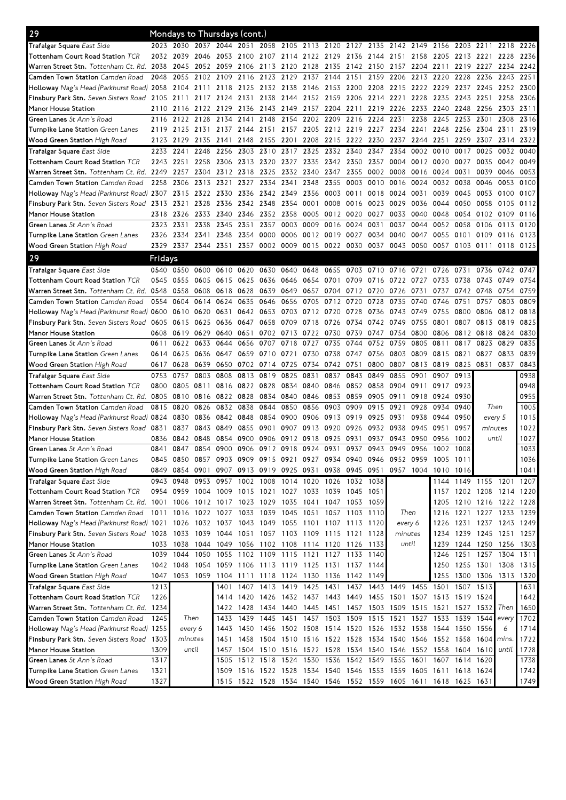| 29                                                                                                                                                                                                                                                                                                                                       | Mondays to Thursdays (cont.) |                        |                |                                                        |           |                          |      |                          |                |                                         |                          |                 |           |                                                                       |              |                          |            |              |
|------------------------------------------------------------------------------------------------------------------------------------------------------------------------------------------------------------------------------------------------------------------------------------------------------------------------------------------|------------------------------|------------------------|----------------|--------------------------------------------------------|-----------|--------------------------|------|--------------------------|----------------|-----------------------------------------|--------------------------|-----------------|-----------|-----------------------------------------------------------------------|--------------|--------------------------|------------|--------------|
| Trafalgar Square East Side                                                                                                                                                                                                                                                                                                               |                              | 2023 2030              |                | 2037 2044 2051                                         |           |                          |      | 2058 2105 2113 2120 2127 |                |                                         |                          | 2135 2142 2149  |           | 2156                                                                  | 2203         | 2211                     | 2218       | 2226         |
| Tottenham Court Road Station TCR                                                                                                                                                                                                                                                                                                         | 2032                         | 2039                   | 2046           | 2053                                                   | 2100      | 2107                     |      | 2114 2122 2129           |                | 2136                                    | 2144 2151                |                 | 2158      | 2205                                                                  | 2213         | 2221                     | 2228       | 2236         |
| Warren Street Stn. Tottenham Ct. Rd. 2038                                                                                                                                                                                                                                                                                                |                              | 2045                   | 2052           | 2059                                                   | 2106 2113 |                          | 2120 | 2128                     | 2135           | 2142 2150                               |                          | 2157            | 2204      | 2211                                                                  | 2219         | 2227                     | 2234       | 2242         |
| Camden Town Station Camden Road                                                                                                                                                                                                                                                                                                          | 2048                         | 2055                   | 2102 2109      |                                                        | 2116 2123 |                          | 2129 | 2137 2144                |                | 2151                                    | 2159                     | 2206            | 2213      | 2220                                                                  | 2228         | 2236                     | 2243       | 2251         |
| Holloway Nag's Head (Parkhurst Road) 2058                                                                                                                                                                                                                                                                                                |                              |                        |                | 2104 2111 2118 2125 2132 2138                          |           |                          |      |                          |                | 2146 2153 2200 2208 2215                |                          |                 | 2222 2229 |                                                                       | 2237 2245    |                          | 2252 2300  |              |
| Finsbury Park Stn. Seven Sisters Road 2105                                                                                                                                                                                                                                                                                               |                              | 2111                   | 2117 2124      |                                                        |           | 2131 2138                | 2144 | 2152 2159                |                | 2206                                    | 2214 2221                |                 | 2228      | 2235                                                                  | 2243         | 2251                     | 2258       | 2306         |
| Manor House Station                                                                                                                                                                                                                                                                                                                      | 2110                         | 2116                   | 2122 2129      |                                                        |           | 2136 2143                | 2149 | 2157                     | 2204           | 2211                                    | 2219                     | 2226            | 2233      | 2240                                                                  | 2248         | 2256                     | 2303       | 2311         |
| Green Lanes St Ann's Road                                                                                                                                                                                                                                                                                                                | 2116                         | 2122                   | 2128           | 2134                                                   | 2141      | 2148                     | 2154 | 2202                     | 2209           | 2216                                    | 2224                     | 2231            | 2238      | 2245                                                                  | 2253         | 2301                     | 2308       | 2316         |
| Turnpike Lane Station Green Lanes                                                                                                                                                                                                                                                                                                        | 2119                         | 2125                   | 2131           | 2137                                                   | 2144 2151 |                          | 2157 |                          | 2205 2212      | 2219                                    | 2227                     | 2234            | 2241      | 2248                                                                  | 2256         | 2304                     | 2311       | 2319         |
| Wood Green Station High Road                                                                                                                                                                                                                                                                                                             | 2123                         | 2129                   | 2135           | 2141                                                   | 2148      | 2155                     | 2201 | 2208                     | 2215           | 2222                                    | 2230                     | 2237            | 2244      | 2251                                                                  | 2259         | 2307                     | 2314       | 2322         |
| Trafalgar Square East Side                                                                                                                                                                                                                                                                                                               | 2233                         | 2241                   | 2248           | 2256                                                   | 2303      | 2310                     | 2317 | 2325                     | 2332           | 2340                                    | 2347                     | 2354            | 0002      | 0010                                                                  | 0017         | 0025                     | 0032       | 0040         |
| Tottenham Court Road Station TCR                                                                                                                                                                                                                                                                                                         | 2243                         | 2251                   | 2258           | 2306                                                   |           | 2313 2320                | 2327 |                          | 2335 2342      | 2350                                    | 2357                     | 0004            | 0012 0020 |                                                                       | 0027         | 0035                     | 0042       | 0049         |
| Warren Street Stn. Tottenham Ct. Rd. 2249                                                                                                                                                                                                                                                                                                |                              | 2257                   | 2304           | 2312                                                   |           | 2318 2325                | 2332 | 2340                     | 2347           | 2355                                    | 0002                     | 0008            | 0016      | 0024                                                                  | 0031         | 0039                     | 0046       | 0053         |
| Camden Town Station Camden Road                                                                                                                                                                                                                                                                                                          | 2258                         | 2306                   | 2313           | 2321                                                   | 2327      | 2334                     | 2341 | 2348                     | 2355           | 0003                                    | 0010                     | 0016            | 0024      | 0032                                                                  | 0038         | 0046                     | 0053       | 0100         |
| Holloway Nag's Head (Parkhurst Road) 2307 2315                                                                                                                                                                                                                                                                                           |                              |                        | 2322 2330      |                                                        |           | 2336 2342                | 2349 |                          | 2356 0003      | 0011                                    | 0018                     | 0024            | 0031      | 0039                                                                  | 0045         | 0053                     | 0100       | 0107         |
| Finsbury Park Stn. Seven Sisters Road 2313                                                                                                                                                                                                                                                                                               |                              | 2321                   | 2328           | 2336                                                   | 2342 2348 |                          | 2354 | 0001                     | 0008           | 0016                                    | 0023                     | 0029            | 0036      | 0044                                                                  | 0050         | 0058                     | 0105       | 0112         |
| Manor House Station                                                                                                                                                                                                                                                                                                                      | 2318                         | 2326                   | 2333 2340      |                                                        |           | 2346 2352 2358           |      |                          | 0005 0012 0020 |                                         | 0027                     | 0033            | 0040      | 0048                                                                  | 0054         | 0102 0109                |            | 0116         |
| Green Lanes St Ann's Road                                                                                                                                                                                                                                                                                                                | 2323                         | 2331                   | 2338           | 2345                                                   | 2351      | 2357                     | 0003 | 0009                     | 0016           | 0024                                    | 0031                     | 0037            | 0044      | 0052                                                                  | 0058         | 0106                     | 0113       | 0120         |
| Turnpike Lane Station Green Lanes                                                                                                                                                                                                                                                                                                        | 2326                         | 2334                   | 2341           | 2348                                                   | 2354      | 0000                     | 0006 |                          | 0012 0019      | 0027                                    | 0034                     | 0040            | 0047      | 0055                                                                  | 0101         | 0109                     | 0116       | 0123         |
| Wood Green Station High Road                                                                                                                                                                                                                                                                                                             | 2329                         |                        | 2337 2344 2351 |                                                        |           | 2357 0002 0009           |      | 0015 0022 0030           |                |                                         | 0037                     | 0043            | 0050      | 0057                                                                  | 0103 0111    |                          | 0118 0125  |              |
| 29                                                                                                                                                                                                                                                                                                                                       | Fridays                      |                        |                |                                                        |           |                          |      |                          |                |                                         |                          |                 |           |                                                                       |              |                          |            |              |
| Trafalgar Square East Side                                                                                                                                                                                                                                                                                                               | 0540                         | 0550                   | 0600           | 0610                                                   | 0620      | 0630                     | 0640 | 0648                     | 0655           | 0703                                    | 0710                     | 0716            | 0721      | 0726                                                                  | 0731         | 0736                     | 0742       | 0747         |
| Tottenham Court Road Station TCR                                                                                                                                                                                                                                                                                                         | 0545                         | 0555                   | 0605           | 0615                                                   | 0625      | 0636                     | 0646 | 0654 0701                |                | 0709                                    | 0716                     | 0722            | 0727      | 0733                                                                  | 0738         | 0743                     | 0749       | 0754         |
| Warren Street Stn. Tottenham Ct. Rd. 0548                                                                                                                                                                                                                                                                                                |                              | 0558                   | 0608 0618      |                                                        | 0628      | 0639                     | 0649 | 0657                     | 0704           | 0712 0720                               |                          | 0726            | 0731      | 0737                                                                  | 0742         | 0748                     | 0754       | 0759         |
| Camden Town Station Camden Road                                                                                                                                                                                                                                                                                                          | 0554                         | 0604                   | 0614           | 0624                                                   | 0635      | 0646                     | 0656 | 0705                     | 0712           | 0720                                    | 0728                     | 0735            | 0740      | 0746                                                                  | 0751         | 0757                     | 0803       | 0809         |
| Holloway Nag's Head (Parkhurst Road) 0600                                                                                                                                                                                                                                                                                                |                              | 0610                   | 0620           | 0631                                                   | 0642      | 0653                     | 0703 | 0712 0720                |                | 0728                                    | 0736                     | 0743            | 0749      | 0755                                                                  | 0800         | 0806                     | 0812       | 0818         |
| Finsbury Park Stn. Seven Sisters Road                                                                                                                                                                                                                                                                                                    | 0605                         | 0615                   | 0625           | 0636                                                   | 0647      | 0658                     | 0709 | 0718                     | 0726           | 0734                                    | 0742                     | 0749            | 0755      | 0801                                                                  | 0807         | 0813                     | 0819       | 0825         |
| Manor House Station                                                                                                                                                                                                                                                                                                                      | 0608                         | 0619                   | 0629           | 0640                                                   | 0651      | 0702                     | 0713 | 0722 0730                |                | 0739                                    | 0747                     | 0754            | 0800      | 0806                                                                  | 0812         | 0818                     | 0824       | 0830         |
| Green Lanes St Ann's Road                                                                                                                                                                                                                                                                                                                | 0611                         | 0622                   | 0633           | 0644                                                   | 0656      | 0707                     | 0718 | 0727                     | 0735           | 0744                                    | 0752 0759                |                 | 0805      | 0811                                                                  | 0817         | 0823                     | 0829       | 0835         |
| Turnpike Lane Station Green Lanes                                                                                                                                                                                                                                                                                                        | 0614                         | 0625                   | 0636 0647      |                                                        | 0659      | 0710                     | 0721 | 0730                     | 0738           | 0747                                    | 0756                     | 0803            | 0809      | 0815                                                                  | 0821         | 0827                     | 0833       | 0839         |
|                                                                                                                                                                                                                                                                                                                                          |                              |                        |                |                                                        |           |                          |      |                          |                |                                         |                          |                 |           |                                                                       |              |                          |            |              |
|                                                                                                                                                                                                                                                                                                                                          |                              |                        |                |                                                        |           |                          |      |                          |                |                                         |                          |                 |           |                                                                       |              |                          |            |              |
| Wood Green Station High Road                                                                                                                                                                                                                                                                                                             | 0617 0628                    |                        | 0639           | 0650                                                   |           | 0702 0714                | 0725 |                          | 0734 0742 0751 |                                         | 0800                     | 0807            | 0813 0819 |                                                                       | 0825         | 0831                     | 0837       | 0843         |
|                                                                                                                                                                                                                                                                                                                                          | 0753                         | 0757                   | 0803           | 0808                                                   | 0813      | 0819                     | 0825 | 0831                     | 0837           | 0843                                    | 0849                     | 0855            | 0901      | 0907                                                                  | 0913         |                          |            | 0938         |
|                                                                                                                                                                                                                                                                                                                                          | 0800                         | 0805                   | 0811           | 0816                                                   | 0822 0828 |                          | 0834 | 0840                     | 0846           | 0852 0858                               |                          | 0904            | 0911      | 0917                                                                  | 0923         |                          |            | 0948         |
| Trafalgar Square East Side<br>Tottenham Court Road Station TCR<br>Warren Street Stn. Tottenham Ct. Rd.                                                                                                                                                                                                                                   | 0805                         | 0810                   | 0816 0822      |                                                        | 0828      | 0834                     | 0840 | 0846                     | 0853           | 0859                                    | 0905 0911                |                 | 0918      | 0924 0930                                                             | 0940         |                          |            | 0955         |
|                                                                                                                                                                                                                                                                                                                                          | 0815                         | 0820                   | 0826           | 0832                                                   | 0838      | 0844                     | 0850 | 0856                     | 0903           | 0909                                    | 0915                     | 0921            | 0928      | 0934                                                                  |              | Then                     |            | 1005         |
| Camden Town Station Camden Road<br>Holloway Nag's Head (Parkhurst Road) 0824                                                                                                                                                                                                                                                             |                              | 0830                   | 0836           | 0842                                                   | 0848      | 0854                     | 0900 | 0906                     | 0913           | 0919                                    | 0925                     | 0931            | 0938      | 0944                                                                  | 0950         | every 5                  |            | 1015         |
| Finsbury Park Stn. Seven Sisters Road 0831                                                                                                                                                                                                                                                                                               |                              | 0837                   | 0843           | 0849                                                   | 0855      | 0901                     | 0907 | 0913 0920                |                | 0926                                    | 0932                     | 0938            | 0945      | 0951                                                                  | 0957         | minutes                  |            | 1022         |
| Manor House Station                                                                                                                                                                                                                                                                                                                      | 0836<br>0841                 | 0842<br>0847           | 0848<br>0854   | 0854<br>0900                                           | 0900      | 0906                     | 0912 | 0918                     | 0925           | 0931<br>0937                            | 0937<br>0943             | 0943<br>0949    | 0950      | 0956<br>1002                                                          | 1002<br>1008 | until                    |            | 1027         |
| Green Lanes St Ann's Road                                                                                                                                                                                                                                                                                                                |                              |                        |                |                                                        |           | 0906 0912 0918           |      | 0924 0931                |                |                                         |                          |                 | 0956      |                                                                       |              |                          |            | 1033         |
|                                                                                                                                                                                                                                                                                                                                          | 0845                         |                        |                |                                                        |           |                          |      |                          |                |                                         |                          |                 |           | 0850 0857 0903 0909 0915 0921 0927 0934 0940 0946 0952 0959 1005 1011 |              |                          |            | 1036         |
| Turnpike Lane Station Green Lanes<br>Wood Green Station High Road                                                                                                                                                                                                                                                                        | 0849                         | 0854 0901              |                | 0907                                                   |           | 0913 0919 0925 0931      |      |                          |                | 0938 0945 0951                          |                          |                 |           | 0957 1004 1010 1016                                                   |              |                          |            | 1041         |
|                                                                                                                                                                                                                                                                                                                                          |                              | 0943 0948              |                | 0953 0957                                              |           | 1002 1008 1014 1020 1026 |      |                          |                | 1032 1038                               |                          |                 |           |                                                                       |              | 1144 1149 1155 1201 1207 |            |              |
| Tottenham Court Road Station TCR                                                                                                                                                                                                                                                                                                         |                              |                        |                | 0954 0959 1004 1009 1015 1021 1027 1033 1039 1045 1051 |           |                          |      |                          |                |                                         |                          |                 |           |                                                                       |              | 1157 1202 1208 1214 1220 |            |              |
| Warren Street Stn. Tottenham Ct. Rd. 1001 1006 1012 1017 1023 1029 1035                                                                                                                                                                                                                                                                  |                              |                        |                |                                                        |           |                          |      |                          |                | 1041 1047 1053 1059                     |                          |                 |           | 1205                                                                  |              | 1210 1216 1222 1228      |            |              |
| Camden Town Station Camden Road                                                                                                                                                                                                                                                                                                          |                              | 1011 1016 1022 1027    |                |                                                        |           |                          |      |                          |                | 1033 1039 1045 1051 1057 1103 1110      |                          | Then<br>every 6 |           | 1216                                                                  |              | 1221 1227 1233 1239      |            |              |
| Trafalgar Square East Side<br>Holloway Nag's Head (Parkhurst Road) 1021 1026 1032 1037                                                                                                                                                                                                                                                   |                              |                        |                |                                                        |           |                          |      |                          |                | 1043 1049 1055 1101 1107 1113 1120      |                          |                 |           | 1226                                                                  |              | 1231 1237 1243 1249      |            |              |
|                                                                                                                                                                                                                                                                                                                                          |                              | 1033                   | 1039 1044      |                                                        |           |                          |      |                          |                | 1051 1057 1103 1109 1115 1121 1128      |                          | minutes         |           | 1234                                                                  |              | 1239 1245 1251           |            | 1257         |
| Manor House Station                                                                                                                                                                                                                                                                                                                      |                              | 1033 1038<br>1039 1044 | 1050           | 1044 1049 1056 1102 1108                               |           |                          |      |                          |                | 1114 1120 1126 1133                     |                          | until           |           | 1239<br>1246                                                          |              | 1244 1250 1256 1303      |            |              |
|                                                                                                                                                                                                                                                                                                                                          |                              |                        |                |                                                        |           |                          |      |                          |                | 1055 1102 1109 1115 1121 1127 1133 1140 |                          |                 |           |                                                                       |              | 1251 1257 1304 1311      |            |              |
| Turnpike Lane Station Green Lanes                                                                                                                                                                                                                                                                                                        | 1042                         | 1048                   | 1054           | 1059 1106 1113 1119 1125 1131 1137 1144                |           |                          |      |                          |                |                                         |                          |                 |           | 1250                                                                  |              | 1255 1301 1308 1315      |            |              |
|                                                                                                                                                                                                                                                                                                                                          | 1047                         |                        | 1053 1059 1104 |                                                        |           |                          |      |                          |                | 1111 1118 1124 1130 1136 1142 1149      |                          |                 |           | 1255                                                                  | 1300         | 1306                     | 1313 1320  |              |
|                                                                                                                                                                                                                                                                                                                                          | 1213                         |                        |                | 1401                                                   |           |                          |      |                          |                |                                         |                          |                 |           | 1407 1413 1419 1425 1431 1437 1443 1449 1455 1501 1507 1513           |              |                          |            | 1631         |
|                                                                                                                                                                                                                                                                                                                                          | 1226                         |                        |                | 1414                                                   |           |                          |      |                          |                |                                         |                          |                 |           | 1420 1426 1432 1437 1443 1449 1455 1501 1507 1513 1519 1524           |              |                          |            | 1642         |
|                                                                                                                                                                                                                                                                                                                                          |                              |                        |                | 1422                                                   | 1428      | 1434 1440                |      | 1445 1451                |                |                                         | 1457 1503 1509 1515 1521 |                 |           |                                                                       |              | 1527 1532                | Then       | 1650         |
| Camden Town Station Camden Road                                                                                                                                                                                                                                                                                                          | 1245                         | Then                   |                | 1433                                                   | 1439      | 1445 1451                |      |                          |                | 1457 1503 1509 1515 1521 1527 1533      |                          |                 |           |                                                                       | 1539         | 1544                     | every      |              |
|                                                                                                                                                                                                                                                                                                                                          |                              | every 6                |                | 1443<br>1451                                           |           |                          |      |                          |                |                                         |                          |                 |           | 1450 1456 1502 1508 1514 1520 1526 1532 1538 1544 1550 1556           |              | 1604                     | 6<br>mins. | 1702<br>1714 |
|                                                                                                                                                                                                                                                                                                                                          |                              | minutes                |                |                                                        |           |                          |      |                          |                |                                         |                          |                 |           | 1458 1504 1510 1516 1522 1528 1534 1540 1546 1552 1558                |              |                          |            | 1722         |
| Finsbury Park Stn. Seven Sisters Road 1028<br>Green Lanes St Ann's Road<br>Wood Green Station High Road<br>Trafalgar Square East Side<br>Tottenham Court Road Station TCR<br>Warren Street Stn. Tottenham Ct. Rd. 1234<br>Holloway Nag's Head (Parkhurst Road) 1255<br>Finsbury Park Stn. Seven Sisters Road 1303<br>Manor House Station | 1309                         | until                  |                | 1457<br>1505                                           |           | 1504 1510 1516 1522 1528 |      |                          |                |                                         | 1534 1540 1546 1552 1558 |                 |           |                                                                       |              | 1604 1610                | until      | 1728         |
| Green Lanes St Ann's Road                                                                                                                                                                                                                                                                                                                | 1317                         |                        |                |                                                        |           | 1512 1518 1524           |      | 1530 1536                |                | 1542 1549                               |                          | 1555            | 1601 1607 |                                                                       | 1614 1620    |                          |            | 1738         |
| Turnpike Lane Station Green Lanes<br>Wood Green Station High Road                                                                                                                                                                                                                                                                        | 1321<br>1327                 |                        |                | 1509<br>1515                                           |           | 1516 1522 1528           |      | 1534 1540                |                |                                         | 1546 1553 1559           |                 | 1605 1611 | 1522 1528 1534 1540 1546 1552 1559 1605 1611 1618 1625 1631           |              | 1618 1624                |            | 1742<br>1749 |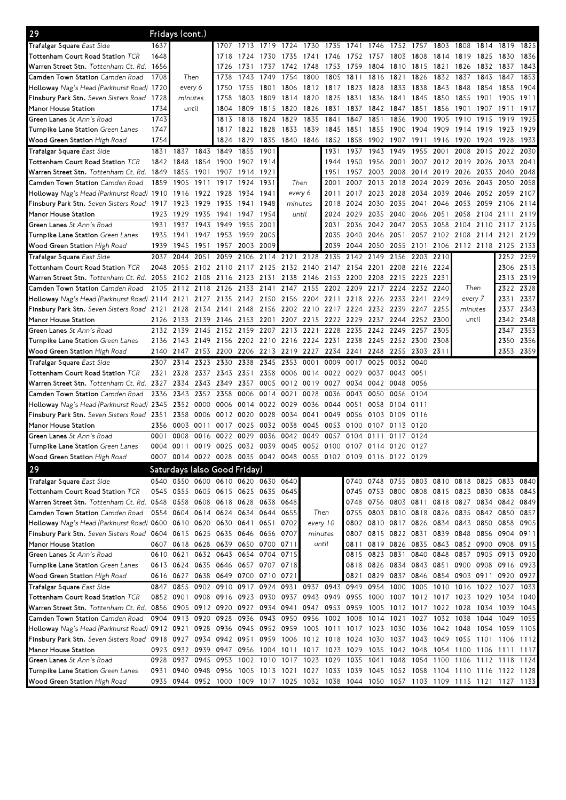| 29                                                                                                                              |      | Fridays (cont.)     |           |                                                                                           |           |                |                          |           |                                                                       |                |                                              |           |           |                                         |                |      |                     |           |
|---------------------------------------------------------------------------------------------------------------------------------|------|---------------------|-----------|-------------------------------------------------------------------------------------------|-----------|----------------|--------------------------|-----------|-----------------------------------------------------------------------|----------------|----------------------------------------------|-----------|-----------|-----------------------------------------|----------------|------|---------------------|-----------|
| Trafalgar Square East Side                                                                                                      | 1637 |                     |           | 1707                                                                                      | 1713      | 1719           | 1724                     | 1730      | 1735                                                                  | 1741           | 1746                                         | 1752      | 1757      | 1803                                    | 1808           | 1814 | 1819                | 1825      |
| Tottenham Court Road Station TCR                                                                                                | 1648 |                     |           | 1718                                                                                      | 1724      | 1730           | 1735                     | 1741      | 1746                                                                  | 1752           | 1757                                         | 1803      | 1808      | 1814                                    | 1819           | 1825 | 1830                | 1836      |
| Warren Street Stn. Tottenham Ct. Rd. 1656                                                                                       |      |                     |           | 1726                                                                                      | 1731      | 1737           | 1742                     | 1748      | 1753                                                                  | 1759           | 1804                                         | 1810      | 1815      | 1821                                    | 1826           | 1832 | 1837                | 1843      |
| Camden Town Station Camden Road                                                                                                 | 1708 | Then                |           | 1738                                                                                      | 1743      | 1749           | 1754                     | 1800      | 1805                                                                  | 1811           | 1816                                         | 1821      | 1826      | 1832                                    | 1837           | 1843 | 1847                | 1853      |
| Holloway Nag's Head (Parkhurst Road) 1720                                                                                       |      | every 6             |           | 1750                                                                                      | 1755      | 1801           | 1806                     |           | 1812 1817                                                             | 1823           | 1828                                         | 1833      | 1838      | 1843                                    | 1848           | 1854 | 1858                | 1904      |
| Finsbury Park Stn. Seven Sisters Road 1728                                                                                      |      | minutes             |           | 1758                                                                                      | 1803      | 1809           | 1814                     | 1820      | 1825                                                                  | 1831           | 1836                                         | 1841      | 1845      | 1850                                    | 1855           | 1901 | 1905                | 1911      |
| Manor House Station                                                                                                             | 1734 | until               |           | 1804                                                                                      | 1809      | 1815           | 1820                     | 1826      | 1831                                                                  | 1837           | 1842                                         | 1847      | 1851      | 1856                                    | 1901           | 1907 | 1911                | 1917      |
| Green Lanes St Ann's Road                                                                                                       | 1743 |                     |           | 1813                                                                                      | 1818      | 1824           | 1829                     | 1835      | 1841                                                                  | 1847           | 1851                                         | 1856      | 1900      | 1905                                    | 1910           | 1915 | 1919                | 1925      |
| Turnpike Lane Station Green Lanes                                                                                               | 1747 |                     |           | 1817                                                                                      |           | 1822 1828      | 1833                     | 1839      | 1845                                                                  | 1851           | 1855                                         | 1900      | 1904      | 1909                                    | 1914           | 1919 | 1923                | 1929      |
| Wood Green Station High Road                                                                                                    | 1754 |                     |           | 1824                                                                                      | 1829      | 1835           | 1840                     | 1846      | 1852                                                                  | 1858           | 1902                                         | 1907      | 1911      | 1916                                    | 1920           | 1924 | 1928                | 1933      |
| Trafalgar Square East Side                                                                                                      | 1831 | 1837                | 1843      | 1849                                                                                      | 1855      | 1901           |                          |           | 1931                                                                  | 1937           | 1943                                         | 1949      | 1955      | 2001                                    | 2008           | 2015 | 2022                | 2030      |
| Tottenham Court Road Station TCR                                                                                                |      | 1842 1848           | 1854      | 1900                                                                                      |           | 1907 1914      |                          |           | 1944                                                                  | 1950           | 1956 2001                                    |           | 2007      |                                         | 2012 2019 2026 |      | 2033 2041           |           |
| Warren Street Stn. Tottenham Ct. Rd. 1849                                                                                       |      | 1855                | 1901      | 1907                                                                                      | 1914 1921 |                |                          |           | 1951                                                                  | 1957           | 2003                                         | 2008      | 2014      | 2019                                    | 2026           | 2033 | 2040                | 2048      |
| Camden Town Station Camden Road                                                                                                 | 1859 | 1905                | 1911      | 1917                                                                                      | 1924      | 1931           | Then                     |           | 2001                                                                  | 2007           | 2013                                         | 2018      | 2024      | 2029                                    | 2036           | 2043 | 2050                | 2058      |
| Holloway Nag's Head (Parkhurst Road) 1910 1916                                                                                  |      |                     | 1922 1928 |                                                                                           | 1934      | 1941           | every 6                  |           | 2011                                                                  | 2017           | 2023                                         | 2028      | 2034      | 2039                                    | 2046           | 2052 | 2059                | 2107      |
| Finsbury Park Stn. Seven Sisters Road 1917                                                                                      |      | 1923                | 1929      | 1935                                                                                      | 1941      | 1948           | minutes                  |           | 2018                                                                  | 2024           | 2030                                         | 2035      | 2041      | 2046                                    | 2053           | 2059 | 2106                | 2114      |
| Manor House Station                                                                                                             | 1923 | 1929                | 1935      | 1941                                                                                      | 1947      | 1954           | until                    |           | 2024                                                                  | 2029           | 2035                                         | 2040      | 2046      | 2051                                    | 2058           | 2104 | 2111                | 2119      |
| Green Lanes St Ann's Road                                                                                                       | 1931 | 1937                | 1943      | 1949                                                                                      | 1955 2001 |                |                          |           | 2031                                                                  | 2036           | 2042 2047                                    |           | 2053      | 2058                                    | 2104           | 2110 | 2117                | 2125      |
| Turnpike Lane Station Green Lanes                                                                                               | 1935 | 1941 1947           |           | 1953                                                                                      | 1959 2005 |                |                          |           | 2035                                                                  | 2040           | 2046 2051                                    |           |           | 2057 2102 2108 2114 2121 2129           |                |      |                     |           |
|                                                                                                                                 | 1939 | 1945                | 1951      | 1957                                                                                      | 2003      | 2009           |                          |           | 2039                                                                  | 2044           |                                              | 2050 2055 |           | 2101 2106 2112 2118 2125 2133           |                |      |                     |           |
| Wood Green Station High Road                                                                                                    | 2037 | 2044                | 2051      | 2059                                                                                      | 2106      | 2114           | 2121                     | 2128      | 2135                                                                  | 2142           | 2149                                         | 2156      | 2203      | 2210                                    |                |      | 2252 2259           |           |
| Trafalgar Square East Side                                                                                                      |      | 2055                |           |                                                                                           |           |                | 2132 2140 2147           |           |                                                                       |                |                                              |           |           |                                         |                |      |                     | 2306 2313 |
| Tottenham Court Road Station TCR<br>Warren Street Stn. Tottenham Ct. Rd. 2055                                                   | 2048 |                     | 2102 2110 |                                                                                           | 2117 2125 | 2131           | 2138                     |           |                                                                       |                | 2154 2201                                    | 2208      | 2216      | 2224<br>2231                            |                |      | 2313                | 2319      |
| Camden Town Station Camden Road                                                                                                 |      | 2102 2108           |           | 2116                                                                                      | 2123      |                |                          | 2146      | 2153                                                                  | 2200           | 2208                                         | 2215      | 2223      |                                         |                |      |                     |           |
|                                                                                                                                 | 2105 | 2112                | 2118      | 2126                                                                                      | 2133      | 2141           | 2147                     | 2155      | 2202                                                                  | 2209           | 2217                                         | 2224      | 2232      | 2240                                    | Then           |      | 2322                | 2328      |
| Holloway Nag's Head (Parkhurst Road) 2114 2121 2127 2135                                                                        |      |                     |           |                                                                                           | 2142 2150 |                | 2156                     | 2204 2211 |                                                                       | 2218           | 2226                                         | 2233      | 2241      | 2249                                    | every 7        |      | 2331                | 2337      |
| Finsbury Park Stn. Seven Sisters Road 2121                                                                                      |      | 2128                |           | 2134 2141                                                                                 |           | 2148 2156      | 2202                     |           | 2210 2217 2224 2232 2239                                              |                |                                              |           | 2247      | 2255                                    | minutes        |      | 2337                | 2343      |
| Manor House Station                                                                                                             | 2126 | 2133                | 2139 2146 |                                                                                           |           | 2153 2201      | 2207                     |           | 2215 2222                                                             | 2229           |                                              | 2237 2244 | 2252 2300 |                                         | until          |      |                     | 2342 2348 |
| Green Lanes St Ann's Road                                                                                                       | 2132 | 2139                | 2145      | 2152                                                                                      | 2159      | 2207           | 2213                     | 2221      | 2228                                                                  | 2235           | 2242                                         | 2249      | 2257      | 2305                                    |                |      | 2347                | 2353      |
| Turnpike Lane Station Green Lanes                                                                                               | 2136 | 2143 2149           |           | 2156                                                                                      |           | 2202 2210 2216 |                          | 2224 2231 |                                                                       | 2238           | 2245 2252                                    |           | 2300      | 2308                                    |                |      |                     | 2350 2356 |
| Wood Green Station High Road                                                                                                    | 2140 | 2147                | 2153      | 2200                                                                                      |           | 2206 2213      | 2219                     | 2227 2234 |                                                                       | 2241           | 2248                                         | 2255      | 2303      | 2311                                    |                |      |                     | 2353 2359 |
| Trafalgar Square East Side                                                                                                      | 2307 | 2314                | 2323      | 2330                                                                                      | 2338      | 2345           | 2353                     | 0001      | 0009                                                                  | 0017           | 0025                                         | 0032      | 0040      |                                         |                |      |                     |           |
| Tottenham Court Road Station TCR                                                                                                | 2321 | 2328                | 2337 2343 |                                                                                           | 2351 2358 |                | 0006                     |           | 0014 0022 0029                                                        |                | 0037                                         | 0043      | 0051      |                                         |                |      |                     |           |
| Warren Street Stn. Tottenham Ct. Rd. 2327                                                                                       |      | 2334                | 2343      | 2349                                                                                      | 2357      | 0005           | 0012                     | 0019      | 0027                                                                  | 0034           | 0042 0048                                    |           | 0056      |                                         |                |      |                     |           |
| Camden Town Station Camden Road                                                                                                 | 2336 | 2343                | 2352 2358 |                                                                                           | 0006      | 0014           | 0021                     | 0028      | 0036                                                                  | 0043           | 0050                                         | 0056      | 0104      |                                         |                |      |                     |           |
| Holloway Nag's Head (Parkhurst Road) 2345                                                                                       |      | 2352 0000           |           | 0006                                                                                      |           | 0014 0022      | 0029                     | 0036      | 0044                                                                  | 0051           | 0058                                         | 0104      | 0111      |                                         |                |      |                     |           |
| Finsbury Park Stn. Seven Sisters Road 2351                                                                                      |      | 2358                | 0006      | 0012                                                                                      | 0020      | 0028           | 0034                     | 0041      | 0049                                                                  | 0056           | 0103                                         | 0109      | 0116      |                                         |                |      |                     |           |
| Manor House Station                                                                                                             | 2356 | 0003                | 0011      | 0017                                                                                      | 0025      | 0032           | 0038                     |           | 0045 0053                                                             | 0100           | 0107                                         | 0113      | 0120      |                                         |                |      |                     |           |
| Green Lanes St Ann's Road                                                                                                       | 0001 | 0008                | 0016      | 0022                                                                                      | 0029      | 0036           | 0042                     | 0049      | 0057                                                                  | 0104           | 0111                                         | 0117      | 0124      |                                         |                |      |                     |           |
| Turnpike Lane Station Green Lanes                                                                                               | 0004 | 0011                |           | 0019 0025 0032 0039 0045 0052 0100 0107 0114 0120 0127                                    |           |                |                          |           |                                                                       |                |                                              |           |           |                                         |                |      |                     |           |
| Wood Green Station High Road                                                                                                    |      |                     |           | 0014 0022 0028 0035 0042 0048 0055 0102 0109 0116 0122 0129                               |           |                |                          |           |                                                                       |                |                                              |           |           |                                         |                |      |                     |           |
| 29                                                                                                                              |      |                     |           | Saturdays (also Good Friday)                                                              |           |                |                          |           |                                                                       |                |                                              |           |           |                                         |                |      |                     |           |
| Trafalgar Square East Side                                                                                                      |      |                     |           | 0540 0550 0600 0610 0620 0630 0640                                                        |           |                |                          |           |                                                                       |                | 0740 0748 0755 0803 0810 0818 0825 0833 0840 |           |           |                                         |                |      |                     |           |
| Tottenham Court Road Station TCR                                                                                                |      |                     |           | 0545 0555 0605 0615 0625 0635 0645                                                        |           |                |                          |           |                                                                       |                | 0745 0753 0800 0808 0815 0823 0830 0838 0845 |           |           |                                         |                |      |                     |           |
| Warren Street Stn. Tottenham Ct. Rd. 0548 0558 0608 0618 0628 0638 0648                                                         |      |                     |           |                                                                                           |           |                |                          |           |                                                                       |                | 0748 0756 0803 0811 0818 0827 0834 0842 0849 |           |           |                                         |                |      |                     |           |
| Camden Town Station Camden Road                                                                                                 |      |                     |           | 0554 0604 0614 0624 0634 0644                                                             |           |                | 0655                     |           | Then                                                                  | 0755           | 0803 0810 0818 0826 0835 0842 0850           |           |           |                                         |                |      |                     | 0857      |
| Holloway Nag's Head (Parkhurst Road) 0600 0610 0620 0630 0641 0651                                                              |      |                     |           |                                                                                           |           |                | 0702                     | every 10  |                                                                       |                | 0802 0810 0817 0826 0834 0843 0850 0858      |           |           |                                         |                |      |                     | 0905      |
| Finsbury Park Stn. Seven Sisters Road 0604 0615 0625 0635 0646 0656 0707                                                        |      |                     |           |                                                                                           |           |                |                          | minutes   |                                                                       |                | 0807 0815 0822 0831 0839 0848 0856 0904 0911 |           |           |                                         |                |      |                     |           |
| Manor House Station                                                                                                             |      |                     |           | 0607 0618 0628 0639 0650 0700 0711                                                        |           |                |                          |           | until                                                                 | 0811           |                                              |           |           | 0819 0826 0835 0843 0852 0900 0908 0915 |                |      |                     |           |
| Green Lanes St Ann's Road                                                                                                       |      | 0610 0621           |           | 0632 0643 0654 0704 0715                                                                  |           |                |                          |           |                                                                       |                | 0815 0823 0831                               |           | 0840 0848 |                                         |                |      | 0857 0905 0913 0920 |           |
| Turnpike Lane Station Green Lanes                                                                                               |      |                     |           | 0613 0624 0635 0646 0657 0707 0718                                                        |           |                |                          |           |                                                                       |                | 0818 0826 0834 0843 0851 0900 0908 0916 0923 |           |           |                                         |                |      |                     |           |
| Wood Green Station High Road                                                                                                    |      |                     |           | 0616 0627 0638 0649 0700 0710 0721                                                        |           |                |                          |           |                                                                       | 0821           |                                              |           |           | 0829 0837 0846 0854 0903 0911           |                |      | 0920 0927           |           |
| Trafalgar Square East Side                                                                                                      |      |                     |           | 0847 0855 0902 0910 0917 0924 0931 0937 0943 0949 0954                                    |           |                |                          |           |                                                                       |                |                                              | 1000      |           | 1005 1010 1016 1022 1027                |                |      |                     | 1033      |
| Tottenham Court Road Station TCR                                                                                                |      |                     |           | 0852 0901 0908 0916 0923 0930 0937 0943 0949 0955 1000 1007 1012 1017 1023 1029 1034      |           |                |                          |           |                                                                       |                |                                              |           |           |                                         |                |      |                     | 1040      |
| Warren Street Stn. Tottenham Ct. Rd. 0856 0905 0912 0920 0927 0934 0941 0947 0953 0959 1005 1012 1017 1022 1028                 |      |                     |           |                                                                                           |           |                |                          |           |                                                                       |                |                                              |           |           |                                         |                |      | 1034 1039 1045      |           |
| Camden Town Station Camden Road                                                                                                 |      | 0904 0913 0920 0928 |           |                                                                                           |           |                |                          |           | 0936 0943 0950 0956 1002 1008                                         |                | 1014 1021                                    |           | 1027      | 1032                                    | 1038           | 1044 | 1049                | 1055      |
| Holloway Nag's Head (Parkhurst Road) 0912 0921 0928 0936                                                                        |      |                     |           |                                                                                           |           |                |                          |           | 0945 0952 0959 1005 1011 1017 1023 1030 1036 1042 1048 1054 1059 1105 |                |                                              |           |           |                                         |                |      |                     |           |
|                                                                                                                                 |      |                     |           |                                                                                           |           |                |                          |           |                                                                       |                |                                              |           |           |                                         |                |      |                     |           |
|                                                                                                                                 |      |                     |           |                                                                                           |           |                |                          |           |                                                                       |                |                                              |           |           |                                         |                |      |                     |           |
| Finsbury Park Stn. Seven Sisters Road 0918 0927 0934 0942 0951 0959 1006 1012 1018 1024 1030 1037 1043 1049 1055 1101 1106 1112 |      |                     |           |                                                                                           |           |                |                          |           |                                                                       |                |                                              |           |           |                                         |                |      |                     |           |
| Manor House Station                                                                                                             | 0928 | 0937                |           | 0923 0932 0939 0947 0956 1004 1011 1017 1023 1029 1035 1042 1048 1054 1100 1106 1111 1117 |           |                |                          |           |                                                                       |                |                                              |           |           |                                         |                |      |                     |           |
| Green Lanes St Ann's Road                                                                                                       |      |                     | 0945 0953 |                                                                                           |           |                | 1002 1010 1017 1023 1029 |           |                                                                       | 1035 1041 1048 |                                              |           | 1054 1100 |                                         |                |      | 1106 1112 1118 1124 |           |
| Turnpike Lane Station Green Lanes<br>Wood Green Station High Road                                                               |      | 0931 0940           | 0948 0956 | 0935 0944 0952 1000 1009 1017 1025 1032 1038 1044 1050 1057 1103 1109 1115 1121 1127 1133 |           |                |                          |           | 1005 1013 1021 1027 1033 1039 1045 1052 1058 1104 1110 1116 1122 1128 |                |                                              |           |           |                                         |                |      |                     |           |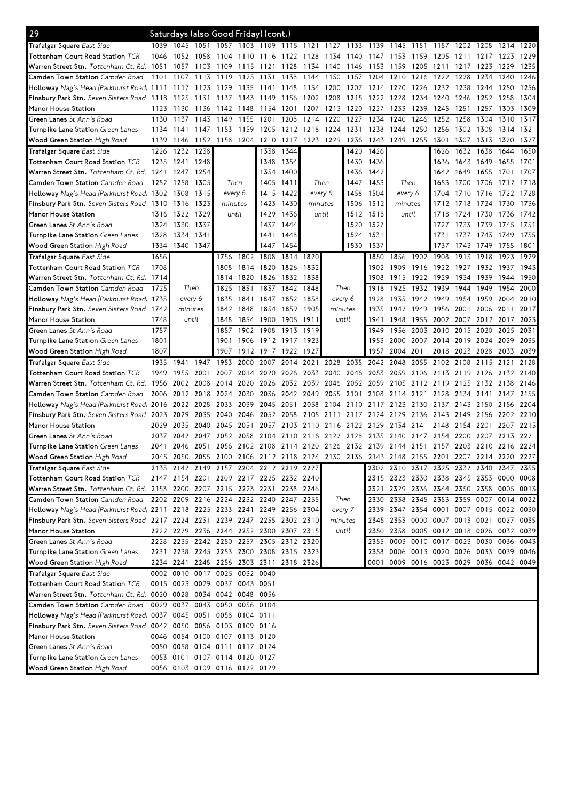| 29                                                                            |      | Saturdays (also Good Friday) (cont.) |           |                                                                                           |           |           |           |           |         |       |           |                                         |      |                               |           |                |           |      |
|-------------------------------------------------------------------------------|------|--------------------------------------|-----------|-------------------------------------------------------------------------------------------|-----------|-----------|-----------|-----------|---------|-------|-----------|-----------------------------------------|------|-------------------------------|-----------|----------------|-----------|------|
| Trafalgar Square East Side                                                    | 1039 | 1045                                 | 1051 1057 |                                                                                           | 1103      | 1109 1115 |           | 1121      | 1127    | 1133  | 1139      | 1145                                    | 1151 | 1157                          | 1202      | 1208           | 1214      | 1220 |
| Tottenham Court Road Station ${\sf TCR}$                                      | 1046 | 1052                                 | 1058      | 1104                                                                                      | 1110      | 1116      | 1122      | 1128      | 1134    | 1140  | 1147      | 1153                                    | 1159 | 1205                          | 1211      | 1217           | 1223      | 1229 |
| Warren Street Stn. Tottenham Ct. Rd. 1051                                     |      | 1057                                 | 1103      | 1109                                                                                      | 1115      | 1121      | 1128      | 1134      | 1140    | 1146  | 1153      | 1159                                    | 1205 | 1211                          | 1217      | 1223           | 1229      | 1235 |
| <b>Camden Town Station</b> Camden Road                                        | 1101 | 1107                                 | 1113      | 1119                                                                                      | 1125      | 1131      | 1138      | 1144      | 1150    | 1157  | 1204      | 1210                                    | 1216 | 1222                          | 1228      | 1234           | 1240      | 1246 |
| <b>Holloway</b> Nag's Head (Parkhurst Road) 1111                              |      | 1117 1123 1129                       |           |                                                                                           | 1135      | 1141      | 1148      | 1154      | 1200    |       | 1207 1214 | 1220                                    | 1226 | 1232                          | 1238      | 1244           | 1250      | 1256 |
| Finsbury Park Stn. Seven Sisters Road 1118                                    |      | 1125                                 | 1131      | 1137                                                                                      | 1143      | 1149      | 1156      | 1202 1208 |         | 1215  | 1222      | 1228                                    | 1234 | 1240                          | 1246      | 1252           | 1258      | 1304 |
| Manor House Station                                                           | 1123 | 1130                                 | 1136      | 1142                                                                                      | 1148      | 1154      | 1201      | 1207      | 1213    | 1220  | 1227      | 1233                                    | 1239 | 1245                          | 1251      | 1257           | 1303      | 1309 |
| Green Lanes St Ann's Road                                                     | 1130 | 1137                                 | 1143      | 1149                                                                                      | 1155      | 1201      | 1208      | 1214      | 1220    | 1227  | 1234      | 1240                                    | 1246 | 1252                          | 1258      | 1304           | 1310      | 1317 |
| <b>Turnpike Lane Station</b> Green Lanes                                      | 1134 | 1141                                 | 1147      | 1153                                                                                      | 1159      | 1205      | 1212      | 1218      | 1224    | 1231  | 1238      | 1244                                    | 1250 | 1256                          | 1302      | 1308           | 1314      | 1321 |
| <b>Wood Green Station</b> High Road                                           | 1139 | 1146                                 | 1152      | 1158                                                                                      | 1204      | 1210      | 1217      | 1223 1229 |         | 1236  | 1243      | 1249                                    | 1255 | 1301                          | 1307      | 1313           | 1320      | 1327 |
| Trafalgar Square East Side                                                    | 1226 | 1232                                 | 1238      |                                                                                           |           | 1338      | 1344      |           |         | 1420  | 1426      |                                         |      | 1626                          | 1632      | 1638           | 1644      | 1650 |
| Tottenham Court Road Station $\mathcal{T} C R$                                | 1235 | 1241 1248                            |           |                                                                                           |           | 1348      | 1354      |           |         | 1430  | 1436      |                                         |      | 1636                          | 1643      | 1649           | 1655      | 1701 |
| Warren Street Stn, Tottenham Ct, Rd. 1241 1247                                |      |                                      | 1254      |                                                                                           |           |           | 1354 1400 |           |         | 1436  | 1442      |                                         |      | 1642                          | 1649      | 1655           | 1701      | 1707 |
| <b>Camden Town Station</b> Camden Road                                        | 1252 | 1258                                 | 1305      | Then                                                                                      |           | 1405      | 1411      | Then      |         | 1447  | 1453      | Then                                    |      | 1653                          | 1700      | 1706           | 1712      | 1718 |
| Holloway Nag's Head (Parkhurst Road) 1302 1308                                |      |                                      | 1315      | every 6                                                                                   |           | 1415      | 1422      | every 6   |         | 1458  | 1504      | every 6                                 |      | 1704                          | 1710      | 1716           | 1722      | 1728 |
| Finsbury Park Stn. Seven Sisters Road 1310                                    |      | 1316                                 | 1323      | minutes                                                                                   |           | 1423      | 1430      | minutes   |         | 1506  | 1512      | minutes                                 |      | 1712                          | 1718      | 1724           | 1730      | 1736 |
| Manor House Station                                                           | 1316 | 1322                                 | 1329      | until                                                                                     |           | 1429      | 1436      | until     |         | 1512  | 1518      | until                                   |      | 1718                          | 1724      | 1730           | 1736      | 1742 |
| Green Lanes St Ann's Road                                                     | 1324 | 1330                                 | 1337      |                                                                                           |           | 1437      | 1444      |           |         | 1520  | 1527      |                                         |      | 1727                          | 1733      | 1739           | 1745      | 1751 |
| <b>Turnpike Lane Station</b> Green Lanes                                      | 1328 | 1334                                 | 1341      |                                                                                           |           | 1441      | 1448      |           |         | 1524  | 1531      |                                         |      | 1731                          | 1737      | 1743           | 1749      | 1755 |
| <b>Wood Green Station</b> High Road                                           | 1334 | 1340 1347                            |           |                                                                                           |           | 1447      | 1454      |           |         | 1530  | 1537      |                                         |      | 1737                          | 1743      | 1749           | 1755      | 1801 |
| Trafalgar Square East Side                                                    | 1656 |                                      |           | 1756                                                                                      | 1802      | 1808      | 1814      | 1820      |         |       | 1850      | 1856                                    | 1902 | 1908                          | 1913      | 1918           | 1923      | 1929 |
| Tottenham Court Road Station $TCR$                                            | 1708 |                                      |           | 1808                                                                                      | 1814      | 1820      | 1826      | 1832      |         |       | 1902      | 1909                                    | 1916 | 1922                          | 1927      | 1932           | 1937      | 1943 |
| Warren Street Stn. Tottenham Ct. Rd. 1714                                     |      |                                      |           | 1814                                                                                      | 1820      | 1826      | 1832      | 1838      |         |       | 1908      | 1915                                    | 1922 | 1929                          | 1934      | 1939           | 1944      | 1950 |
| <b>Camden Town Station</b> Camden Road                                        | 1725 | Then                                 |           | 1825                                                                                      | 1831      | 1837      | 1842      | 1848      | Then    |       | 1918      | 1925                                    | 1932 | 1939                          | 1944      | 1949           | 1954      | 2000 |
| <b>Holloway</b> Nag's Head (Parkhurst Road) 1 <b>7</b> 35                     |      | every 6                              |           | 1835                                                                                      | 1841      | 1847      | 1852      | 1858      | every 6 |       | 1928      | 1935                                    | 1942 | 1949                          | 1954      | 1959           | 2004      | 2010 |
| Finsbury Park Stn. Seven Sisters Road 1742                                    |      | minutes                              |           | 1842                                                                                      | 1848      | 1854      | 1859      | 1905      | minutes |       | 1935      | 1942                                    | 1949 | 1956                          | 2001      | 2006           | 2011      | 2017 |
| Manor House Station                                                           | 1748 | until                                |           | 1848                                                                                      | 1854      | 1900      | 1905      | 1911      | until   |       | 1941      | 1948                                    | 1955 | 2002                          | 2007      | 2012           | 2017      | 2023 |
| Green Lanes St Ann's Road                                                     | 1757 |                                      |           | 1857                                                                                      | 1902      | 1908      | 1913      | 1919      |         |       | 1949      | 1956                                    | 2003 | 2010                          | 2015      | 2020           | 2025      | 2031 |
| Turnpike Lane Station <i>Green Lanes</i>                                      | 1801 |                                      |           | 1901                                                                                      | 1906      | 1912 1917 |           | 1923      |         |       | 1953      | 2000                                    | 2007 | 2014                          | 2019 2024 |                | 2029      | 2035 |
| Wood Green Station High Road                                                  | 1807 |                                      |           | 1907                                                                                      | 1912      | 1917 1922 |           | 1927      |         |       | 1957      | 2004 2011                               |      | 2018                          | 2023 2028 |                | 2033      | 2039 |
| Trafalgar Square East Side                                                    | 1935 | 1941                                 | 1947      | 1953                                                                                      | 2000      | 2007      | 2014      | 2021      | 2028    | 2035  | 2042      | 2048                                    | 2055 | 2102                          | 2108      | 2115           | 2121      | 2128 |
|                                                                               |      |                                      |           |                                                                                           |           |           |           |           |         |       |           |                                         |      |                               |           |                |           |      |
| Tottenham Court Road Station $\mathcal{T} C R$                                | 1949 | 1955                                 | 2001      | 2007                                                                                      |           | 2014 2020 | 2026      | 2033      | 2040    | 2046  |           | 2053 2059 2106                          |      | 2113 2119 2126                |           |                | 2132 2140 |      |
| Warren Street Stn, Tottenham Ct. Rd. 1956                                     |      | 2002                                 | 2008      | 2014                                                                                      | 2020      | 2026      | 2032      | 2039      | 2046    | 2052  | 2059      | 2105                                    | 2112 | 2119                          | 2125      | 2132           | 2138      | 2146 |
| Camden Town Station Camden Road                                               | 2006 | 2012                                 | 2018      | 2024                                                                                      | 2030      | 2036      | 2042      | 2049      | 2055    | 2101  | 2108      | 2114                                    | 2121 | 2128                          | 2134      | 2141           | 2147      | 2155 |
| <b>Holloway</b> Nag's Head (Parkhurst Road) 2016                              |      | 2022 2028                            |           | 2033                                                                                      | 2039      | 2045      | 2051      | 2058      | 2104    | 2110  | 2117      | 2123                                    | 2130 | 2137                          | 2143      | 2150           | 2156      | 2204 |
| <b>Finsbury Park Stn.</b> Seven Sisters Road 2023                             |      | 2029                                 | 2035      | 2040                                                                                      | 2046      | 2052      | 2058      | 2105      | 2111    | 2117  | 2124      | 2129                                    | 2136 | 2143                          | 2149      | 2156           | 2202      | 2210 |
| Manor House Station                                                           | 2029 | 2035                                 | 2040      | 2045                                                                                      | 2051      | 2057      | 2103      | 2110      | 2116    | 2122  | 2129      | 2134                                    | 2141 | 2148                          | 2154      | 2201           | 2207      | 2215 |
| Green Lanes St Ann's Road                                                     | 2037 | 2042                                 | 2047      | 2052                                                                                      | 2058      | 2104      | 2110      | 2116      | 2122    | 2128  | 2135      | 2140                                    | 2147 | 2154                          | 2200      | 2207           | 2213      | 2221 |
| Turnpike Lane Station Green Lanes                                             |      |                                      |           | 2041 2046 2051 2056 2102 2108 2114 2120 2126 2132 2139 2144 2151 2157 2203 2210 2216 2224 |           |           |           |           |         |       |           |                                         |      |                               |           |                |           |      |
| <b>Wood Green Station</b> High Road                                           | 2045 |                                      |           | 2050 2055 2100 2106 2112 2118 2124 2130 2136 2143 2148 2155 2201                          |           |           |           |           |         |       |           |                                         |      |                               |           | 2207 2214 2220 |           | 2227 |
| Trafalgar Square East Side                                                    |      |                                      |           | 2135 2142 2149 2157 2204 2212 2219 2227                                                   |           |           |           |           |         |       |           | 2302 2310 2317 2325 2332 2340           |      |                               |           |                | 2347      | 2355 |
| Tottenham Court Road Station TCR                                              |      |                                      |           | 2147 2154 2201 2209 2217 2225 2232 2240                                                   |           |           |           |           |         |       |           | 2315 2323 2330 2338 2345 2353 0000      |      |                               |           |                |           | 0008 |
| Warren Street Stn. Tottenham Ct. Rd. 2153 2200 2207 2215 2223 2231 2238 2246  |      |                                      |           |                                                                                           |           |           |           |           |         |       | 2321      |                                         |      | 2329 2336 2344 2350 2358      |           |                | 0005 0013 |      |
| <b>Camden Town Station</b> Camden Road                                        |      |                                      |           | 2202 2209 2216 2224 2232 2240 2247                                                        |           |           |           | 2255      | Then    |       | 2330      |                                         |      | 2338 2345 2353 2359 0007 0014 |           |                |           | 0022 |
| Holloway Nag's Head (Parkhurst Road) 2211 2218 2225 2233 2241 2249 2256 2304  |      |                                      |           |                                                                                           |           |           |           |           | every 7 |       |           | 2339 2347 2354 0001 0007 0015 0022 0030 |      |                               |           |                |           |      |
| Finsbury Park Stn. Seven Sisters Road 2217 2224 2231 2239 2247 2255 2302 2310 |      |                                      |           |                                                                                           |           |           |           |           | minutes |       |           | 2345 2353 0000 0007 0013 0021 0027 0035 |      |                               |           |                |           |      |
| Manor House Station                                                           |      |                                      |           | 2222 2229 2236 2244 2252 2300 2307 2315                                                   |           |           |           |           |         | until |           | 2350 2358 0005 0012 0018 0026 0032 0039 |      |                               |           |                |           |      |
| Green Lanes St Ann's Road                                                     |      |                                      |           | 2228 2235 2242 2250 2257 2305 2312 2320                                                   |           |           |           |           |         |       |           | 2355 0003 0010 0017 0023 0030 0036 0043 |      |                               |           |                |           |      |
| <b>Turnpike Lane Station</b> Green Lanes                                      |      |                                      |           | 2231 2238 2245 2253 2300 2308 2315 2323                                                   |           |           |           |           |         |       |           | 2358 0006 0013 0020 0026 0033 0039 0046 |      |                               |           |                |           |      |
|                                                                               |      |                                      |           |                                                                                           |           |           |           |           |         |       |           | 0001 0009 0016 0023 0029 0036 0042 0049 |      |                               |           |                |           |      |
| <b>Wood Green Station</b> High Road<br>Trafalgar Square East Side             |      | 0002 0010                            |           | 2234 2241 2248 2256 2303 2311 2318 2326<br>0017 0025 0032                                 |           | 0040      |           |           |         |       |           |                                         |      |                               |           |                |           |      |
| Tottenham Court Road Station $TCR$                                            |      |                                      |           | 0015 0023 0029 0037 0043 0051                                                             |           |           |           |           |         |       |           |                                         |      |                               |           |                |           |      |
| Warren Street Stn. Tottenham Ct. Rd.  0020  0028  0034  0042  0048  0056      |      |                                      |           |                                                                                           |           |           |           |           |         |       |           |                                         |      |                               |           |                |           |      |
| <b>Camden Town Station</b> Camden Road                                        |      | 0029 0037 0043 0050                  |           |                                                                                           | 0056 0104 |           |           |           |         |       |           |                                         |      |                               |           |                |           |      |
| Holloway Nag's Head (Parkhurst Road) 0037 0045 0051 0058 0104 0111            |      |                                      |           |                                                                                           |           |           |           |           |         |       |           |                                         |      |                               |           |                |           |      |
| Finsbury Park Stn. Seven Sisters Road 0042 0050 0056 0103 0109 0116           |      |                                      |           |                                                                                           |           |           |           |           |         |       |           |                                         |      |                               |           |                |           |      |
| Manor House Station                                                           |      |                                      |           | 0046 0054 0100 0107 0113 0120                                                             |           |           |           |           |         |       |           |                                         |      |                               |           |                |           |      |
| <b>Green Lanes</b> St Ann's Road                                              | 0050 | 0058 0104 0111                       |           |                                                                                           | 0117 0124 |           |           |           |         |       |           |                                         |      |                               |           |                |           |      |
| <b>Turnpike Lane Station</b> Green Lanes                                      |      |                                      |           | 0053 0101 0107 0114 0120 0127                                                             |           |           |           |           |         |       |           |                                         |      |                               |           |                |           |      |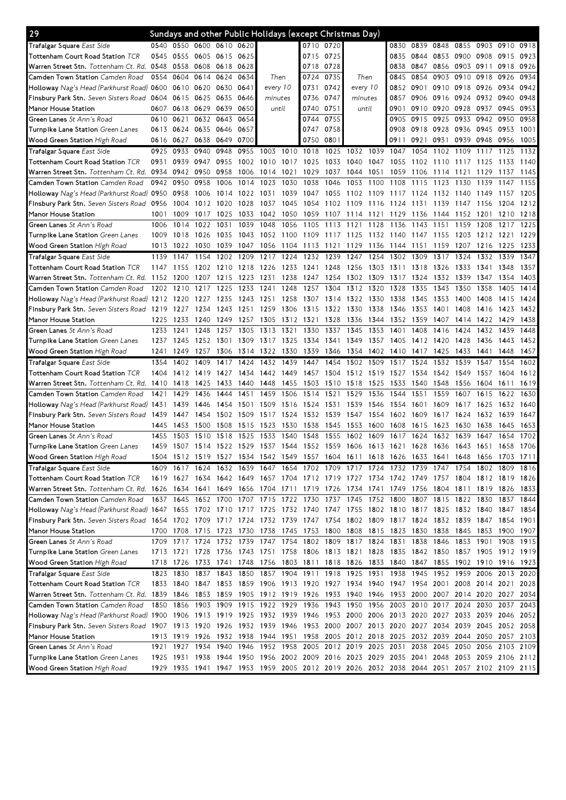| 29                                                                                                                              |           |                     |                |      |      |                |      |           |           | Sundays and other Public Holidays (except Christmas Day)                                  |              |      |           |        |           |                          |                |              |
|---------------------------------------------------------------------------------------------------------------------------------|-----------|---------------------|----------------|------|------|----------------|------|-----------|-----------|-------------------------------------------------------------------------------------------|--------------|------|-----------|--------|-----------|--------------------------|----------------|--------------|
| <b>Trafalgar Square</b> East Side                                                                                               | 0540      | 0550                | 0600 0610 0620 |      |      |                |      |           | 0710 0720 |                                                                                           |              | 0830 | 0839 0848 |        | 0855      | 0903 0910                |                | 0918         |
| Tottenham Court Road Station ${\sf TCR}$                                                                                        | 0545      | 0555                | 0605 0615      |      | 0625 |                |      | 0715      | 0725      |                                                                                           |              | 0835 | 0844      | 0853   | 0900      | 0908                     | 0915           | 0923         |
| Warren Street Stn. Tottenham Ct. Rd. 0548                                                                                       |           | 0558                | 0608 0618      |      | 0628 |                |      | 0718      | 0728      |                                                                                           |              | 0838 | 0847      | 0856   | 0903      | 0911                     | 0918           | 0926         |
| <b>Camden Town Station</b> Camden Road                                                                                          | 0554      | 0604                | 0614           | 0624 | 0634 | Then           |      | 0724      | 0735      | Then                                                                                      |              | 0845 | 0854      | 0903   | 0910      | 0918                     | 0926           | 0934         |
| <b>Holloway</b> Nag's Head (Parkhurst Road) <b>06</b> 00                                                                        |           | 0610                | 0620 0630      |      | 0641 | every 10       |      | 0731      | 0742      | every 10                                                                                  |              | 0852 | 0901      |        | 0910 0918 | 0926                     | 0934           | 0942         |
| Finsbury Park Stn. Seven Sisters Road 0604                                                                                      |           | 0615                | 0625           | 0635 | 0646 | minutes        |      | 0736      | 0747      | minutes                                                                                   |              | 0857 | 0906      | 0916   | 0924      | 0932                     | 0940           | 0948         |
| Manor House Station                                                                                                             | 0607      | 0618                | 0629 0639      |      | 0650 | until          |      | 0740      | 0751      | until                                                                                     |              | 0901 | 0910      | 0920   | 0928      | 0937                     | 0945           | 0953         |
| Green Lanes St Ann's Road                                                                                                       | 0610      | 0621                | 0632 0643      |      | 0654 |                |      | 0744      | 0755      |                                                                                           |              | 0905 | 0915      | 0925   | 0933      | 0942                     | 0950           | 0958         |
| <b>Turnpike Lane Station</b> Green Lanes                                                                                        | 0613      | 0624                | 0635 0646      |      | 0657 |                |      | 0747      | 0758      |                                                                                           |              | 0908 | 0918      | 0928   | 0936      | 0945                     | 0953           | 1001         |
| <b>Wood Green Station High Road</b>                                                                                             | 0616      | 0627                | 0638 0649      |      | 0700 |                |      | 0750      | 0801      |                                                                                           |              | 0911 | 0921      | 0931   | 0939 0948 |                          | 0956           | 1005         |
| Trafalgar Square East Side                                                                                                      | 0925      | 0933                | 0940           | 0948 | 0955 | 1003           | 1010 | 1018      | 1025      | 1032                                                                                      | 1039         | 1047 | 1054      | 1102   | 1109      | 1117                     | 1125           | 1132         |
| Tottenham Court Road Station $\mathcal{T} C R$                                                                                  | 0931      | 0939                | 0947           | 0955 |      | 1002 1010      | 1017 | 1025      | 1033      | 1040                                                                                      | 1047         | 1055 | 1102      | 1110   | 1117      | 1125                     | 1133           | 1140         |
|                                                                                                                                 |           |                     |                |      |      |                |      |           |           |                                                                                           |              |      |           |        |           |                          |                |              |
| Warren Street Stn. Tottenham Ct. Rd.  0934                                                                                      |           | 0942                | 0950           | 0958 | 1006 | 1014           | 1021 | 1029      | 1037      | 1044                                                                                      | 1051<br>1100 | 1059 | 1106      | 1114   | 1121      | 1129                     | 1137           | 1145<br>1155 |
| <b>Camden Town Station</b> Camden Road                                                                                          | 0942      | 0950                | 0958           | 1006 | 1014 | 1023           | 1030 | 1038      | 1046      | 1053                                                                                      |              | 1108 | 1115      | 1123   | 1130      | 1139                     | 1147           |              |
| Holloway Nag's Head (Parkhurst Road) 0950                                                                                       |           | 0958                | 1006           | 1014 | 1022 | 1031           | 1039 | 1047      | 1055      | 1102                                                                                      | 1109         | 1117 | 1124      | 1132   | 1140      | 1149                     | 1157           | 1205         |
| Finsbury Park Stn. Seven Sisters Road 0956                                                                                      |           | 1004                | 1012           | 1020 | 1028 | 1037           | 1045 | 1054      | 1102      | 1109                                                                                      | 1116         | 1124 | 1131      | 1139   | 1147      | 1156                     | 1204           | 1212         |
| Manor House Station                                                                                                             | 1001      | 1009                | 1017           | 1025 | 1033 | 1042           | 1050 | 1059      | 1107      | 1114                                                                                      | 1121         | 1129 | 1136      | 1144   | 1152      | 1201                     | 1210           | 1218         |
| <b>Green Lanes</b> St Ann's Road                                                                                                | 1006      | 1014                | 1022           | 1031 | 1039 | 1048           | 1056 | 1105      | 1113      | 1121                                                                                      | 1128         | 1136 | 1143      | 1151   | 1159      | 1208                     | 1217           | 1225         |
| Turnpike Lane Station <i>Green Lanes</i>                                                                                        | 1009      | 1018                | 1026           | 1035 |      | 1043 1052 1100 |      | 1109 1117 |           | 1125                                                                                      | 1132 1140    |      | 1147      | - 1155 | 1203      | 1212 1221                |                | 1229         |
| <b>Wood Green Station</b> High Road                                                                                             | 1013      | 1022                | 1030           | 1039 | 1047 | 1056           | 1104 | 1113 1121 |           | 1129                                                                                      | 1136         | 1144 | 1151      | 1159   | 1207      | 1216                     | 1225           | 1233         |
| Trafalgar Square East Side                                                                                                      | 1139      | 1147                | 1154           | 1202 | 1209 | 1217           | 1224 | 1232      | 1239      | 1247                                                                                      | 1254         | 1302 | 1309      | 1317   | 1324      | 1332                     | 1339           | 1347         |
| Tottenham Court Road Station TCR                                                                                                | 1147      | 1155                | 1202           | 1210 | 1218 | 1226           | 1233 | 1241      | 1248      | 1256                                                                                      | 1303         | 1311 | 1318      | 1326   | 1333      | 1341                     | 1348           | 1357         |
| Warren Street Stn. Tottenham Ct. Rd. 1152                                                                                       |           | -1200               | 1207           | 1215 | 1223 | 1231           | 1238 | 1247      | 1254      | 1302                                                                                      | 1309         | 1317 | 1324      | 1332   | 1339      | 1347                     | 1354           | 1403         |
| <b>Camden Town Station</b> Camden Road                                                                                          | 1202      | 1210                | 1217           | 1225 | 1233 | 1241           | 1248 | 1257      | 1304      | 1312                                                                                      | 1320         | 1328 | 1335      | 1343   | 1350      | 1358                     | 1405           | 1414         |
| Holloway Nag's Head (Parkhurst Road) 1212 1220                                                                                  |           |                     | 1227           | 1235 | 1243 | 1251           | 1258 | 1307      | 1314      | 1322                                                                                      | 1330         | 1338 | 1345      | 1353   | 1400      | 1408                     | 1415           | 1424         |
| <b>Finsbury Park Stn.</b> Seven Sisters Road 1219                                                                               |           | 1227                | 1234           | 1243 | 1251 | 1259           | 1306 | 1315 1322 |           | 1330                                                                                      | 1338         | 1346 | 1353      | 1401   | 1408      | 1416                     | 1423           | 1432         |
| Manor House Station                                                                                                             | 1225      | 1233                | 1240           | 1249 | 1257 | 1305           | 1312 | 1321      | 1328      | 1336                                                                                      | 1344         | 1352 | 1359      | 1407   | 1414      | 1422                     | 1429           | 1438         |
| <b>Green Lanes</b> St Ann's Road                                                                                                | 1233      | 1241                | 1248           | 1257 | 1305 | 1313           | 1321 | 1330      | 1337      | 1345                                                                                      | 1353         | 1401 | 1408      | 1416   | 1424      | 1432                     | 1439           | 1448         |
| <b>Turnpike Lane Station</b> Green Lanes                                                                                        | 1237      | 1245                | 1252           | 1301 | 1309 | 1317           | 1325 | 1334      | 1341      | 1349                                                                                      | 1357         | 1405 | 1412      | 1420   | 1428      | 1436                     | 1443           | 1452         |
| <b>Wood Green Station</b> High Road                                                                                             | 1241      |                     | 1257           | 1306 | 1314 | 1322           | 1330 |           | 1346      | 1354                                                                                      | 1402         | 1410 | 1417      | 1425   |           | 1441                     | 1448           | 1457         |
|                                                                                                                                 |           | 1249                |                |      |      |                |      | 1339      |           |                                                                                           |              |      |           |        | 1433      |                          |                |              |
| Trafalgar Square East Side                                                                                                      | 1354      | 1402                | 1409           | 1417 | 1424 | 1432           | 1439 | 1447      | 1454      | 1502                                                                                      | 1509         | 1517 | 1524      | 1532   | 1539      | 1547                     | 1554           | 1602         |
| Tottenham Court Road Station $TCR$                                                                                              | 1404      | 1412                | 1419           | 1427 | 1434 | 1442           | 1449 | 1457      | 1504      | 1512                                                                                      | 1519         | 1527 | 1534      | 1542   | 1549      | 1557                     | 1604           | 1612         |
| Warren Street Stn. Tottenham Ct. Rd. 1410                                                                                       |           | 1418                | 1425           | 1433 | 1440 | 1448           | 1455 | 1503      | 1510      | 1518                                                                                      | 1525         | 1533 | 1540      | 1548   | 1556      | 1604                     | 1611           | 1619         |
| Camden Town Station Camden Road                                                                                                 | 1421      | 1429                | 1436           | 1444 | 1451 | 1459           | 1506 | 1514      | 1521      | 1529                                                                                      | 1536         | 1544 | 1551      | 1559   | 1607      | 1615                     | 1622           | 1630         |
| Holloway Nag's Head (Parkhurst Road) 1431                                                                                       |           | 1439                | 1446           | 1454 | 1501 | 1509           | 1516 | 1524      | 1531      | 1539                                                                                      | 1546         | 1554 | 1601      | 1609   | 1617      | 1625                     | 1632           | 1640         |
| Finsbury Park Stn. Seven Sisters Road 1439                                                                                      |           | 1447                | 1454           | 1502 | 1509 | 1517           | 1524 | 1532 1539 |           | 1547                                                                                      | 1554         | 1602 | 1609      | 1617   | 1624      | 1632                     | 1639           | 1647         |
| Manor House Station                                                                                                             | 1445      | 1453                | 1500           | 1508 | 1515 | 1523           | 1530 | 1538      | 1545      | 1553                                                                                      | 1600         | 1608 | 1615      |        | 1630      | 1638                     | 1645           | 1653         |
|                                                                                                                                 | 1455      | 1503                | 1510           | 1518 | 1525 | 1533           | 1540 | 1548      | 1555      | 1602                                                                                      | 1609         | 1617 | 1624      | 1623   | 1639      | 1647                     | 1654           | 1702         |
| <b>Green Lanes</b> St Ann's Road                                                                                                | 1459      |                     |                |      |      |                |      |           |           |                                                                                           |              |      |           | 1632   |           |                          |                |              |
| <b>Turnpike Lane Station</b> Green Lanes                                                                                        |           |                     |                |      |      |                |      |           |           | 1507 1514 1522 1529 1537 1544 1552 1559 1606 1613 1621 1628 1636 1643 1651 1658 1706      |              |      |           |        |           |                          |                |              |
| Wood Green Station High Road                                                                                                    | 1504      | 1512                | 1519 1527      |      |      | 1534 1542      | 1549 |           |           | 1557 1604 1611 1618 1626 1633                                                             |              |      |           | 1641   | 1648      | 1656                     | 1703 1711      |              |
| Trafalgar Square East Side                                                                                                      |           | 1609 1617           |                |      |      |                |      |           |           | 1624 1632 1639 1647 1654 1702 1709 1717 1724 1732 1739 1747                               |              |      |           |        | 1754      |                          | 1802 1809 1816 |              |
| Tottenham Court Road Station ${\sf TCR}$                                                                                        |           |                     |                |      |      |                |      |           |           | 1619 1627 1634 1642 1649 1657 1704 1712 1719 1727 1734 1742 1749 1757 1804 1812 1819 1826 |              |      |           |        |           |                          |                |              |
| Warren Street Stn. Tottenham Ct. Rd. 1626 1634 1641 1649                                                                        |           |                     |                |      |      |                |      |           |           | 1656 1704 1711 1719 1726 1734 1741 1749 1756 1804 1811 1819 1826 1833                     |              |      |           |        |           |                          |                |              |
| <b>Camden Town Station</b> Camden Road                                                                                          |           | 1637 1645 1652 1700 |                |      |      |                |      |           |           | 1707 1715 1722 1730 1737 1745 1752 1800 1807 1815 1822 1830 1837 1844                     |              |      |           |        |           |                          |                |              |
| Holloway Nag's Head (Parkhurst Road) 1647 1655 1702 1710 1717 1725 1732 1740 1747 1755 1802 1810 1817 1825 1832 1840 1847       |           |                     |                |      |      |                |      |           |           |                                                                                           |              |      |           |        |           |                          |                | 1854         |
| Finsbury Park Stn. Seven Sisters Road 1654 1702 1709 1717 1724 1732 1739 1747 1754 1802 1809 1817 1824 1832 1839 1847 1854 1901 |           |                     |                |      |      |                |      |           |           |                                                                                           |              |      |           |        |           |                          |                |              |
| Manor House Station                                                                                                             |           |                     |                |      |      |                |      |           |           | 1700 1708 1715 1723 1730 1738 1745 1753 1800 1808 1815 1823 1830 1838 1845 1853 1900 1907 |              |      |           |        |           |                          |                |              |
| Green Lanes St Ann's Road                                                                                                       |           | 1709 1717           |                |      |      |                |      |           |           | 1724 1732 1739 1747 1754 1802 1809 1817 1824 1831                                         |              |      | 1838      | 1846   |           | 1853 1901                | 1908 1915      |              |
| Turnpike Lane Station Green Lanes                                                                                               |           |                     |                |      |      |                |      |           |           | 1713 1721 1728 1736 1743 1751 1758 1806 1813 1821 1828 1835 1842 1850 1857 1905 1912 1919 |              |      |           |        |           |                          |                |              |
| <b>Wood Green Station</b> High Road                                                                                             |           |                     |                |      |      |                |      |           |           | 1718 1726 1733 1741 1748 1756 1803 1811 1818 1826 1833 1840 1847 1855 1902 1910 1916 1923 |              |      |           |        |           |                          |                |              |
| Trafalgar Square East Side                                                                                                      |           |                     |                |      |      |                |      |           |           | 1823 1830 1837 1843 1850 1857 1904 1911 1918 1925 1931 1938 1945 1952 1959 2006 2013 2020 |              |      |           |        |           |                          |                |              |
| Tottenham Court Road Station $\it TCR$                                                                                          |           | 1833 1840           | 1847 1853      |      |      |                |      |           |           | 1859 1906 1913 1920 1927 1934 1940 1947 1954                                              |              |      |           |        |           | 2001 2008 2014 2021 2028 |                |              |
| Warren Street Stn. Tottenham Ct. Rd. 1839 1846 1853 1859 1905 1912 1919 1926 1933 1940 1946 1953 2000 2007 2014 2020 2027 2034  |           |                     |                |      |      |                |      |           |           |                                                                                           |              |      |           |        |           |                          |                |              |
| <b>Camden Town Station</b> Camden Road                                                                                          |           |                     |                |      |      |                |      |           |           | 1850 1856 1903 1909 1915 1922 1929 1936 1943 1950 1956 2003 2010 2017 2024 2030 2037 2043 |              |      |           |        |           |                          |                |              |
| Holloway Nag's Head (Parkhurst Road) 1900 1906 1913 1919 1925 1932 1939 1946 1953 2000 2006 2013 2020 2027 2033 2039 2046 2052  |           |                     |                |      |      |                |      |           |           |                                                                                           |              |      |           |        |           |                          |                |              |
| Finsbury Park Stn. Seven Sisters Road 1907 1913 1920 1926 1932 1939 1946 1953 2000 2007 2013 2020 2027 2034 2039 2045 2052 2058 |           |                     |                |      |      |                |      |           |           |                                                                                           |              |      |           |        |           |                          |                |              |
| Manor House Station                                                                                                             |           |                     |                |      |      |                |      |           |           | 1913 1919 1926 1932 1938 1944 1951 1958 2005 2012 2018 2025 2032 2039 2044 2050 2057      |              |      |           |        |           |                          |                | 2103         |
| <b>Green Lanes</b> St Ann's Road                                                                                                |           | 1921 1927           | 1934 1940      |      |      |                |      |           |           | 1946 1952 1958 2005 2012 2019 2025 2031                                                   |              |      | 2038      |        |           | 2045 2050 2056 2103 2109 |                |              |
| <b>Turnpike Lane Station</b> Green Lanes                                                                                        | 1925 1931 |                     |                |      |      |                |      |           |           | 1938 1944 1950 1956 2002 2009 2016 2023 2029 2035 2041 2048 2053 2059 2106 2112           |              |      |           |        |           |                          |                |              |